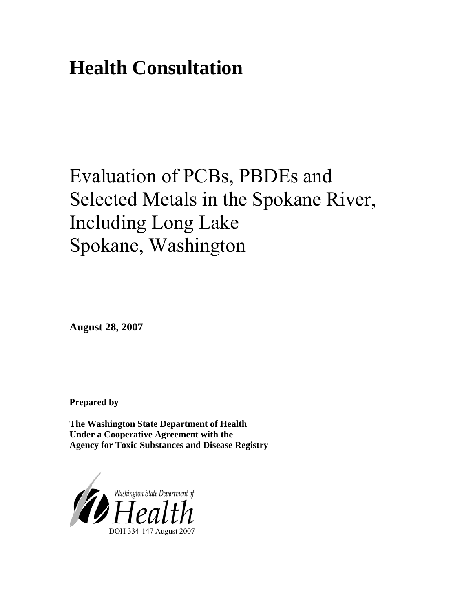# **Health Consultation**

# Evaluation of PCBs, PBDEs and Selected Metals in the Spokane River, Including Long Lake Spokane, Washington

**August 28, 2007** 

**Prepared by** 

**The Washington State Department of Health Under a Cooperative Agreement with the Agency for Toxic Substances and Disease Registry** 

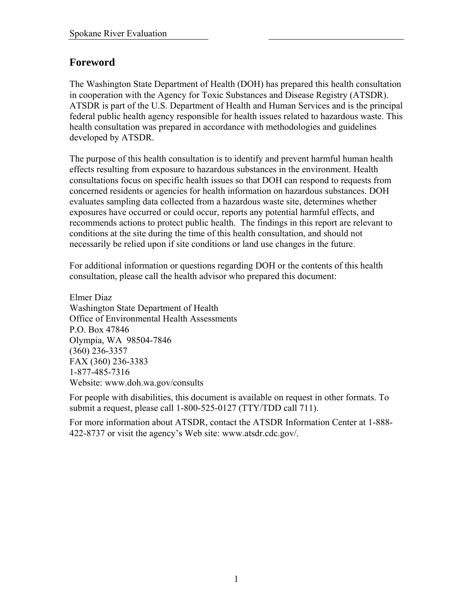## **Foreword**

The Washington State Department of Health (DOH) has prepared this health consultation in cooperation with the Agency for Toxic Substances and Disease Registry (ATSDR). ATSDR is part of the U.S. Department of Health and Human Services and is the principal federal public health agency responsible for health issues related to hazardous waste. This health consultation was prepared in accordance with methodologies and guidelines developed by ATSDR.

The purpose of this health consultation is to identify and prevent harmful human health effects resulting from exposure to hazardous substances in the environment. Health consultations focus on specific health issues so that DOH can respond to requests from concerned residents or agencies for health information on hazardous substances. DOH evaluates sampling data collected from a hazardous waste site, determines whether exposures have occurred or could occur, reports any potential harmful effects, and recommends actions to protect public health. The findings in this report are relevant to conditions at the site during the time of this health consultation, and should not necessarily be relied upon if site conditions or land use changes in the future.

For additional information or questions regarding DOH or the contents of this health consultation, please call the health advisor who prepared this document:

Elmer Diaz Washington State Department of Health Office of Environmental Health Assessments P.O. Box 47846 Olympia, WA 98504-7846 (360) 236-3357 FAX (360) 236-3383 1-877-485-7316 Website: [www.doh.wa.gov/consults](http://www.doh.wa.gov/consults)

For people with disabilities, this document is available on request in other formats. To submit a request, please call 1-800-525-0127 (TTY/TDD call 711).

For more information about ATSDR, contact the ATSDR Information Center at 1-888- 422-8737 or visit the agency's Web site: www.atsdr.cdc.gov/.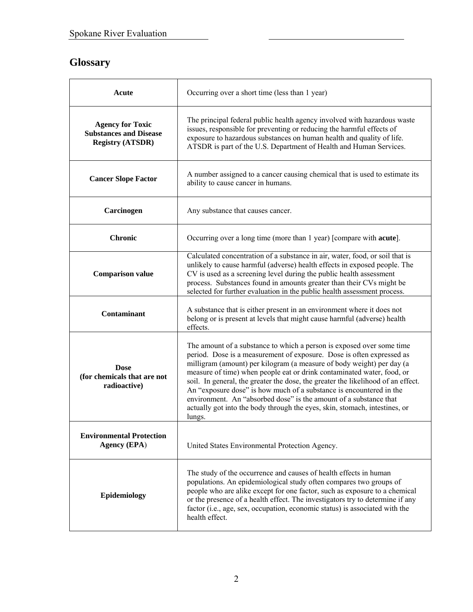# **Glossary**

| Acute                                                                               | Occurring over a short time (less than 1 year)                                                                                                                                                                                                                                                                                                                                                                                                                                                                                                                                                                            |
|-------------------------------------------------------------------------------------|---------------------------------------------------------------------------------------------------------------------------------------------------------------------------------------------------------------------------------------------------------------------------------------------------------------------------------------------------------------------------------------------------------------------------------------------------------------------------------------------------------------------------------------------------------------------------------------------------------------------------|
| <b>Agency for Toxic</b><br><b>Substances and Disease</b><br><b>Registry (ATSDR)</b> | The principal federal public health agency involved with hazardous waste<br>issues, responsible for preventing or reducing the harmful effects of<br>exposure to hazardous substances on human health and quality of life.<br>ATSDR is part of the U.S. Department of Health and Human Services.                                                                                                                                                                                                                                                                                                                          |
| <b>Cancer Slope Factor</b>                                                          | A number assigned to a cancer causing chemical that is used to estimate its<br>ability to cause cancer in humans.                                                                                                                                                                                                                                                                                                                                                                                                                                                                                                         |
| Carcinogen                                                                          | Any substance that causes cancer.                                                                                                                                                                                                                                                                                                                                                                                                                                                                                                                                                                                         |
| <b>Chronic</b>                                                                      | Occurring over a long time (more than 1 year) [compare with <b>acute</b> ].                                                                                                                                                                                                                                                                                                                                                                                                                                                                                                                                               |
| <b>Comparison value</b>                                                             | Calculated concentration of a substance in air, water, food, or soil that is<br>unlikely to cause harmful (adverse) health effects in exposed people. The<br>CV is used as a screening level during the public health assessment<br>process. Substances found in amounts greater than their CVs might be<br>selected for further evaluation in the public health assessment process.                                                                                                                                                                                                                                      |
| <b>Contaminant</b>                                                                  | A substance that is either present in an environment where it does not<br>belong or is present at levels that might cause harmful (adverse) health<br>effects.                                                                                                                                                                                                                                                                                                                                                                                                                                                            |
| <b>Dose</b><br>(for chemicals that are not<br>radioactive)                          | The amount of a substance to which a person is exposed over some time<br>period. Dose is a measurement of exposure. Dose is often expressed as<br>milligram (amount) per kilogram (a measure of body weight) per day (a<br>measure of time) when people eat or drink contaminated water, food, or<br>soil. In general, the greater the dose, the greater the likelihood of an effect.<br>An "exposure dose" is how much of a substance is encountered in the<br>environment. An "absorbed dose" is the amount of a substance that<br>actually got into the body through the eyes, skin, stomach, intestines, or<br>lungs. |
| <b>Environmental Protection</b><br><b>Agency (EPA)</b>                              | United States Environmental Protection Agency.                                                                                                                                                                                                                                                                                                                                                                                                                                                                                                                                                                            |
| Epidemiology                                                                        | The study of the occurrence and causes of health effects in human<br>populations. An epidemiological study often compares two groups of<br>people who are alike except for one factor, such as exposure to a chemical<br>or the presence of a health effect. The investigators try to determine if any<br>factor (i.e., age, sex, occupation, economic status) is associated with the<br>health effect.                                                                                                                                                                                                                   |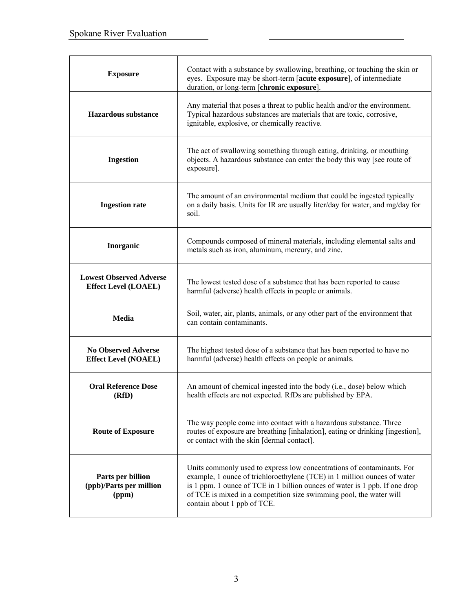| <b>Exposure</b>                                               | Contact with a substance by swallowing, breathing, or touching the skin or<br>eyes. Exposure may be short-term [acute exposure], of intermediate<br>duration, or long-term [chronic exposure].                                                                                                                                          |
|---------------------------------------------------------------|-----------------------------------------------------------------------------------------------------------------------------------------------------------------------------------------------------------------------------------------------------------------------------------------------------------------------------------------|
| Hazardous substance                                           | Any material that poses a threat to public health and/or the environment.<br>Typical hazardous substances are materials that are toxic, corrosive,<br>ignitable, explosive, or chemically reactive.                                                                                                                                     |
| <b>Ingestion</b>                                              | The act of swallowing something through eating, drinking, or mouthing<br>objects. A hazardous substance can enter the body this way [see route of<br>exposure].                                                                                                                                                                         |
| <b>Ingestion rate</b>                                         | The amount of an environmental medium that could be ingested typically<br>on a daily basis. Units for IR are usually liter/day for water, and mg/day for<br>soil.                                                                                                                                                                       |
| Inorganic                                                     | Compounds composed of mineral materials, including elemental salts and<br>metals such as iron, aluminum, mercury, and zinc.                                                                                                                                                                                                             |
| <b>Lowest Observed Adverse</b><br><b>Effect Level (LOAEL)</b> | The lowest tested dose of a substance that has been reported to cause<br>harmful (adverse) health effects in people or animals.                                                                                                                                                                                                         |
| <b>Media</b>                                                  | Soil, water, air, plants, animals, or any other part of the environment that<br>can contain contaminants.                                                                                                                                                                                                                               |
| <b>No Observed Adverse</b><br><b>Effect Level (NOAEL)</b>     | The highest tested dose of a substance that has been reported to have no<br>harmful (adverse) health effects on people or animals.                                                                                                                                                                                                      |
| <b>Oral Reference Dose</b><br>(RfD)                           | An amount of chemical ingested into the body (i.e., dose) below which<br>health effects are not expected. RfDs are published by EPA.                                                                                                                                                                                                    |
| <b>Route of Exposure</b>                                      | The way people come into contact with a hazardous substance. Three<br>routes of exposure are breathing [inhalation], eating or drinking [ingestion],<br>or contact with the skin [dermal contact].                                                                                                                                      |
| Parts per billion<br>(ppb)/Parts per million<br>(ppm)         | Units commonly used to express low concentrations of contaminants. For<br>example, 1 ounce of trichloroethylene (TCE) in 1 million ounces of water<br>is 1 ppm. 1 ounce of TCE in 1 billion ounces of water is 1 ppb. If one drop<br>of TCE is mixed in a competition size swimming pool, the water will<br>contain about 1 ppb of TCE. |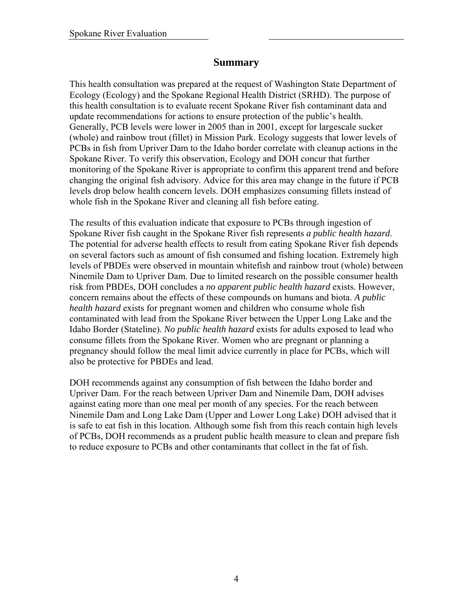## **Summary**

This health consultation was prepared at the request of Washington State Department of Ecology (Ecology) and the Spokane Regional Health District (SRHD). The purpose of this health consultation is to evaluate recent Spokane River fish contaminant data and update recommendations for actions to ensure protection of the public's health. Generally, PCB levels were lower in 2005 than in 2001, except for largescale sucker (whole) and rainbow trout (fillet) in Mission Park. Ecology suggests that lower levels of PCBs in fish from Upriver Dam to the Idaho border correlate with cleanup actions in the Spokane River. To verify this observation, Ecology and DOH concur that further monitoring of the Spokane River is appropriate to confirm this apparent trend and before changing the original fish advisory. Advice for this area may change in the future if PCB levels drop below health concern levels. DOH emphasizes consuming fillets instead of whole fish in the Spokane River and cleaning all fish before eating.

The results of this evaluation indicate that exposure to PCBs through ingestion of Spokane River fish caught in the Spokane River fish represents *a public health hazard*. The potential for adverse health effects to result from eating Spokane River fish depends on several factors such as amount of fish consumed and fishing location. Extremely high levels of PBDEs were observed in mountain whitefish and rainbow trout (whole) between Ninemile Dam to Upriver Dam. Due to limited research on the possible consumer health risk from PBDEs, DOH concludes a *no apparent public health hazard* exists. However, concern remains about the effects of these compounds on humans and biota. *A public health hazard* exists for pregnant women and children who consume whole fish contaminated with lead from the Spokane River between the Upper Long Lake and the Idaho Border (Stateline). *No public health hazard* exists for adults exposed to lead who consume fillets from the Spokane River. Women who are pregnant or planning a pregnancy should follow the meal limit advice currently in place for PCBs, which will also be protective for PBDEs and lead.

DOH recommends against any consumption of fish between the Idaho border and Upriver Dam. For the reach between Upriver Dam and Ninemile Dam, DOH advises against eating more than one meal per month of any species. For the reach between Ninemile Dam and Long Lake Dam (Upper and Lower Long Lake) DOH advised that it is safe to eat fish in this location. Although some fish from this reach contain high levels of PCBs, DOH recommends as a prudent public health measure to clean and prepare fish to reduce exposure to PCBs and other contaminants that collect in the fat of fish.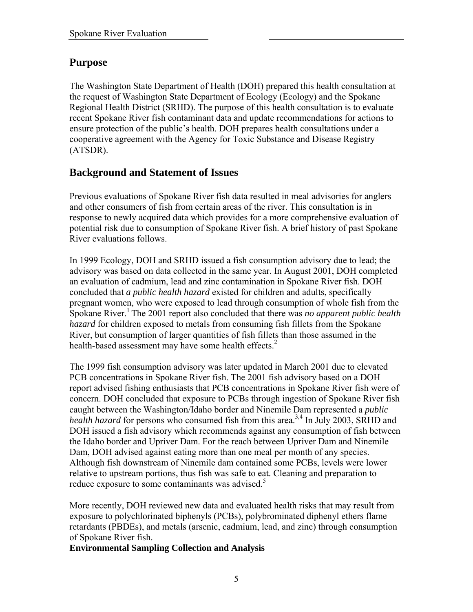## **Purpose**

The Washington State Department of Health (DOH) prepared this health consultation at the request of Washington State Department of Ecology (Ecology) and the Spokane Regional Health District (SRHD). The purpose of this health consultation is to evaluate recent Spokane River fish contaminant data and update recommendations for actions to ensure protection of the public's health. DOH prepares health consultations under a cooperative agreement with the Agency for Toxic Substance and Disease Registry (ATSDR).

## **Background and Statement of Issues**

Previous evaluations of Spokane River fish data resulted in meal advisories for anglers and other consumers of fish from certain areas of the river. This consultation is in response to newly acquired data which provides for a more comprehensive evaluation of potential risk due to consumption of Spokane River fish. A brief history of past Spokane River evaluations follows.

In 1999 Ecology, DOH and SRHD issued a fish consumption advisory due to lead; the advisory was based on data collected in the same year. In August 2001, DOH completed an evaluation of cadmium, lead and zinc contamination in Spokane River fish. DOH concluded that *a public health hazard* existed for children and adults, specifically pregnant women, who were exposed to lead through consumption of whole fish from the Spokane River.<sup>1</sup> The 2001 report also concluded that there was *no apparent public health hazard* for children exposed to metals from consuming fish fillets from the Spokane River, but consumption of larger quantities of fish fillets than those assumed in the health-based assessment may have some health effects. $2^2$ 

The 1999 fish consumption advisory was later updated in March 2001 due to elevated PCB concentrations in Spokane River fish. The 2001 fish advisory based on a DOH report advised fishing enthusiasts that PCB concentrations in Spokane River fish were of concern. DOH concluded that exposure to PCBs through ingestion of Spokane River fish caught between the Washington/Idaho border and Ninemile Dam represented a *public health hazard* for persons who consumed fish from this area.<sup>3,4</sup> In July 2003, SRHD and DOH issued a fish advisory which recommends against any consumption of fish between the Idaho border and Upriver Dam. For the reach between Upriver Dam and Ninemile Dam, DOH advised against eating more than one meal per month of any species. Although fish downstream of Ninemile dam contained some PCBs, levels were lower relative to upstream portions, thus fish was safe to eat. Cleaning and preparation to reduce exposure to some contaminants was advised.<sup>5</sup>

More recently, DOH reviewed new data and evaluated health risks that may result from exposure to polychlorinated biphenyls (PCBs), polybrominated diphenyl ethers flame retardants (PBDEs), and metals (arsenic, cadmium, lead, and zinc) through consumption of Spokane River fish.

**Environmental Sampling Collection and Analysis**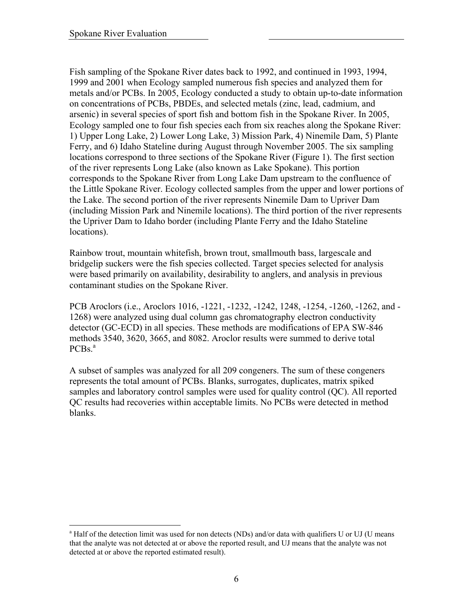Fish sampling of the Spokane River dates back to 1992, and continued in 1993, 1994, 1999 and 2001 when Ecology sampled numerous fish species and analyzed them for metals and/or PCBs. In 2005, Ecology conducted a study to obtain up-to-date information on concentrations of PCBs, PBDEs, and selected metals (zinc, lead, cadmium, and arsenic) in several species of sport fish and bottom fish in the Spokane River. In 2005, Ecology sampled one to four fish species each from six reaches along the Spokane River: 1) Upper Long Lake, 2) Lower Long Lake, 3) Mission Park, 4) Ninemile Dam, 5) Plante Ferry, and 6) Idaho Stateline during August through November 2005. The six sampling locations correspond to three sections of the Spokane River (Figure 1). The first section of the river represents Long Lake (also known as Lake Spokane). This portion corresponds to the Spokane River from Long Lake Dam upstream to the confluence of the Little Spokane River. Ecology collected samples from the upper and lower portions of the Lake. The second portion of the river represents Ninemile Dam to Upriver Dam (including Mission Park and Ninemile locations). The third portion of the river represents the Upriver Dam to Idaho border (including Plante Ferry and the Idaho Stateline locations).

Rainbow trout, mountain whitefish, brown trout, smallmouth bass, largescale and bridgelip suckers were the fish species collected. Target species selected for analysis were based primarily on availability, desirability to anglers, and analysis in previous contaminant studies on the Spokane River.

PCB Aroclors (i.e., Aroclors 1016, -1221, -1232, -1242, 1248, -1254, -1260, -1262, and - 1268) were analyzed using dual column gas chromatography electron conductivity detector (GC-ECD) in all species. These methods are modifications of EPA SW-846 methods 3540, 3620, 3665, and 8082. Aroclor results were summed to derive total  $PCBs.<sup>a</sup>$ 

A subset of samples was analyzed for all 209 congeners. The sum of these congeners represents the total amount of PCBs. Blanks, surrogates, duplicates, matrix spiked samples and laboratory control samples were used for quality control (QC). All reported QC results had recoveries within acceptable limits. No PCBs were detected in method blanks.

 $\overline{a}$ <sup>a</sup> Half of the detection limit was used for non detects (NDs) and/or data with qualifiers U or UJ (U means that the analyte was not detected at or above the reported result, and UJ means that the analyte was not detected at or above the reported estimated result).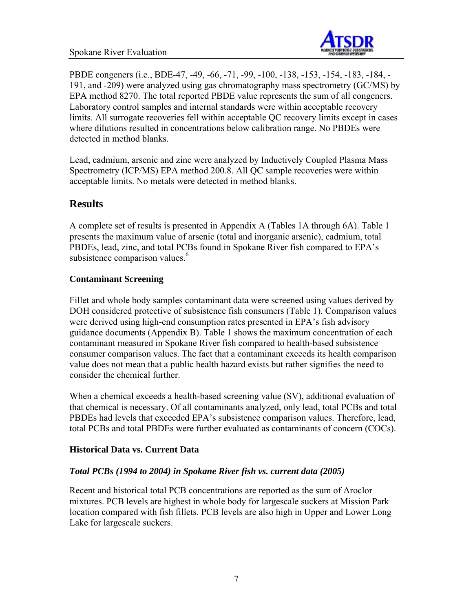

PBDE congeners (i.e., BDE-47, -49, -66, -71, -99, -100, -138, -153, -154, -183, -184, - 191, and -209) were analyzed using gas chromatography mass spectrometry (GC/MS) by EPA method 8270. The total reported PBDE value represents the sum of all congeners. Laboratory control samples and internal standards were within acceptable recovery limits. All surrogate recoveries fell within acceptable QC recovery limits except in cases where dilutions resulted in concentrations below calibration range. No PBDEs were detected in method blanks.

Lead, cadmium, arsenic and zinc were analyzed by Inductively Coupled Plasma Mass Spectrometry (ICP/MS) EPA method 200.8. All QC sample recoveries were within acceptable limits. No metals were detected in method blanks.

## **Results**

A complete set of results is presented in Appendix A (Tables 1A through 6A). Table 1 presents the maximum value of arsenic (total and inorganic arsenic), cadmium, total PBDEs, lead, zinc, and total PCBs found in Spokane River fish compared to EPA's subsistence comparison values.<sup>6</sup>

## **Contaminant Screening**

Fillet and whole body samples contaminant data were screened using values derived by DOH considered protective of subsistence fish consumers (Table 1). Comparison values were derived using high-end consumption rates presented in EPA's fish advisory guidance documents (Appendix B). Table 1 shows the maximum concentration of each contaminant measured in Spokane River fish compared to health-based subsistence consumer comparison values. The fact that a contaminant exceeds its health comparison value does not mean that a public health hazard exists but rather signifies the need to consider the chemical further.

When a chemical exceeds a health-based screening value (SV), additional evaluation of that chemical is necessary. Of all contaminants analyzed, only lead, total PCBs and total PBDEs had levels that exceeded EPA's subsistence comparison values. Therefore, lead, total PCBs and total PBDEs were further evaluated as contaminants of concern (COCs).

#### **Historical Data vs. Current Data**

#### *Total PCBs (1994 to 2004) in Spokane River fish vs. current data (2005)*

Recent and historical total PCB concentrations are reported as the sum of Aroclor mixtures. PCB levels are highest in whole body for largescale suckers at Mission Park location compared with fish fillets. PCB levels are also high in Upper and Lower Long Lake for largescale suckers.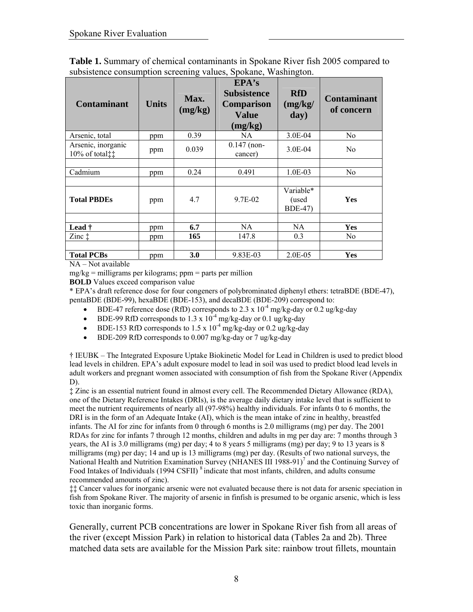| <b>Contaminant</b>                   | <b>Units</b> | Max.<br>(mg/kg) | EPA's<br><b>Subsistence</b><br><b>Comparison</b><br><b>Value</b><br>(mg/kg) | <b>RfD</b><br>(mg/kg)<br>day)         | <b>Contaminant</b><br>of concern |
|--------------------------------------|--------------|-----------------|-----------------------------------------------------------------------------|---------------------------------------|----------------------------------|
| Arsenic, total                       | ppm          | 0.39            | NA                                                                          | 3.0E-04                               | N <sub>0</sub>                   |
| Arsenic, inorganic<br>10% of total‡‡ | ppm          | 0.039           | $0.147$ (non-<br>cancer)                                                    | 3.0E-04                               | N <sub>0</sub>                   |
|                                      |              |                 |                                                                             |                                       |                                  |
| Cadmium                              | ppm          | 0.24            | 0.491                                                                       | $1.0E-03$                             | No                               |
|                                      |              |                 |                                                                             |                                       |                                  |
| <b>Total PBDEs</b>                   | ppm          | 4.7             | 9.7E-02                                                                     | Variable*<br>(used<br><b>BDE-47</b> ) | Yes                              |
|                                      |              |                 |                                                                             |                                       |                                  |
| Lead $\dagger$                       | ppm          | 6.7             | NA                                                                          | NA.                                   | <b>Yes</b>                       |
| $\mathsf{Zinc}\downarrow$            | ppm          | 165             | 147.8                                                                       | 0.3                                   | N <sub>0</sub>                   |
|                                      |              |                 |                                                                             |                                       |                                  |
| <b>Total PCBs</b>                    | ppm          | 3.0             | 9.83E-03                                                                    | $2.0E-0.5$                            | Yes                              |

**Table 1.** Summary of chemical contaminants in Spokane River fish 2005 compared to subsistence consumption screening values, Spokane, Washington.

NA – Not available

 $mg/kg =$  milligrams per kilograms; ppm = parts per million

**BOLD** Values exceed comparison value

\* EPA's draft reference dose for four congeners of polybrominated diphenyl ethers: tetraBDE (BDE-47), pentaBDE (BDE-99), hexaBDE (BDE-153), and decaBDE (BDE-209) correspond to:

- BDE-47 reference dose (RfD) corresponds to 2.3 x  $10^{-4}$  mg/kg-day or 0.2 ug/kg-day
- BDE-99 RfD corresponds to  $1.3 \times 10^{-4}$  mg/kg-day or 0.1 ug/kg-day
- BDE-153 RfD corresponds to  $1.5 \times 10^{-4}$  mg/kg-day or 0.2 ug/kg-day
- BDE-209 RfD corresponds to 0.007 mg/kg-day or 7 ug/kg-day

† IEUBK – The Integrated Exposure Uptake Biokinetic Model for Lead in Children is used to predict blood lead levels in children. EPA's adult exposure model to lead in soil was used to predict blood lead levels in adult workers and pregnant women associated with consumption of fish from the Spokane River (Appendix D).

‡ Zinc is an essential nutrient found in almost every cell. The Recommended Dietary Allowance (RDA), one of the Dietary Reference Intakes (DRIs), is the average daily dietary intake level that is sufficient to meet the nutrient requirements of nearly all (97-98%) healthy individuals. For infants 0 to 6 months, the DRI is in the form of an Adequate Intake (AI), which is the mean intake of zinc in healthy, breastfed infants. The AI for zinc for infants from 0 through 6 months is 2.0 milligrams (mg) per day. The 2001 RDAs for zinc for infants 7 through 12 months, children and adults in mg per day are: 7 months through 3 years, the AI is 3.0 milligrams (mg) per day; 4 to 8 years 5 milligrams (mg) per day; 9 to 13 years is 8 milligrams (mg) per day; 14 and up is 13 milligrams (mg) per day. (Results of two national surveys, the National Health and Nutrition Examination Survey (NHANES III 1988-91)<sup>7</sup> and the Continuing Survey of Food Intakes of Individuals (1994 CSFII)<sup>8</sup> indicate that most infants, children, and adults consume recommended amounts of zinc).

‡‡ Cancer values for inorganic arsenic were not evaluated because there is not data for arsenic speciation in fish from Spokane River. The majority of arsenic in finfish is presumed to be organic arsenic, which is less toxic than inorganic forms.

Generally, current PCB concentrations are lower in Spokane River fish from all areas of the river (except Mission Park) in relation to historical data (Tables 2a and 2b). Three matched data sets are available for the Mission Park site: rainbow trout fillets, mountain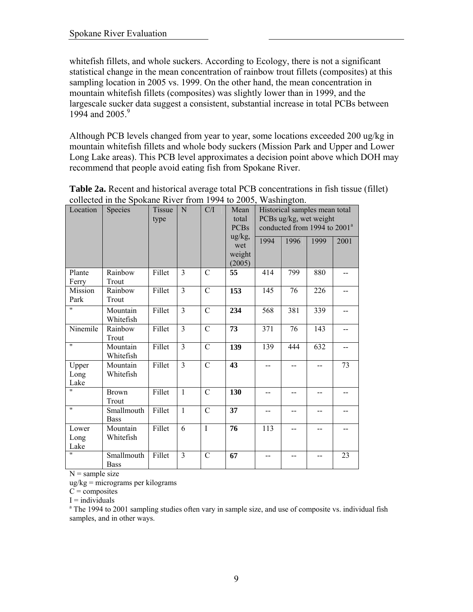whitefish fillets, and whole suckers. According to Ecology, there is not a significant statistical change in the mean concentration of rainbow trout fillets (composites) at this sampling location in 2005 vs. 1999. On the other hand, the mean concentration in mountain whitefish fillets (composites) was slightly lower than in 1999, and the largescale sucker data suggest a consistent, substantial increase in total PCBs between 1994 and 2005.<sup>9</sup>

Although PCB levels changed from year to year, some locations exceeded 200 ug/kg in mountain whitefish fillets and whole body suckers (Mission Park and Upper and Lower Long Lake areas). This PCB level approximates a decision point above which DOH may recommend that people avoid eating fish from Spokane River.

| Location              | Species                   | <b>Tissue</b><br>type | N              | C/I            | Mean<br>total<br><b>PCBs</b>      | Historical samples mean total<br>PCBs ug/kg, wet weight<br>conducted from 1994 to 2001 <sup>a</sup> |      |      |      |
|-----------------------|---------------------------|-----------------------|----------------|----------------|-----------------------------------|-----------------------------------------------------------------------------------------------------|------|------|------|
|                       |                           |                       |                |                | ug/kg,<br>wet<br>weight<br>(2005) | 1994                                                                                                | 1996 | 1999 | 2001 |
| Plante<br>Ferry       | Rainbow<br>Trout          | Fillet                | 3              | $\mathcal{C}$  | 55                                | 414                                                                                                 | 799  | 880  | --   |
| Mission<br>Park       | Rainbow<br>Trout          | Fillet                | $\overline{3}$ | $\mathcal{C}$  | 153                               | 145                                                                                                 | 76   | 226  |      |
| $^{\prime\prime}$     | Mountain<br>Whitefish     | Fillet                | 3              | $\mathcal{C}$  | 234                               | 568                                                                                                 | 381  | 339  | $=$  |
| Ninemile              | Rainbow<br>Trout          | Fillet                | 3              | $\mathcal{C}$  | 73                                | 371                                                                                                 | 76   | 143  | --   |
| $\pmb{\mathsf{H}}$    | Mountain<br>Whitefish     | Fillet                | 3              | $\overline{C}$ | 139                               | 139                                                                                                 | 444  | 632  |      |
| Upper<br>Long<br>Lake | Mountain<br>Whitefish     | Fillet                | 3              | $\mathcal{C}$  | 43                                | $-$                                                                                                 |      |      | 73   |
| $^{\prime \prime}$    | <b>Brown</b><br>Trout     | Fillet                | $\mathbf{1}$   | $\mathcal{C}$  | 130                               | $-$                                                                                                 |      |      |      |
| $\pmb{\mathsf{H}}$    | Smallmouth<br><b>Bass</b> | Fillet                | $\mathbf{1}$   | $\mathcal{C}$  | 37                                | $-$                                                                                                 |      |      |      |
| Lower<br>Long<br>Lake | Mountain<br>Whitefish     | Fillet                | 6              | $\overline{I}$ | 76                                | 113                                                                                                 | --   |      | --   |
| $^{\prime \prime}$    | Smallmouth<br><b>Bass</b> | Fillet                | 3              | $\mathcal{C}$  | 67                                | $\overline{a}$                                                                                      |      |      | 23   |

**Table 2a.** Recent and historical average total PCB concentrations in fish tissue (fillet) collected in the Spokane River from 1994 to 2005, Washington.

 $N =$ sample size

ug/kg = micrograms per kilograms

 $C =$ composites

 $I =$  individuals

<sup>a</sup> The 1994 to 2001 sampling studies often vary in sample size, and use of composite vs. individual fish samples, and in other ways.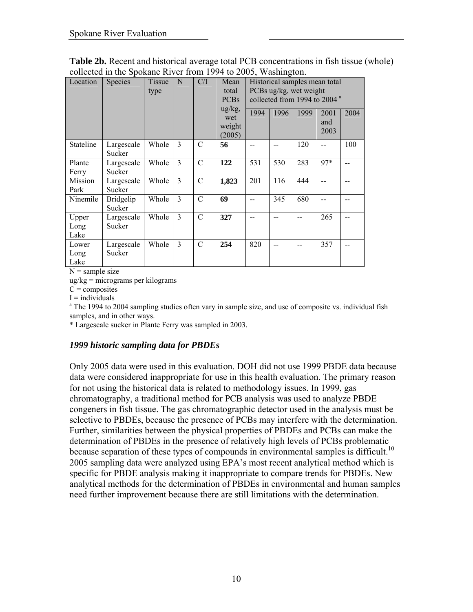| Location              | Species                    | Tissue<br>type | N              | C/I            | Mean<br>total<br><b>PCBs</b><br>$\frac{ug}{kg}$ ,<br>wet<br>weight<br>(2005) | 1994 | Historical samples mean total<br>PCBs ug/kg, wet weight<br>collected from 1994 to 2004 <sup>a</sup><br>1996 | 1999 | 2001<br>and<br>2003 | 2004 |
|-----------------------|----------------------------|----------------|----------------|----------------|------------------------------------------------------------------------------|------|-------------------------------------------------------------------------------------------------------------|------|---------------------|------|
| Stateline             | Largescale<br>Sucker       | Whole          | $\mathcal{E}$  | $\mathcal{C}$  | 56                                                                           |      |                                                                                                             | 120  |                     | 100  |
| Plante<br>Ferry       | Largescale<br>Sucker       | Whole          | $\overline{3}$ | $\mathcal{C}$  | 122                                                                          | 531  | 530                                                                                                         | 283  | 97*                 |      |
| Mission<br>Park       | Largescale<br>Sucker       | Whole          | 3              | $\mathcal{C}$  | 1,823                                                                        | 201  | 116                                                                                                         | 444  |                     |      |
| Ninemile              | <b>Bridgelip</b><br>Sucker | Whole          | 3              | $\mathcal{C}$  | 69                                                                           |      | 345                                                                                                         | 680  |                     |      |
| Upper<br>Long<br>Lake | Largescale<br>Sucker       | Whole          | $\mathcal{E}$  | $\overline{C}$ | 327                                                                          |      |                                                                                                             |      | 265                 |      |
| Lower<br>Long<br>Lake | Largescale<br>Sucker       | Whole          | 3              | $\mathcal{C}$  | 254                                                                          | 820  |                                                                                                             |      | 357                 |      |

**Table 2b.** Recent and historical average total PCB concentrations in fish tissue (whole) collected in the Spokane River from 1994 to 2005, Washington.

ug/kg = micrograms per kilograms

 $C =$ composites

 $I =$  individuals

<sup>a</sup> The 1994 to 2004 sampling studies often vary in sample size, and use of composite vs. individual fish samples, and in other ways.

\* Largescale sucker in Plante Ferry was sampled in 2003.

#### *1999 historic sampling data for PBDEs*

Only 2005 data were used in this evaluation. DOH did not use 1999 PBDE data because data were considered inappropriate for use in this health evaluation. The primary reason for not using the historical data is related to methodology issues. In 1999, gas chromatography, a traditional method for PCB analysis was used to analyze PBDE congeners in fish tissue. The gas chromatographic detector used in the analysis must be selective to PBDEs, because the presence of PCBs may interfere with the determination. Further, similarities between the physical properties of PBDEs and PCBs can make the determination of PBDEs in the presence of relatively high levels of PCBs problematic because separation of these types of compounds in environmental samples is difficult.<sup>10</sup> 2005 sampling data were analyzed using EPA's most recent analytical method which is specific for PBDE analysis making it inappropriate to compare trends for PBDEs. New analytical methods for the determination of PBDEs in environmental and human samples need further improvement because there are still limitations with the determination.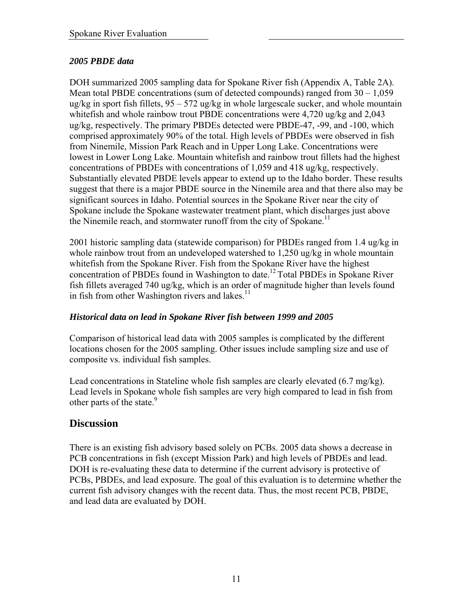## *2005 PBDE data*

DOH summarized 2005 sampling data for Spokane River fish (Appendix A, Table 2A). Mean total PBDE concentrations (sum of detected compounds) ranged from  $30 - 1,059$ ug/kg in sport fish fillets, 95 – 572 ug/kg in whole largescale sucker, and whole mountain whitefish and whole rainbow trout PBDE concentrations were 4,720 ug/kg and 2,043 ug/kg, respectively. The primary PBDEs detected were PBDE-47, -99, and -100, which comprised approximately 90% of the total. High levels of PBDEs were observed in fish from Ninemile, Mission Park Reach and in Upper Long Lake. Concentrations were lowest in Lower Long Lake. Mountain whitefish and rainbow trout fillets had the highest concentrations of PBDEs with concentrations of 1,059 and 418 ug/kg, respectively. Substantially elevated PBDE levels appear to extend up to the Idaho border. These results suggest that there is a major PBDE source in the Ninemile area and that there also may be significant sources in Idaho. Potential sources in the Spokane River near the city of Spokane include the Spokane wastewater treatment plant, which discharges just above the Ninemile reach, and stormwater runoff from the city of Spokane.<sup>11</sup>

2001 historic sampling data (statewide comparison) for PBDEs ranged from 1.4 ug/kg in whole rainbow trout from an undeveloped watershed to 1,250 ug/kg in whole mountain whitefish from the Spokane River. Fish from the Spokane River have the highest concentration of PBDEs found in Washington to date.12 Total PBDEs in Spokane River fish fillets averaged 740 ug/kg, which is an order of magnitude higher than levels found in fish from other Washington rivers and lakes. $^{11}$ 

## *Historical data on lead in Spokane River fish between 1999 and 2005*

Comparison of historical lead data with 2005 samples is complicated by the different locations chosen for the 2005 sampling. Other issues include sampling size and use of composite vs. individual fish samples.

Lead concentrations in Stateline whole fish samples are clearly elevated (6.7 mg/kg). Lead levels in Spokane whole fish samples are very high compared to lead in fish from other parts of the state.<sup>9</sup>

## **Discussion**

There is an existing fish advisory based solely on PCBs. 2005 data shows a decrease in PCB concentrations in fish (except Mission Park) and high levels of PBDEs and lead. DOH is re-evaluating these data to determine if the current advisory is protective of PCBs, PBDEs, and lead exposure. The goal of this evaluation is to determine whether the current fish advisory changes with the recent data. Thus, the most recent PCB, PBDE, and lead data are evaluated by DOH.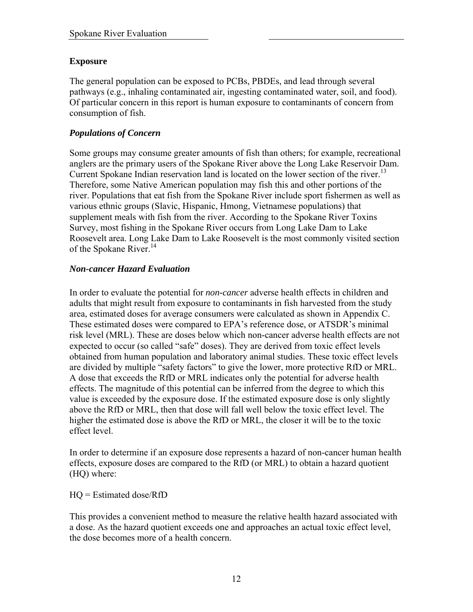## **Exposure**

The general population can be exposed to PCBs, PBDEs, and lead through several pathways (e.g., inhaling contaminated air, ingesting contaminated water, soil, and food). Of particular concern in this report is human exposure to contaminants of concern from consumption of fish.

## *Populations of Concern*

Some groups may consume greater amounts of fish than others; for example, recreational anglers are the primary users of the Spokane River above the Long Lake Reservoir Dam. Current Spokane Indian reservation land is located on the lower section of the river.<sup>13</sup> Therefore, some Native American population may fish this and other portions of the river. Populations that eat fish from the Spokane River include sport fishermen as well as various ethnic groups (Slavic, Hispanic, Hmong, Vietnamese populations) that supplement meals with fish from the river. According to the Spokane River Toxins Survey, most fishing in the Spokane River occurs from Long Lake Dam to Lake Roosevelt area. Long Lake Dam to Lake Roosevelt is the most commonly visited section of the Spokane River.<sup>14</sup>

#### *Non-cancer Hazard Evaluation*

In order to evaluate the potential for *non-cancer* adverse health effects in children and adults that might result from exposure to contaminants in fish harvested from the study area, estimated doses for average consumers were calculated as shown in Appendix C. These estimated doses were compared to EPA's reference dose, or ATSDR's minimal risk level (MRL). These are doses below which non-cancer adverse health effects are not expected to occur (so called "safe" doses). They are derived from toxic effect levels obtained from human population and laboratory animal studies. These toxic effect levels are divided by multiple "safety factors" to give the lower, more protective RfD or MRL. A dose that exceeds the RfD or MRL indicates only the potential for adverse health effects. The magnitude of this potential can be inferred from the degree to which this value is exceeded by the exposure dose. If the estimated exposure dose is only slightly above the RfD or MRL, then that dose will fall well below the toxic effect level. The higher the estimated dose is above the RfD or MRL, the closer it will be to the toxic effect level.

In order to determine if an exposure dose represents a hazard of non-cancer human health effects, exposure doses are compared to the RfD (or MRL) to obtain a hazard quotient (HQ) where:

HQ = Estimated dose/RfD

This provides a convenient method to measure the relative health hazard associated with a dose. As the hazard quotient exceeds one and approaches an actual toxic effect level, the dose becomes more of a health concern.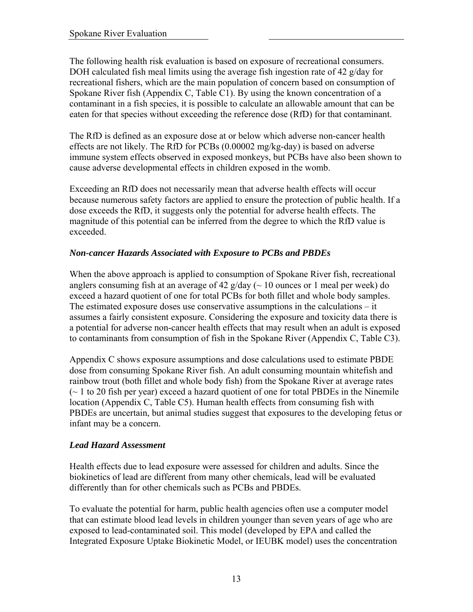The following health risk evaluation is based on exposure of recreational consumers. DOH calculated fish meal limits using the average fish ingestion rate of 42 g/day for recreational fishers, which are the main population of concern based on consumption of Spokane River fish (Appendix C, Table C1). By using the known concentration of a contaminant in a fish species, it is possible to calculate an allowable amount that can be eaten for that species without exceeding the reference dose (RfD) for that contaminant.

The RfD is defined as an exposure dose at or below which adverse non-cancer health effects are not likely. The RfD for PCBs (0.00002 mg/kg-day) is based on adverse immune system effects observed in exposed monkeys, but PCBs have also been shown to cause adverse developmental effects in children exposed in the womb.

Exceeding an RfD does not necessarily mean that adverse health effects will occur because numerous safety factors are applied to ensure the protection of public health. If a dose exceeds the RfD, it suggests only the potential for adverse health effects. The magnitude of this potential can be inferred from the degree to which the RfD value is exceeded.

## *Non-cancer Hazards Associated with Exposure to PCBs and PBDEs*

When the above approach is applied to consumption of Spokane River fish, recreational anglers consuming fish at an average of 42 g/day ( $\sim$  10 ounces or 1 meal per week) do exceed a hazard quotient of one for total PCBs for both fillet and whole body samples. The estimated exposure doses use conservative assumptions in the calculations – it assumes a fairly consistent exposure. Considering the exposure and toxicity data there is a potential for adverse non-cancer health effects that may result when an adult is exposed to contaminants from consumption of fish in the Spokane River (Appendix C, Table C3).

Appendix C shows exposure assumptions and dose calculations used to estimate PBDE dose from consuming Spokane River fish. An adult consuming mountain whitefish and rainbow trout (both fillet and whole body fish) from the Spokane River at average rates  $\sim$  1 to 20 fish per year) exceed a hazard quotient of one for total PBDEs in the Ninemile location (Appendix C, Table C5). Human health effects from consuming fish with PBDEs are uncertain, but animal studies suggest that exposures to the developing fetus or infant may be a concern.

## *Lead Hazard Assessment*

Health effects due to lead exposure were assessed for children and adults. Since the biokinetics of lead are different from many other chemicals, lead will be evaluated differently than for other chemicals such as PCBs and PBDEs.

To evaluate the potential for harm, public health agencies often use a computer model that can estimate blood lead levels in children younger than seven years of age who are exposed to lead-contaminated soil. This model (developed by EPA and called the Integrated Exposure Uptake Biokinetic Model, or IEUBK model) uses the concentration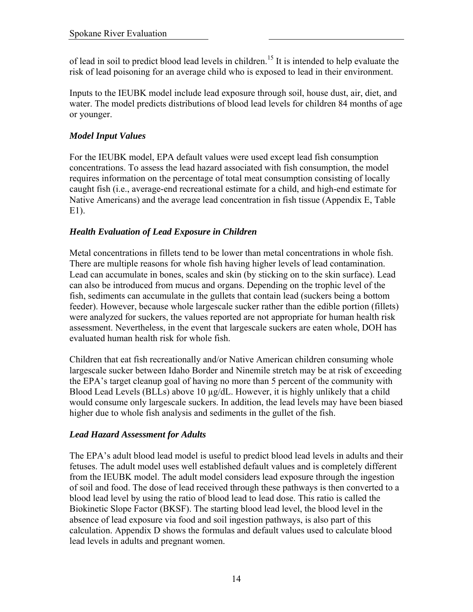of lead in soil to predict blood lead levels in children.<sup>15</sup> It is intended to help evaluate the risk of lead poisoning for an average child who is exposed to lead in their environment.

Inputs to the IEUBK model include lead exposure through soil, house dust, air, diet, and water. The model predicts distributions of blood lead levels for children 84 months of age or younger.

## *Model Input Values*

For the IEUBK model, EPA default values were used except lead fish consumption concentrations. To assess the lead hazard associated with fish consumption, the model requires information on the percentage of total meat consumption consisting of locally caught fish (i.e., average-end recreational estimate for a child, and high-end estimate for Native Americans) and the average lead concentration in fish tissue (Appendix E, Table E1).

## *Health Evaluation of Lead Exposure in Children*

Metal concentrations in fillets tend to be lower than metal concentrations in whole fish. There are multiple reasons for whole fish having higher levels of lead contamination. Lead can accumulate in bones, scales and skin (by sticking on to the skin surface). Lead can also be introduced from mucus and organs. Depending on the trophic level of the fish, sediments can accumulate in the gullets that contain lead (suckers being a bottom feeder). However, because whole largescale sucker rather than the edible portion (fillets) were analyzed for suckers, the values reported are not appropriate for human health risk assessment. Nevertheless, in the event that largescale suckers are eaten whole, DOH has evaluated human health risk for whole fish.

Children that eat fish recreationally and/or Native American children consuming whole largescale sucker between Idaho Border and Ninemile stretch may be at risk of exceeding the EPA's target cleanup goal of having no more than 5 percent of the community with Blood Lead Levels (BLLs) above 10  $\mu$ g/dL. However, it is highly unlikely that a child would consume only largescale suckers. In addition, the lead levels may have been biased higher due to whole fish analysis and sediments in the gullet of the fish.

## *Lead Hazard Assessment for Adults*

The EPA's adult blood lead model is useful to predict blood lead levels in adults and their fetuses. The adult model uses well established default values and is completely different from the IEUBK model. The adult model considers lead exposure through the ingestion of soil and food. The dose of lead received through these pathways is then converted to a blood lead level by using the ratio of blood lead to lead dose. This ratio is called the Biokinetic Slope Factor (BKSF). The starting blood lead level, the blood level in the absence of lead exposure via food and soil ingestion pathways, is also part of this calculation. Appendix D shows the formulas and default values used to calculate blood lead levels in adults and pregnant women.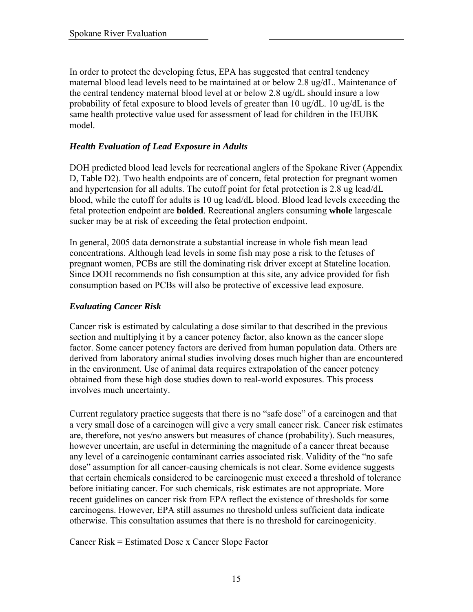In order to protect the developing fetus, EPA has suggested that central tendency maternal blood lead levels need to be maintained at or below 2.8 ug/dL. Maintenance of the central tendency maternal blood level at or below 2.8 ug/dL should insure a low probability of fetal exposure to blood levels of greater than 10 ug/dL. 10 ug/dL is the same health protective value used for assessment of lead for children in the IEUBK model.

## *Health Evaluation of Lead Exposure in Adults*

DOH predicted blood lead levels for recreational anglers of the Spokane River (Appendix D, Table D2). Two health endpoints are of concern, fetal protection for pregnant women and hypertension for all adults. The cutoff point for fetal protection is 2.8 ug lead/dL blood, while the cutoff for adults is 10 ug lead/dL blood. Blood lead levels exceeding the fetal protection endpoint are **bolded**. Recreational anglers consuming **whole** largescale sucker may be at risk of exceeding the fetal protection endpoint.

In general, 2005 data demonstrate a substantial increase in whole fish mean lead concentrations. Although lead levels in some fish may pose a risk to the fetuses of pregnant women, PCBs are still the dominating risk driver except at Stateline location. Since DOH recommends no fish consumption at this site, any advice provided for fish consumption based on PCBs will also be protective of excessive lead exposure.

#### *Evaluating Cancer Risk*

Cancer risk is estimated by calculating a dose similar to that described in the previous section and multiplying it by a cancer potency factor, also known as the cancer slope factor. Some cancer potency factors are derived from human population data. Others are derived from laboratory animal studies involving doses much higher than are encountered in the environment. Use of animal data requires extrapolation of the cancer potency obtained from these high dose studies down to real-world exposures. This process involves much uncertainty.

Current regulatory practice suggests that there is no "safe dose" of a carcinogen and that a very small dose of a carcinogen will give a very small cancer risk. Cancer risk estimates are, therefore, not yes/no answers but measures of chance (probability). Such measures, however uncertain, are useful in determining the magnitude of a cancer threat because any level of a carcinogenic contaminant carries associated risk. Validity of the "no safe dose" assumption for all cancer-causing chemicals is not clear. Some evidence suggests that certain chemicals considered to be carcinogenic must exceed a threshold of tolerance before initiating cancer. For such chemicals, risk estimates are not appropriate. More recent guidelines on cancer risk from EPA reflect the existence of thresholds for some carcinogens. However, EPA still assumes no threshold unless sufficient data indicate otherwise. This consultation assumes that there is no threshold for carcinogenicity.

Cancer Risk = Estimated Dose x Cancer Slope Factor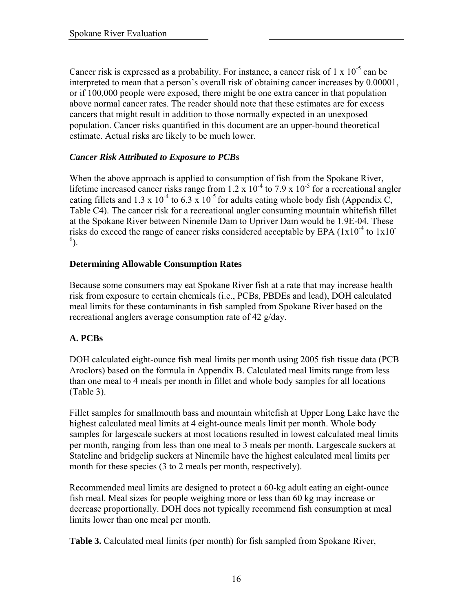Cancer risk is expressed as a probability. For instance, a cancer risk of  $1 \times 10^{-5}$  can be interpreted to mean that a person's overall risk of obtaining cancer increases by 0.00001, or if 100,000 people were exposed, there might be one extra cancer in that population above normal cancer rates. The reader should note that these estimates are for excess cancers that might result in addition to those normally expected in an unexposed population. Cancer risks quantified in this document are an upper-bound theoretical estimate. Actual risks are likely to be much lower.

## *Cancer Risk Attributed to Exposure to PCBs*

When the above approach is applied to consumption of fish from the Spokane River, lifetime increased cancer risks range from  $1.2 \times 10^{-4}$  to  $7.9 \times 10^{-5}$  for a recreational angler eating fillets and 1.3 x 10<sup>-4</sup> to 6.3 x 10<sup>-5</sup> for adults eating whole body fish (Appendix C, Table C4). The cancer risk for a recreational angler consuming mountain whitefish fillet at the Spokane River between Ninemile Dam to Upriver Dam would be 1.9E-04. These risks do exceed the range of cancer risks considered acceptable by EPA  $(1x10^{-4}$  to  $1x10^{-7}$  $^{6}$ ).

#### **Determining Allowable Consumption Rates**

Because some consumers may eat Spokane River fish at a rate that may increase health risk from exposure to certain chemicals (i.e., PCBs, PBDEs and lead), DOH calculated meal limits for these contaminants in fish sampled from Spokane River based on the recreational anglers average consumption rate of 42 g/day.

#### **A. PCBs**

DOH calculated eight-ounce fish meal limits per month using 2005 fish tissue data (PCB Aroclors) based on the formula in Appendix B. Calculated meal limits range from less than one meal to 4 meals per month in fillet and whole body samples for all locations (Table 3).

Fillet samples for smallmouth bass and mountain whitefish at Upper Long Lake have the highest calculated meal limits at 4 eight-ounce meals limit per month. Whole body samples for largescale suckers at most locations resulted in lowest calculated meal limits per month, ranging from less than one meal to 3 meals per month. Largescale suckers at Stateline and bridgelip suckers at Ninemile have the highest calculated meal limits per month for these species (3 to 2 meals per month, respectively).

Recommended meal limits are designed to protect a 60-kg adult eating an eight-ounce fish meal. Meal sizes for people weighing more or less than 60 kg may increase or decrease proportionally. DOH does not typically recommend fish consumption at meal limits lower than one meal per month.

**Table 3.** Calculated meal limits (per month) for fish sampled from Spokane River,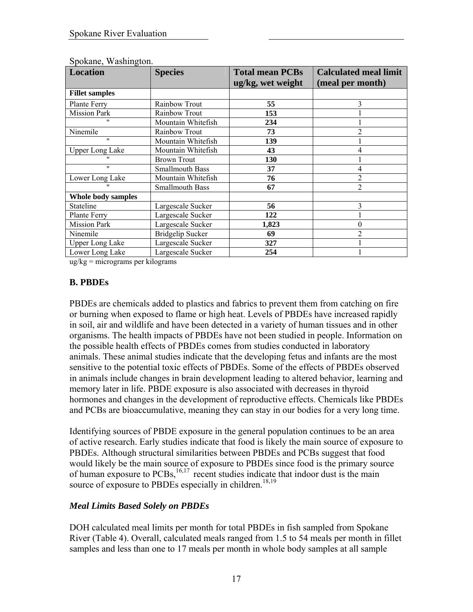| <b>Location</b>        | <b>Species</b>          | <b>Total mean PCBs</b><br>ug/kg, wet weight | <b>Calculated meal limit</b><br>(meal per month) |
|------------------------|-------------------------|---------------------------------------------|--------------------------------------------------|
| <b>Fillet samples</b>  |                         |                                             |                                                  |
| Plante Ferry           | Rainbow Trout           | 55                                          | 3                                                |
| <b>Mission Park</b>    | Rainbow Trout           | 153                                         |                                                  |
| $^{\prime\prime}$      | Mountain Whitefish      | 234                                         |                                                  |
| Ninemile               | Rainbow Trout           | 73                                          | $\overline{2}$                                   |
| $^{\prime\prime}$      | Mountain Whitefish      | 139                                         |                                                  |
| <b>Upper Long Lake</b> | Mountain Whitefish      | 43                                          | 4                                                |
| $^{\prime\prime}$      | <b>Brown Trout</b>      | 130                                         |                                                  |
| $^{\prime\prime}$      | <b>Smallmouth Bass</b>  | 37                                          | 4                                                |
| Lower Long Lake        | Mountain Whitefish      | 76                                          | $\overline{2}$                                   |
| $^{\prime\prime}$      | <b>Smallmouth Bass</b>  | 67                                          | $\overline{2}$                                   |
| Whole body samples     |                         |                                             |                                                  |
| Stateline              | Largescale Sucker       | 56                                          | 3                                                |
| Plante Ferry           | Largescale Sucker       | 122                                         |                                                  |
| <b>Mission Park</b>    | Largescale Sucker       | 1,823                                       | $\theta$                                         |
| Ninemile               | <b>Bridgelip Sucker</b> | 69                                          | $\overline{2}$                                   |
| <b>Upper Long Lake</b> | Largescale Sucker       | 327                                         |                                                  |
| Lower Long Lake        | Largescale Sucker       | 254                                         |                                                  |

Spokane, Washington.

ug/kg = micrograms per kilograms

## **B. PBDEs**

PBDEs are chemicals added to plastics and fabrics to prevent them from catching on fire or burning when exposed to flame or high heat. Levels of PBDEs have increased rapidly in soil, air and wildlife and have been detected in a variety of human tissues and in other organisms. The health impacts of PBDEs have not been studied in people. Information on the possible health effects of PBDEs comes from studies conducted in laboratory animals. These animal studies indicate that the developing fetus and infants are the most sensitive to the potential toxic effects of PBDEs. Some of the effects of PBDEs observed in animals include changes in brain development leading to altered behavior, learning and memory later in life. PBDE exposure is also associated with decreases in thyroid hormones and changes in the development of reproductive effects. Chemicals like PBDEs and PCBs are bioaccumulative, meaning they can stay in our bodies for a very long time.

Identifying sources of PBDE exposure in the general population continues to be an area of active research. Early studies indicate that food is likely the main source of exposure to PBDEs. Although structural similarities between PBDEs and PCBs suggest that food would likely be the main source of exposure to PBDEs since food is the primary source of human exposure to  $PCBs$ ,  $^{16,17}$  recent studies indicate that indoor dust is the main source of exposure to PBDEs especially in children.<sup>18,19</sup>

## *Meal Limits Based Solely on PBDEs*

DOH calculated meal limits per month for total PBDEs in fish sampled from Spokane River (Table 4). Overall, calculated meals ranged from 1.5 to 54 meals per month in fillet samples and less than one to 17 meals per month in whole body samples at all sample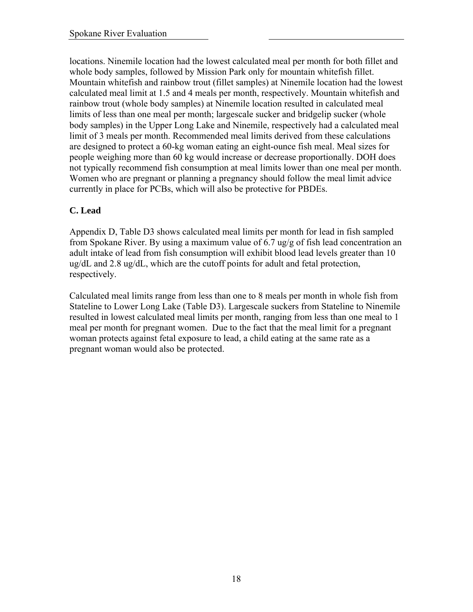locations. Ninemile location had the lowest calculated meal per month for both fillet and whole body samples, followed by Mission Park only for mountain whitefish fillet. Mountain whitefish and rainbow trout (fillet samples) at Ninemile location had the lowest calculated meal limit at 1.5 and 4 meals per month, respectively. Mountain whitefish and rainbow trout (whole body samples) at Ninemile location resulted in calculated meal limits of less than one meal per month; largescale sucker and bridgelip sucker (whole body samples) in the Upper Long Lake and Ninemile, respectively had a calculated meal limit of 3 meals per month. Recommended meal limits derived from these calculations are designed to protect a 60-kg woman eating an eight-ounce fish meal. Meal sizes for people weighing more than 60 kg would increase or decrease proportionally. DOH does not typically recommend fish consumption at meal limits lower than one meal per month. Women who are pregnant or planning a pregnancy should follow the meal limit advice currently in place for PCBs, which will also be protective for PBDEs.

## **C. Lead**

Appendix D, Table D3 shows calculated meal limits per month for lead in fish sampled from Spokane River. By using a maximum value of 6.7 ug/g of fish lead concentration an adult intake of lead from fish consumption will exhibit blood lead levels greater than 10 ug/dL and 2.8 ug/dL, which are the cutoff points for adult and fetal protection, respectively.

Calculated meal limits range from less than one to 8 meals per month in whole fish from Stateline to Lower Long Lake (Table D3). Largescale suckers from Stateline to Ninemile resulted in lowest calculated meal limits per month, ranging from less than one meal to 1 meal per month for pregnant women. Due to the fact that the meal limit for a pregnant woman protects against fetal exposure to lead, a child eating at the same rate as a pregnant woman would also be protected.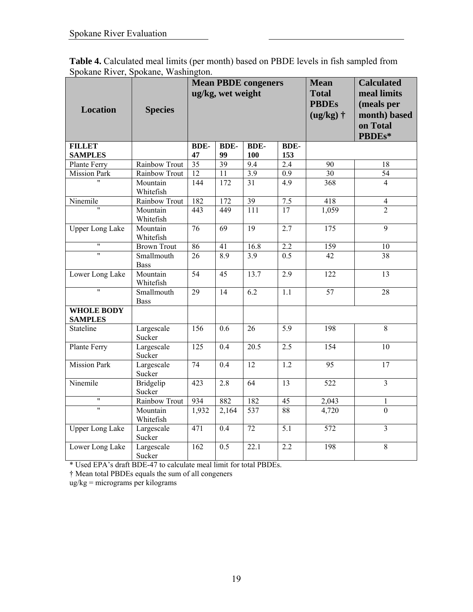|                                     | <b>Table 4.</b> Calculated meal limits (per month) based on PBDE levels in fish sampled from |
|-------------------------------------|----------------------------------------------------------------------------------------------|
| Spokane River, Spokane, Washington. |                                                                                              |

| <b>Location</b>                     | <b>Species</b>            |                   | ug/kg, wet weight | <b>Mean PBDE congeners</b> |                    | <b>Mean</b><br><b>Total</b><br><b>PBDEs</b><br>$(ug/kg)$ † | <b>Calculated</b><br>meal limits<br>(meals per<br>month) based<br>on Total<br>PBDEs* |
|-------------------------------------|---------------------------|-------------------|-------------------|----------------------------|--------------------|------------------------------------------------------------|--------------------------------------------------------------------------------------|
| <b>FILLET</b><br><b>SAMPLES</b>     |                           | <b>BDE-</b><br>47 | <b>BDE-</b><br>99 | <b>BDE-</b><br>100         | <b>BDE-</b><br>153 |                                                            |                                                                                      |
| Plante Ferry                        | Rainbow Trout             | $\overline{35}$   | $\overline{39}$   | 9.4                        | 2.4                | 90                                                         | $18\,$                                                                               |
| <b>Mission Park</b>                 | Rainbow Trout             | 12                | $\overline{11}$   | $\overline{3.9}$           | 0.9                | $\overline{30}$                                            | $\overline{54}$                                                                      |
| $\overline{u}$                      | Mountain<br>Whitefish     | 144               | 172               | $\overline{31}$            | $\overline{4.9}$   | 368                                                        | $\overline{4}$                                                                       |
| Ninemile                            | Rainbow Trout             | 182               | $\overline{172}$  | 39                         | $7.5$              | 418                                                        | $\overline{4}$                                                                       |
|                                     | Mountain<br>Whitefish     | 443               | 449               | $\overline{111}$           | $\overline{17}$    | 1,059                                                      | $\overline{2}$                                                                       |
| <b>Upper Long Lake</b>              | Mountain<br>Whitefish     | $\overline{76}$   | $\overline{69}$   | 19                         | 2.7                | $\overline{175}$                                           | $\overline{9}$                                                                       |
| $\overline{\mathbf{u}}$             | <b>Brown Trout</b>        | 86                | $\overline{41}$   | 16.8                       | $\overline{2.2}$   | 159                                                        | 10                                                                                   |
| $\overline{\mathbf{u}}$             | Smallmouth<br><b>Bass</b> | $\overline{26}$   | $\overline{8.9}$  | $\overline{3.9}$           | 0.5                | $\overline{42}$                                            | $\overline{38}$                                                                      |
| Lower Long Lake                     | Mountain<br>Whitefish     | $\overline{54}$   | $\overline{45}$   | 13.7                       | $\overline{2.9}$   | $\overline{122}$                                           | $\overline{13}$                                                                      |
| $\overline{\mathbf{u}}$             | Smallmouth<br><b>Bass</b> | $\overline{29}$   | $\overline{14}$   | $\overline{6.2}$           | $\overline{1.1}$   | 57                                                         | 28                                                                                   |
| <b>WHOLE BODY</b><br><b>SAMPLES</b> |                           |                   |                   |                            |                    |                                                            |                                                                                      |
| Stateline                           | Largescale<br>Sucker      | $\overline{156}$  | 0.6               | $\overline{26}$            | $\overline{5.9}$   | 198                                                        | $\overline{8}$                                                                       |
| Plante Ferry                        | Largescale<br>Sucker      | $\overline{125}$  | $\overline{0.4}$  | $\overline{20.5}$          | 2.5                | 154                                                        | $\overline{10}$                                                                      |
| <b>Mission Park</b>                 | Largescale<br>Sucker      | 74                | 0.4               | 12                         | 1.2                | 95                                                         | 17                                                                                   |
| Ninemile                            | Bridgelip<br>Sucker       | 423               | 2.8               | $\overline{64}$            | $\overline{13}$    | $\overline{522}$                                           | $\overline{3}$                                                                       |
| $\pmb{\mathsf{H}}$                  | Rainbow Trout             | 934               | 882               | 182                        | 45                 | 2,043                                                      | 1                                                                                    |
| $\overline{ }$                      | Mountain<br>Whitefish     | 1,932             | 2,164             | 537                        | 88                 | 4,720                                                      | $\mathbf{0}$                                                                         |
| <b>Upper Long Lake</b>              | Largescale<br>Sucker      | $\overline{471}$  | 0.4               | $\overline{72}$            | 5.1                | $\overline{572}$                                           | $\overline{\mathbf{3}}$                                                              |
| Lower Long Lake                     | Largescale<br>Sucker      | 162               | 0.5               | 22.1                       | 2.2                | 198                                                        | 8                                                                                    |

\* Used EPA's draft BDE-47 to calculate meal limit for total PBDEs.

† Mean total PBDEs equals the sum of all congeners

ug/kg = micrograms per kilograms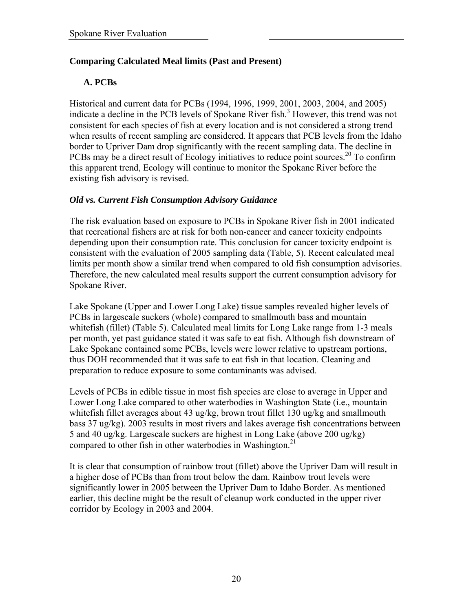## **Comparing Calculated Meal limits (Past and Present)**

## **A. PCBs**

Historical and current data for PCBs (1994, 1996, 1999, 2001, 2003, 2004, and 2005) indicate a decline in the PCB levels of Spokane River fish.<sup>3</sup> However, this trend was not consistent for each species of fish at every location and is not considered a strong trend when results of recent sampling are considered. It appears that PCB levels from the Idaho border to Upriver Dam drop significantly with the recent sampling data. The decline in PCBs may be a direct result of Ecology initiatives to reduce point sources.<sup>20</sup> To confirm this apparent trend, Ecology will continue to monitor the Spokane River before the existing fish advisory is revised.

## *Old vs. Current Fish Consumption Advisory Guidance*

The risk evaluation based on exposure to PCBs in Spokane River fish in 2001 indicated that recreational fishers are at risk for both non-cancer and cancer toxicity endpoints depending upon their consumption rate. This conclusion for cancer toxicity endpoint is consistent with the evaluation of 2005 sampling data (Table, 5). Recent calculated meal limits per month show a similar trend when compared to old fish consumption advisories. Therefore, the new calculated meal results support the current consumption advisory for Spokane River.

Lake Spokane (Upper and Lower Long Lake) tissue samples revealed higher levels of PCBs in largescale suckers (whole) compared to smallmouth bass and mountain whitefish (fillet) (Table 5). Calculated meal limits for Long Lake range from 1-3 meals per month, yet past guidance stated it was safe to eat fish. Although fish downstream of Lake Spokane contained some PCBs, levels were lower relative to upstream portions, thus DOH recommended that it was safe to eat fish in that location. Cleaning and preparation to reduce exposure to some contaminants was advised.

Levels of PCBs in edible tissue in most fish species are close to average in Upper and Lower Long Lake compared to other waterbodies in Washington State (i.e., mountain whitefish fillet averages about 43 ug/kg, brown trout fillet 130 ug/kg and smallmouth bass 37 ug/kg). 2003 results in most rivers and lakes average fish concentrations between 5 and 40 ug/kg. Largescale suckers are highest in Long Lake (above 200 ug/kg) compared to other fish in other waterbodies in Washington.<sup>21</sup>

It is clear that consumption of rainbow trout (fillet) above the Upriver Dam will result in a higher dose of PCBs than from trout below the dam. Rainbow trout levels were significantly lower in 2005 between the Upriver Dam to Idaho Border. As mentioned earlier, this decline might be the result of cleanup work conducted in the upper river corridor by Ecology in 2003 and 2004.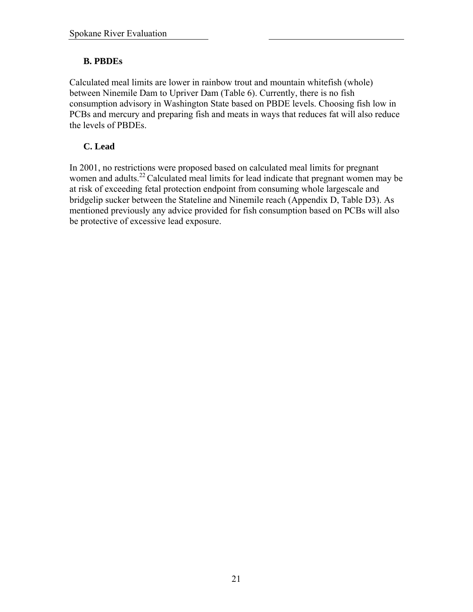## **B. PBDEs**

Calculated meal limits are lower in rainbow trout and mountain whitefish (whole) between Ninemile Dam to Upriver Dam (Table 6). Currently, there is no fish consumption advisory in Washington State based on PBDE levels. Choosing fish low in PCBs and mercury and preparing fish and meats in ways that reduces fat will also reduce the levels of PBDEs.

## **C. Lead**

In 2001, no restrictions were proposed based on calculated meal limits for pregnant women and adults.<sup>22</sup> Calculated meal limits for lead indicate that pregnant women may be at risk of exceeding fetal protection endpoint from consuming whole largescale and bridgelip sucker between the Stateline and Ninemile reach (Appendix D, Table D3). As mentioned previously any advice provided for fish consumption based on PCBs will also be protective of excessive lead exposure.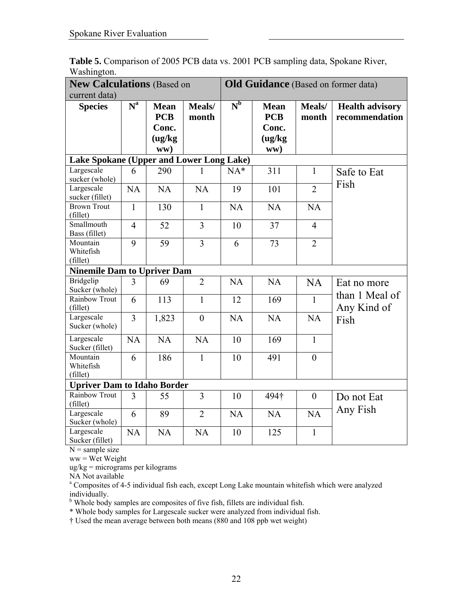|                                          | <b>New Calculations (Based on</b> |                                                      |                 |                | <b>Old Guidance</b> (Based on former data)           |                 |                                          |  |  |
|------------------------------------------|-----------------------------------|------------------------------------------------------|-----------------|----------------|------------------------------------------------------|-----------------|------------------------------------------|--|--|
| current data)                            |                                   |                                                      |                 |                |                                                      |                 |                                          |  |  |
| <b>Species</b>                           | N <sup>a</sup>                    | <b>Mean</b><br><b>PCB</b><br>Conc.<br>(ug/kg)<br>ww) | Meals/<br>month | N <sub>p</sub> | <b>Mean</b><br><b>PCB</b><br>Conc.<br>(ug/kg)<br>ww) | Meals/<br>month | <b>Health advisory</b><br>recommendation |  |  |
| Lake Spokane (Upper and Lower Long Lake) |                                   |                                                      |                 |                |                                                      |                 |                                          |  |  |
| Largescale<br>sucker (whole)             | 6                                 | 290                                                  | I.              | $NA*$          | 311                                                  | $\mathbf{1}$    | Safe to Eat<br>Fish                      |  |  |
| Largescale<br>sucker (fillet)            | <b>NA</b>                         | NA                                                   | NA              | 19             | 101                                                  | $\overline{2}$  |                                          |  |  |
| <b>Brown Trout</b><br>(fillet)           | $\mathbf{1}$                      | 130                                                  | $\mathbf{1}$    | <b>NA</b>      | <b>NA</b>                                            | <b>NA</b>       |                                          |  |  |
| Smallmouth<br>Bass (fillet)              | $\overline{4}$                    | 52                                                   | $\overline{3}$  | 10             | 37                                                   | $\overline{4}$  |                                          |  |  |
| Mountain<br>Whitefish<br>(fillet)        | 9                                 | 59                                                   | $\overline{3}$  | 6              | 73                                                   | $\overline{2}$  |                                          |  |  |
| <b>Ninemile Dam to Upriver Dam</b>       |                                   |                                                      |                 |                |                                                      |                 |                                          |  |  |
| Bridgelip<br>Sucker (whole)              | $\overline{3}$                    | 69                                                   | $\overline{2}$  | <b>NA</b>      | <b>NA</b>                                            | <b>NA</b>       | Eat no more                              |  |  |
| Rainbow Trout<br>(fillet)                | 6                                 | 113                                                  | $\mathbf{1}$    | 12             | 169                                                  | $\mathbf{1}$    | than 1 Meal of<br>Any Kind of            |  |  |
| Largescale<br>Sucker (whole)             | $\overline{3}$                    | 1,823                                                | $\theta$        | NA             | NA                                                   | <b>NA</b>       | Fish                                     |  |  |
| Largescale<br>Sucker (fillet)            | <b>NA</b>                         | <b>NA</b>                                            | <b>NA</b>       | 10             | 169                                                  | $\mathbf{1}$    |                                          |  |  |
| Mountain<br>Whitefish<br>(fillet)        | 6                                 | 186                                                  | $\mathbf{1}$    | 10             | 491                                                  | $\overline{0}$  |                                          |  |  |
| <b>Upriver Dam to Idaho Border</b>       |                                   |                                                      |                 |                |                                                      |                 |                                          |  |  |
| Rainbow Trout<br>(fillet)                | 3                                 | 55                                                   | 3               | 10             | 494†                                                 | $\overline{0}$  | Do not Eat                               |  |  |
| Largescale<br>Sucker (whole)             | 6                                 | 89                                                   | $\overline{2}$  | <b>NA</b>      | NA                                                   | NA              | Any Fish                                 |  |  |
| Largescale<br>Sucker (fillet)            | NA                                | NA                                                   | <b>NA</b>       | 10             | 125                                                  | 1               |                                          |  |  |

**Table 5.** Comparison of 2005 PCB data vs. 2001 PCB sampling data, Spokane River, Washington.

 $N =$ sample size

ww = Wet Weight

ug/kg = micrograms per kilograms

NA Not available

<sup>a</sup> Composites of 4-5 individual fish each, except Long Lake mountain whitefish which were analyzed

individually. b Whole body samples are composites of five fish, fillets are individual fish.

\* Whole body samples for Largescale sucker were analyzed from individual fish.

† Used the mean average between both means (880 and 108 ppb wet weight)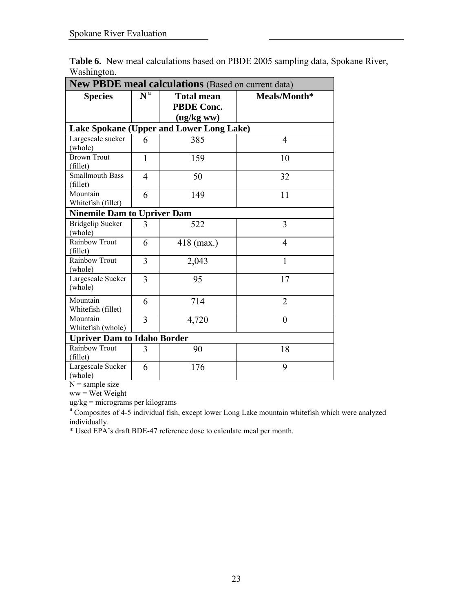| <b>New PBDE meal calculations</b> (Based on current data) |                |                   |                |  |  |  |  |  |  |  |  |
|-----------------------------------------------------------|----------------|-------------------|----------------|--|--|--|--|--|--|--|--|
| <b>Species</b>                                            | N <sup>a</sup> | <b>Total mean</b> | Meals/Month*   |  |  |  |  |  |  |  |  |
|                                                           |                | <b>PBDE Conc.</b> |                |  |  |  |  |  |  |  |  |
|                                                           |                | (ug/kg ww)        |                |  |  |  |  |  |  |  |  |
| Lake Spokane (Upper and Lower Long Lake)                  |                |                   |                |  |  |  |  |  |  |  |  |
| Largescale sucker                                         | 6              | 385               | $\overline{4}$ |  |  |  |  |  |  |  |  |
| (whole)                                                   |                |                   |                |  |  |  |  |  |  |  |  |
| <b>Brown Trout</b>                                        | $\mathbf{1}$   | 159               | 10             |  |  |  |  |  |  |  |  |
| (fillet)                                                  |                |                   |                |  |  |  |  |  |  |  |  |
| <b>Smallmouth Bass</b>                                    | 4              | 50                | 32             |  |  |  |  |  |  |  |  |
| (fillet)                                                  |                |                   |                |  |  |  |  |  |  |  |  |
| Mountain                                                  | 6              | 149               | 11             |  |  |  |  |  |  |  |  |
| Whitefish (fillet)                                        |                |                   |                |  |  |  |  |  |  |  |  |
| <b>Ninemile Dam to Upriver Dam</b>                        |                |                   |                |  |  |  |  |  |  |  |  |
| <b>Bridgelip Sucker</b>                                   | 3              | 522               | 3              |  |  |  |  |  |  |  |  |
| (whole)                                                   |                |                   |                |  |  |  |  |  |  |  |  |
| Rainbow Trout                                             | 6              | $418$ (max.)      | 4              |  |  |  |  |  |  |  |  |
| (fillet)                                                  |                |                   |                |  |  |  |  |  |  |  |  |
| Rainbow Trout                                             | 3              | 2,043             | 1              |  |  |  |  |  |  |  |  |
| (whole)                                                   |                |                   |                |  |  |  |  |  |  |  |  |
| Largescale Sucker                                         | 3              | 95                | 17             |  |  |  |  |  |  |  |  |
| (whole)                                                   |                |                   |                |  |  |  |  |  |  |  |  |
| Mountain                                                  | 6              | 714               | $\overline{2}$ |  |  |  |  |  |  |  |  |
| Whitefish (fillet)                                        |                |                   |                |  |  |  |  |  |  |  |  |
| Mountain                                                  | 3              | 4,720             | $\theta$       |  |  |  |  |  |  |  |  |
| Whitefish (whole)                                         |                |                   |                |  |  |  |  |  |  |  |  |
| <b>Upriver Dam to Idaho Border</b>                        |                |                   |                |  |  |  |  |  |  |  |  |
| Rainbow Trout                                             | 3              | 90                | 18             |  |  |  |  |  |  |  |  |
| (fillet)                                                  |                |                   |                |  |  |  |  |  |  |  |  |
| Largescale Sucker                                         | 6              | 176               | 9              |  |  |  |  |  |  |  |  |
| (whole)                                                   |                |                   |                |  |  |  |  |  |  |  |  |

**Table 6.** New meal calculations based on PBDE 2005 sampling data, Spokane River, Washington.

 $N =$ sample size

 $ww =$  Wet Weight

ug/kg = micrograms per kilograms

<sup>a</sup> Composites of 4-5 individual fish, except lower Long Lake mountain whitefish which were analyzed individually.

\* Used EPA's draft BDE-47 reference dose to calculate meal per month.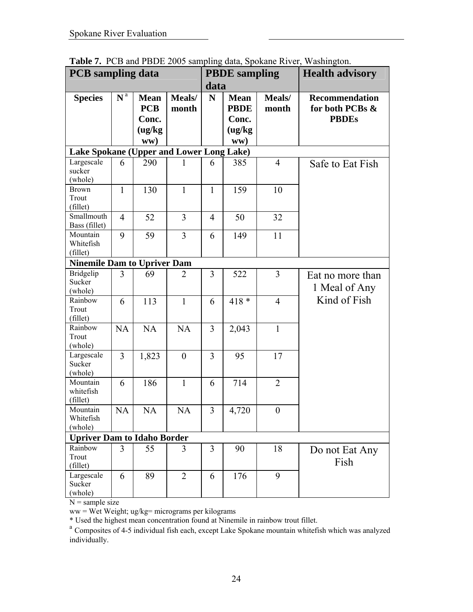|                                                 | <b>PCB</b> sampling data |                                                      |                 |                | <b>PBDE</b> sampling                                 |                 | <b>Health advisory</b>                                   |
|-------------------------------------------------|--------------------------|------------------------------------------------------|-----------------|----------------|------------------------------------------------------|-----------------|----------------------------------------------------------|
|                                                 |                          |                                                      |                 | data           |                                                      |                 |                                                          |
| <b>Species</b>                                  | $N^a$                    | <b>Mean</b><br><b>PCB</b><br>Conc.<br>(ug/kg)<br>ww) | Meals/<br>month | N              | <b>Mean</b><br><b>PBDE</b><br>Conc.<br>(ug/kg<br>ww) | Meals/<br>month | <b>Recommendation</b><br>for both PCBs &<br><b>PBDEs</b> |
| <b>Lake Spokane (Upper and Lower Long Lake)</b> |                          |                                                      |                 |                |                                                      |                 |                                                          |
| Largescale<br>sucker<br>(whole)                 | 6                        | 290                                                  | 1               | 6              | 385                                                  | $\overline{4}$  | Safe to Eat Fish                                         |
| <b>Brown</b><br>Trout<br>(fillet)               | $\mathbf{1}$             | 130                                                  | $\mathbf{1}$    | $\mathbf{1}$   | 159                                                  | 10              |                                                          |
| Smallmouth<br>Bass (fillet)                     | $\overline{4}$           | 52                                                   | 3               | $\overline{4}$ | 50                                                   | 32              |                                                          |
| Mountain<br>Whitefish<br>(fillet)               | 9                        | 59                                                   | $\overline{3}$  | 6              | 149                                                  | 11              |                                                          |
| <b>Ninemile Dam to Upriver Dam</b>              |                          |                                                      |                 |                |                                                      |                 |                                                          |
| <b>Bridgelip</b><br>Sucker<br>(whole)           | 3                        | 69                                                   | 2               | 3              | 522                                                  | 3               | Eat no more than<br>1 Meal of Any                        |
| Rainbow<br>Trout<br>(fillet)                    | 6                        | 113                                                  | $\mathbf{1}$    | 6              | $418 *$                                              | $\overline{4}$  | Kind of Fish                                             |
| Rainbow<br>Trout<br>(whole)                     | <b>NA</b>                | <b>NA</b>                                            | <b>NA</b>       | 3              | 2,043                                                | $\mathbf{1}$    |                                                          |
| Largescale<br>Sucker<br>(whole)                 | $\overline{3}$           | 1,823                                                | $\theta$        | 3              | 95                                                   | 17              |                                                          |
| Mountain<br>whitefish<br>(fillet)               | 6                        | 186                                                  | $\mathbf{1}$    | 6              | 714                                                  | $\overline{2}$  |                                                          |
| Mountain<br>Whitefish<br>(whole)                | NA                       | NA                                                   | NA              | 3              | 4,720                                                | $\overline{0}$  |                                                          |
| <b>Upriver Dam to Idaho Border</b>              |                          |                                                      |                 |                |                                                      |                 |                                                          |
| Rainbow<br>Trout<br>(fillet)                    | 3                        | 55                                                   | 3               | 3              | 90                                                   | 18              | Do not Eat Any<br>Fish                                   |
| Largescale<br>Sucker<br>(whole)                 | 6                        | 89                                                   | $\overline{2}$  | 6              | 176                                                  | 9               |                                                          |

**Table 7.** PCB and PBDE 2005 sampling data, Spokane River, Washington.

ww = Wet Weight; ug/kg= micrograms per kilograms<br>\* Used the highest mean concentration found at Ninemile in rainbow trout fillet.

<sup>a</sup> Composites of 4-5 individual fish each, except Lake Spokane mountain whitefish which was analyzed individually.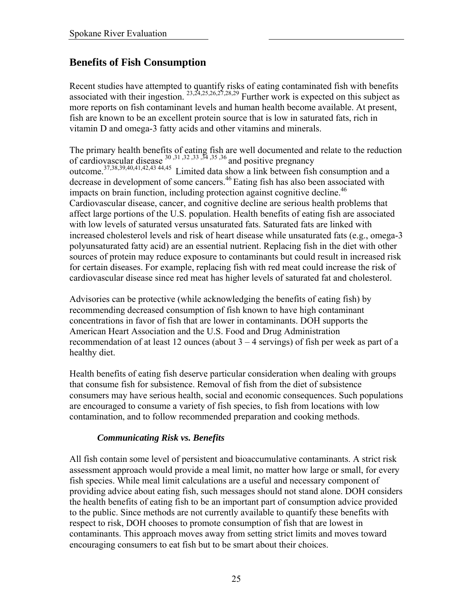## **Benefits of Fish Consumption**

Recent studies have attempted to quantify risks of eating contaminated fish with benefits associated with their ingestion.  $^{23,24,25,26,27,28,29}$  Further work is expected on this subject as more reports on fish contaminant levels and human health become available. At present, fish are known to be an excellent protein source that is low in saturated fats, rich in vitamin D and omega-3 fatty acids and other vitamins and minerals.

The primary health benefits of eating fish are well documented and relate to the reduction of cardiovascular disease  $^{30,31,32,33,34,35,36}$  and positive pregnancy outcome.<sup>37,38,39,40,41,42,43 44,45</sup> Limited data show a link between fish consumption and a decrease in development of some cancers.<sup>46</sup> Eating fish has also been associated with impacts on brain function, including protection against cognitive decline.<sup>46</sup> Cardiovascular disease, cancer, and cognitive decline are serious health problems that affect large portions of the U.S. population. Health benefits of eating fish are associated with low levels of saturated versus unsaturated fats. Saturated fats are linked with increased cholesterol levels and risk of heart disease while unsaturated fats (e.g., omega-3 polyunsaturated fatty acid) are an essential nutrient. Replacing fish in the diet with other sources of protein may reduce exposure to contaminants but could result in increased risk for certain diseases. For example, replacing fish with red meat could increase the risk of cardiovascular disease since red meat has higher levels of saturated fat and cholesterol.

Advisories can be protective (while acknowledging the benefits of eating fish) by recommending decreased consumption of fish known to have high contaminant concentrations in favor of fish that are lower in contaminants. DOH supports the American Heart Association and the U.S. Food and Drug Administration recommendation of at least 12 ounces (about  $3 - 4$  servings) of fish per week as part of a healthy diet.

Health benefits of eating fish deserve particular consideration when dealing with groups that consume fish for subsistence. Removal of fish from the diet of subsistence consumers may have serious health, social and economic consequences. Such populations are encouraged to consume a variety of fish species, to fish from locations with low contamination, and to follow recommended preparation and cooking methods.

#### *Communicating Risk vs. Benefits*

All fish contain some level of persistent and bioaccumulative contaminants. A strict risk assessment approach would provide a meal limit, no matter how large or small, for every fish species. While meal limit calculations are a useful and necessary component of providing advice about eating fish, such messages should not stand alone. DOH considers the health benefits of eating fish to be an important part of consumption advice provided to the public. Since methods are not currently available to quantify these benefits with respect to risk, DOH chooses to promote consumption of fish that are lowest in contaminants. This approach moves away from setting strict limits and moves toward encouraging consumers to eat fish but to be smart about their choices.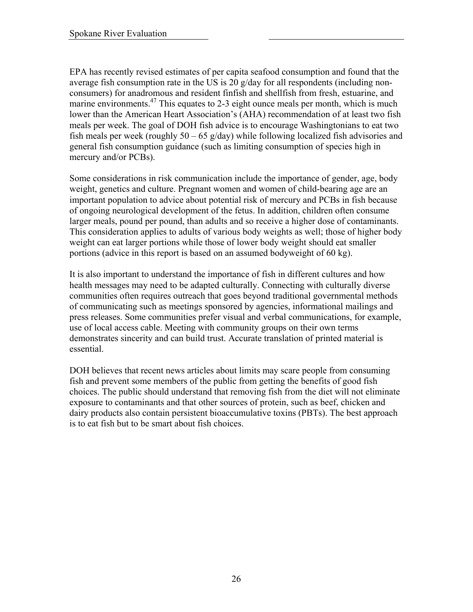EPA has recently revised estimates of per capita seafood consumption and found that the average fish consumption rate in the US is 20 g/day for all respondents (including nonconsumers) for anadromous and resident finfish and shellfish from fresh, estuarine, and marine environments.<sup>47</sup> This equates to 2-3 eight ounce meals per month, which is much lower than the American Heart Association's (AHA) recommendation of at least two fish meals per week. The goal of DOH fish advice is to encourage Washingtonians to eat two fish meals per week (roughly  $50 - 65$  g/day) while following localized fish advisories and general fish consumption guidance (such as limiting consumption of species high in mercury and/or PCBs).

Some considerations in risk communication include the importance of gender, age, body weight, genetics and culture. Pregnant women and women of child-bearing age are an important population to advice about potential risk of mercury and PCBs in fish because of ongoing neurological development of the fetus. In addition, children often consume larger meals, pound per pound, than adults and so receive a higher dose of contaminants. This consideration applies to adults of various body weights as well; those of higher body weight can eat larger portions while those of lower body weight should eat smaller portions (advice in this report is based on an assumed bodyweight of 60 kg).

It is also important to understand the importance of fish in different cultures and how health messages may need to be adapted culturally. Connecting with culturally diverse communities often requires outreach that goes beyond traditional governmental methods of communicating such as meetings sponsored by agencies, informational mailings and press releases. Some communities prefer visual and verbal communications, for example, use of local access cable. Meeting with community groups on their own terms demonstrates sincerity and can build trust. Accurate translation of printed material is essential.

DOH believes that recent news articles about limits may scare people from consuming fish and prevent some members of the public from getting the benefits of good fish choices. The public should understand that removing fish from the diet will not eliminate exposure to contaminants and that other sources of protein, such as beef, chicken and dairy products also contain persistent bioaccumulative toxins (PBTs). The best approach is to eat fish but to be smart about fish choices.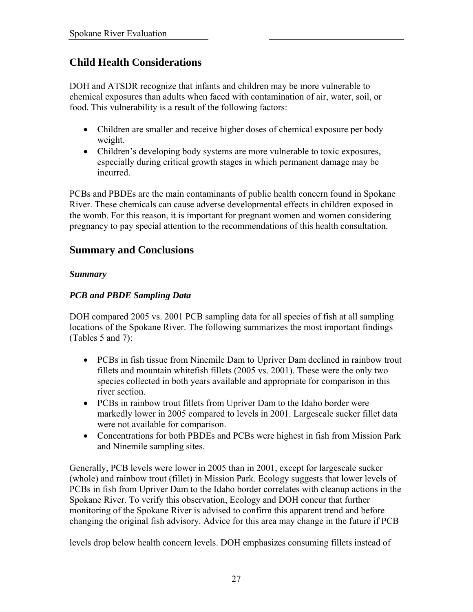## **Child Health Considerations**

DOH and ATSDR recognize that infants and children may be more vulnerable to chemical exposures than adults when faced with contamination of air, water, soil, or food. This vulnerability is a result of the following factors:

- Children are smaller and receive higher doses of chemical exposure per body weight.
- Children's developing body systems are more vulnerable to toxic exposures, especially during critical growth stages in which permanent damage may be incurred.

PCBs and PBDEs are the main contaminants of public health concern found in Spokane River. These chemicals can cause adverse developmental effects in children exposed in the womb. For this reason, it is important for pregnant women and women considering pregnancy to pay special attention to the recommendations of this health consultation.

## **Summary and Conclusions**

#### *Summary*

## *PCB and PBDE Sampling Data*

DOH compared 2005 vs. 2001 PCB sampling data for all species of fish at all sampling locations of the Spokane River. The following summarizes the most important findings (Tables 5 and 7):

- PCBs in fish tissue from Ninemile Dam to Upriver Dam declined in rainbow trout fillets and mountain whitefish fillets (2005 vs. 2001). These were the only two species collected in both years available and appropriate for comparison in this river section.
- PCBs in rainbow trout fillets from Upriver Dam to the Idaho border were markedly lower in 2005 compared to levels in 2001. Largescale sucker fillet data were not available for comparison.
- Concentrations for both PBDEs and PCBs were highest in fish from Mission Park and Ninemile sampling sites.

Generally, PCB levels were lower in 2005 than in 2001, except for largescale sucker (whole) and rainbow trout (fillet) in Mission Park. Ecology suggests that lower levels of PCBs in fish from Upriver Dam to the Idaho border correlates with cleanup actions in the Spokane River. To verify this observation, Ecology and DOH concur that further monitoring of the Spokane River is advised to confirm this apparent trend and before changing the original fish advisory. Advice for this area may change in the future if PCB

levels drop below health concern levels. DOH emphasizes consuming fillets instead of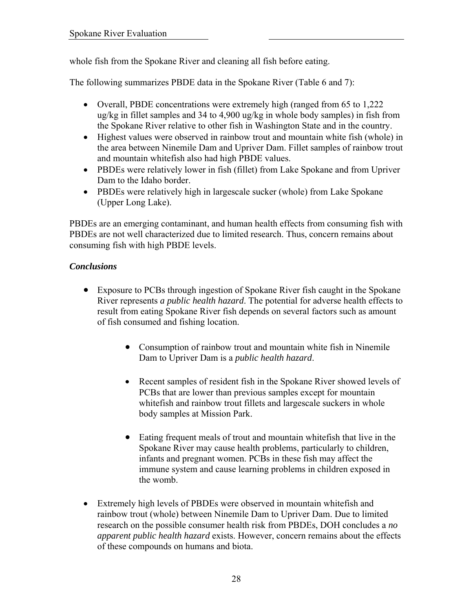whole fish from the Spokane River and cleaning all fish before eating.

The following summarizes PBDE data in the Spokane River (Table 6 and 7):

- Overall, PBDE concentrations were extremely high (ranged from 65 to 1,222) ug/kg in fillet samples and 34 to 4,900 ug/kg in whole body samples) in fish from the Spokane River relative to other fish in Washington State and in the country.
- Highest values were observed in rainbow trout and mountain white fish (whole) in the area between Ninemile Dam and Upriver Dam. Fillet samples of rainbow trout and mountain whitefish also had high PBDE values.
- PBDEs were relatively lower in fish (fillet) from Lake Spokane and from Upriver Dam to the Idaho border.
- PBDEs were relatively high in largescale sucker (whole) from Lake Spokane (Upper Long Lake).

PBDEs are an emerging contaminant, and human health effects from consuming fish with PBDEs are not well characterized due to limited research. Thus, concern remains about consuming fish with high PBDE levels.

## *Conclusions*

- Exposure to PCBs through ingestion of Spokane River fish caught in the Spokane River represents *a public health hazard*. The potential for adverse health effects to result from eating Spokane River fish depends on several factors such as amount of fish consumed and fishing location.
	- Consumption of rainbow trout and mountain white fish in Ninemile Dam to Upriver Dam is a *public health hazard*.
	- Recent samples of resident fish in the Spokane River showed levels of PCBs that are lower than previous samples except for mountain whitefish and rainbow trout fillets and largescale suckers in whole body samples at Mission Park.
	- Eating frequent meals of trout and mountain whitefish that live in the Spokane River may cause health problems, particularly to children, infants and pregnant women. PCBs in these fish may affect the immune system and cause learning problems in children exposed in the womb.
- Extremely high levels of PBDEs were observed in mountain whitefish and rainbow trout (whole) between Ninemile Dam to Upriver Dam. Due to limited research on the possible consumer health risk from PBDEs, DOH concludes a *no apparent public health hazard* exists. However, concern remains about the effects of these compounds on humans and biota.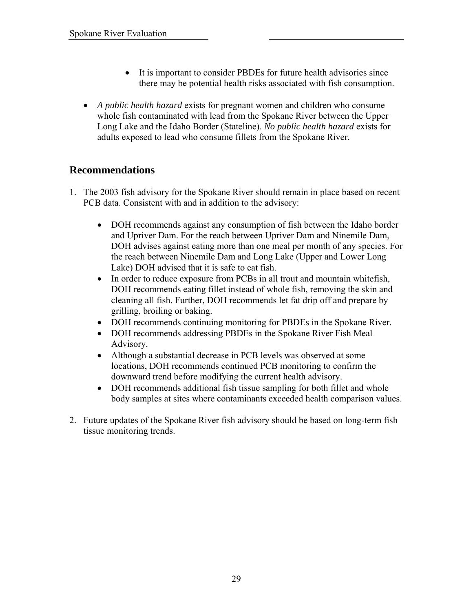- It is important to consider PBDEs for future health advisories since there may be potential health risks associated with fish consumption.
- *A public health hazard* exists for pregnant women and children who consume whole fish contaminated with lead from the Spokane River between the Upper Long Lake and the Idaho Border (Stateline). *No public health hazard* exists for adults exposed to lead who consume fillets from the Spokane River.

## **Recommendations**

- 1. The 2003 fish advisory for the Spokane River should remain in place based on recent PCB data. Consistent with and in addition to the advisory:
	- DOH recommends against any consumption of fish between the Idaho border and Upriver Dam. For the reach between Upriver Dam and Ninemile Dam, DOH advises against eating more than one meal per month of any species. For the reach between Ninemile Dam and Long Lake (Upper and Lower Long Lake) DOH advised that it is safe to eat fish.
	- In order to reduce exposure from PCBs in all trout and mountain whitefish, DOH recommends eating fillet instead of whole fish, removing the skin and cleaning all fish. Further, DOH recommends let fat drip off and prepare by grilling, broiling or baking.
	- DOH recommends continuing monitoring for PBDEs in the Spokane River.
	- DOH recommends addressing PBDEs in the Spokane River Fish Meal Advisory.
	- Although a substantial decrease in PCB levels was observed at some locations, DOH recommends continued PCB monitoring to confirm the downward trend before modifying the current health advisory.
	- DOH recommends additional fish tissue sampling for both fillet and whole body samples at sites where contaminants exceeded health comparison values.
- 2. Future updates of the Spokane River fish advisory should be based on long-term fish tissue monitoring trends.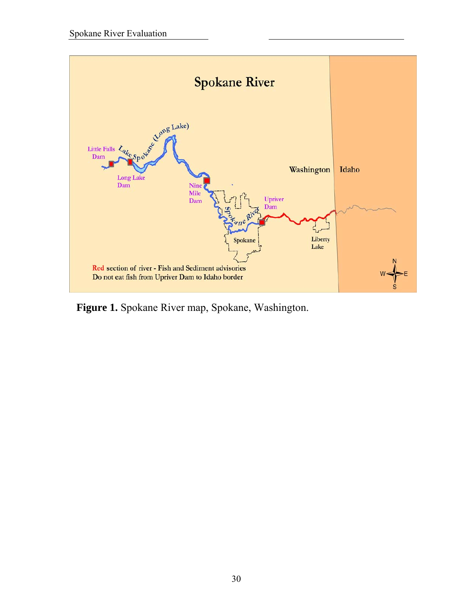

**Figure 1.** Spokane River map, Spokane, Washington.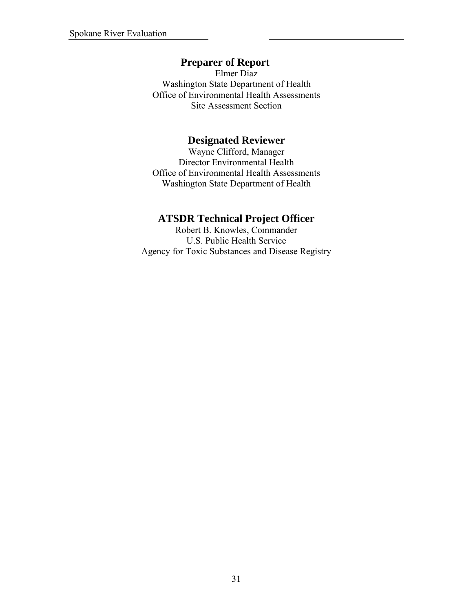## **Preparer of Report**

Elmer Diaz Washington State Department of Health Office of Environmental Health Assessments Site Assessment Section

## **Designated Reviewer**

Wayne Clifford, Manager Director Environmental Health Office of Environmental Health Assessments Washington State Department of Health

## **ATSDR Technical Project Officer**

Robert B. Knowles, Commander U.S. Public Health Service Agency for Toxic Substances and Disease Registry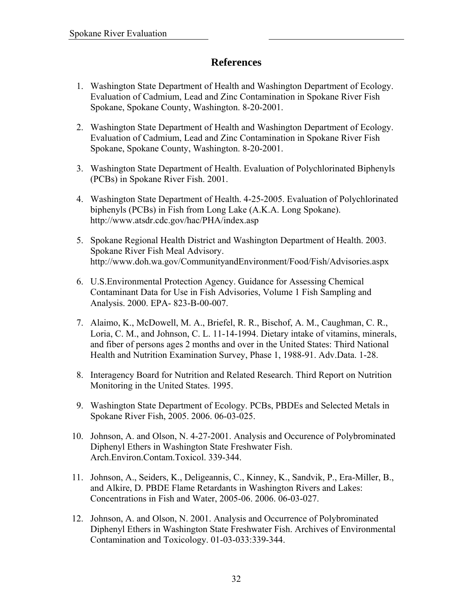## **References**

- 1. Washington State Department of Health and Washington Department of Ecology. Evaluation of Cadmium, Lead and Zinc Contamination in Spokane River Fish Spokane, Spokane County, Washington. 8-20-2001.
- 2. Washington State Department of Health and Washington Department of Ecology. Evaluation of Cadmium, Lead and Zinc Contamination in Spokane River Fish Spokane, Spokane County, Washington. 8-20-2001.
- 3. Washington State Department of Health. Evaluation of Polychlorinated Biphenyls (PCBs) in Spokane River Fish. 2001.
- 4. Washington State Department of Health. 4-25-2005. Evaluation of Polychlorinated biphenyls (PCBs) in Fish from Long Lake (A.K.A. Long Spokane). http://www.atsdr.cdc.gov/hac/PHA/index.asp
- 5. Spokane Regional Health District and Washington Department of Health. 2003. Spokane River Fish Meal Advisory. <http://www.doh.wa.gov/CommunityandEnvironment/Food/Fish/Advisories.aspx>
- 6. U.S.Environmental Protection Agency. Guidance for Assessing Chemical Contaminant Data for Use in Fish Advisories, Volume 1 Fish Sampling and Analysis. 2000. EPA- 823-B-00-007.
- 7. Alaimo, K., McDowell, M. A., Briefel, R. R., Bischof, A. M., Caughman, C. R., Loria, C. M., and Johnson, C. L. 11-14-1994. Dietary intake of vitamins, minerals, and fiber of persons ages 2 months and over in the United States: Third National Health and Nutrition Examination Survey, Phase 1, 1988-91. Adv.Data. 1-28.
- 8. Interagency Board for Nutrition and Related Research. Third Report on Nutrition Monitoring in the United States. 1995.
- 9. Washington State Department of Ecology. PCBs, PBDEs and Selected Metals in Spokane River Fish, 2005. 2006. 06-03-025.
- 10. Johnson, A. and Olson, N. 4-27-2001. Analysis and Occurence of Polybrominated Diphenyl Ethers in Washington State Freshwater Fish. Arch.Environ.Contam.Toxicol. 339-344.
- 11. Johnson, A., Seiders, K., Deligeannis, C., Kinney, K., Sandvik, P., Era-Miller, B., and Alkire, D. PBDE Flame Retardants in Washington Rivers and Lakes: Concentrations in Fish and Water, 2005-06. 2006. 06-03-027.
- 12. Johnson, A. and Olson, N. 2001. Analysis and Occurrence of Polybrominated Diphenyl Ethers in Washington State Freshwater Fish. Archives of Environmental Contamination and Toxicology. 01-03-033:339-344.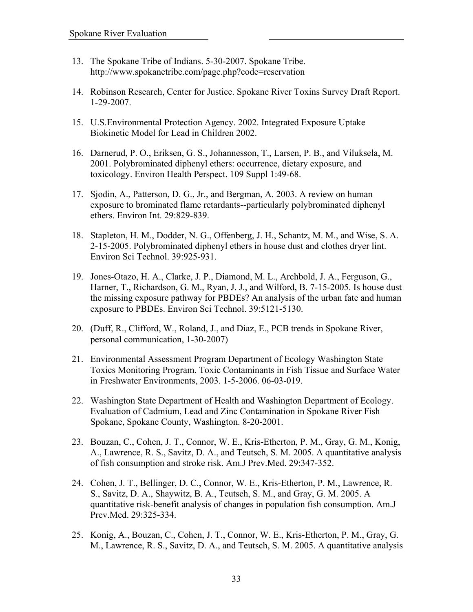- 13. The Spokane Tribe of Indians. 5-30-2007. Spokane Tribe. http://www.spokanetribe.com/page.php?code=reservation
- 14. Robinson Research, Center for Justice. Spokane River Toxins Survey Draft Report. 1-29-2007.
- 15. U.S.Environmental Protection Agency. 2002. Integrated Exposure Uptake Biokinetic Model for Lead in Children 2002.
- 16. Darnerud, P. O., Eriksen, G. S., Johannesson, T., Larsen, P. B., and Viluksela, M. 2001. Polybrominated diphenyl ethers: occurrence, dietary exposure, and toxicology. Environ Health Perspect. 109 Suppl 1:49-68.
- 17. Sjodin, A., Patterson, D. G., Jr., and Bergman, A. 2003. A review on human exposure to brominated flame retardants--particularly polybrominated diphenyl ethers. Environ Int. 29:829-839.
- 18. Stapleton, H. M., Dodder, N. G., Offenberg, J. H., Schantz, M. M., and Wise, S. A. 2-15-2005. Polybrominated diphenyl ethers in house dust and clothes dryer lint. Environ Sci Technol. 39:925-931.
- 19. Jones-Otazo, H. A., Clarke, J. P., Diamond, M. L., Archbold, J. A., Ferguson, G., Harner, T., Richardson, G. M., Ryan, J. J., and Wilford, B. 7-15-2005. Is house dust the missing exposure pathway for PBDEs? An analysis of the urban fate and human exposure to PBDEs. Environ Sci Technol. 39:5121-5130.
- 20. (Duff, R., Clifford, W., Roland, J., and Diaz, E., PCB trends in Spokane River, personal communication, 1-30-2007)
- 21. Environmental Assessment Program Department of Ecology Washington State Toxics Monitoring Program. Toxic Contaminants in Fish Tissue and Surface Water in Freshwater Environments, 2003. 1-5-2006. 06-03-019.
- 22. Washington State Department of Health and Washington Department of Ecology. Evaluation of Cadmium, Lead and Zinc Contamination in Spokane River Fish Spokane, Spokane County, Washington. 8-20-2001.
- 23. Bouzan, C., Cohen, J. T., Connor, W. E., Kris-Etherton, P. M., Gray, G. M., Konig, A., Lawrence, R. S., Savitz, D. A., and Teutsch, S. M. 2005. A quantitative analysis of fish consumption and stroke risk. Am.J Prev.Med. 29:347-352.
- 24. Cohen, J. T., Bellinger, D. C., Connor, W. E., Kris-Etherton, P. M., Lawrence, R. S., Savitz, D. A., Shaywitz, B. A., Teutsch, S. M., and Gray, G. M. 2005. A quantitative risk-benefit analysis of changes in population fish consumption. Am.J Prev.Med. 29:325-334.
- 25. Konig, A., Bouzan, C., Cohen, J. T., Connor, W. E., Kris-Etherton, P. M., Gray, G. M., Lawrence, R. S., Savitz, D. A., and Teutsch, S. M. 2005. A quantitative analysis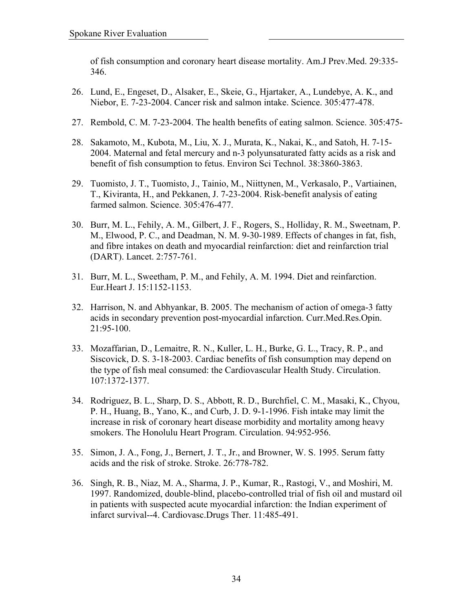of fish consumption and coronary heart disease mortality. Am.J Prev.Med. 29:335- 346.

- 26. Lund, E., Engeset, D., Alsaker, E., Skeie, G., Hjartaker, A., Lundebye, A. K., and Niebor, E. 7-23-2004. Cancer risk and salmon intake. Science. 305:477-478.
- 27. Rembold, C. M. 7-23-2004. The health benefits of eating salmon. Science. 305:475-
- 28. Sakamoto, M., Kubota, M., Liu, X. J., Murata, K., Nakai, K., and Satoh, H. 7-15- 2004. Maternal and fetal mercury and n-3 polyunsaturated fatty acids as a risk and benefit of fish consumption to fetus. Environ Sci Technol. 38:3860-3863.
- 29. Tuomisto, J. T., Tuomisto, J., Tainio, M., Niittynen, M., Verkasalo, P., Vartiainen, T., Kiviranta, H., and Pekkanen, J. 7-23-2004. Risk-benefit analysis of eating farmed salmon. Science. 305:476-477.
- 30. Burr, M. L., Fehily, A. M., Gilbert, J. F., Rogers, S., Holliday, R. M., Sweetnam, P. M., Elwood, P. C., and Deadman, N. M. 9-30-1989. Effects of changes in fat, fish, and fibre intakes on death and myocardial reinfarction: diet and reinfarction trial (DART). Lancet. 2:757-761.
- 31. Burr, M. L., Sweetham, P. M., and Fehily, A. M. 1994. Diet and reinfarction. Eur.Heart J. 15:1152-1153.
- 32. Harrison, N. and Abhyankar, B. 2005. The mechanism of action of omega-3 fatty acids in secondary prevention post-myocardial infarction. Curr.Med.Res.Opin. 21:95-100.
- 33. Mozaffarian, D., Lemaitre, R. N., Kuller, L. H., Burke, G. L., Tracy, R. P., and Siscovick, D. S. 3-18-2003. Cardiac benefits of fish consumption may depend on the type of fish meal consumed: the Cardiovascular Health Study. Circulation. 107:1372-1377.
- 34. Rodriguez, B. L., Sharp, D. S., Abbott, R. D., Burchfiel, C. M., Masaki, K., Chyou, P. H., Huang, B., Yano, K., and Curb, J. D. 9-1-1996. Fish intake may limit the increase in risk of coronary heart disease morbidity and mortality among heavy smokers. The Honolulu Heart Program. Circulation. 94:952-956.
- 35. Simon, J. A., Fong, J., Bernert, J. T., Jr., and Browner, W. S. 1995. Serum fatty acids and the risk of stroke. Stroke. 26:778-782.
- 36. Singh, R. B., Niaz, M. A., Sharma, J. P., Kumar, R., Rastogi, V., and Moshiri, M. 1997. Randomized, double-blind, placebo-controlled trial of fish oil and mustard oil in patients with suspected acute myocardial infarction: the Indian experiment of infarct survival--4. Cardiovasc.Drugs Ther. 11:485-491.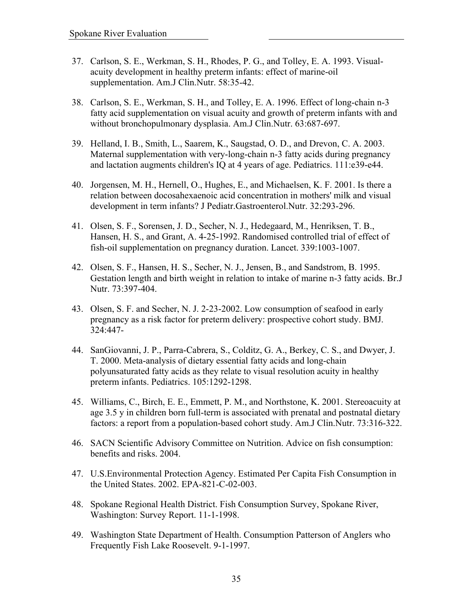- 37. Carlson, S. E., Werkman, S. H., Rhodes, P. G., and Tolley, E. A. 1993. Visualacuity development in healthy preterm infants: effect of marine-oil supplementation. Am.J Clin.Nutr. 58:35-42.
- 38. Carlson, S. E., Werkman, S. H., and Tolley, E. A. 1996. Effect of long-chain n-3 fatty acid supplementation on visual acuity and growth of preterm infants with and without bronchopulmonary dysplasia. Am.J Clin.Nutr. 63:687-697.
- 39. Helland, I. B., Smith, L., Saarem, K., Saugstad, O. D., and Drevon, C. A. 2003. Maternal supplementation with very-long-chain n-3 fatty acids during pregnancy and lactation augments children's IQ at 4 years of age. Pediatrics. 111:e39-e44.
- 40. Jorgensen, M. H., Hernell, O., Hughes, E., and Michaelsen, K. F. 2001. Is there a relation between docosahexaenoic acid concentration in mothers' milk and visual development in term infants? J Pediatr.Gastroenterol.Nutr. 32:293-296.
- 41. Olsen, S. F., Sorensen, J. D., Secher, N. J., Hedegaard, M., Henriksen, T. B., Hansen, H. S., and Grant, A. 4-25-1992. Randomised controlled trial of effect of fish-oil supplementation on pregnancy duration. Lancet. 339:1003-1007.
- 42. Olsen, S. F., Hansen, H. S., Secher, N. J., Jensen, B., and Sandstrom, B. 1995. Gestation length and birth weight in relation to intake of marine n-3 fatty acids. Br.J Nutr. 73:397-404.
- 43. Olsen, S. F. and Secher, N. J. 2-23-2002. Low consumption of seafood in early pregnancy as a risk factor for preterm delivery: prospective cohort study. BMJ. 324:447-
- 44. SanGiovanni, J. P., Parra-Cabrera, S., Colditz, G. A., Berkey, C. S., and Dwyer, J. T. 2000. Meta-analysis of dietary essential fatty acids and long-chain polyunsaturated fatty acids as they relate to visual resolution acuity in healthy preterm infants. Pediatrics. 105:1292-1298.
- 45. Williams, C., Birch, E. E., Emmett, P. M., and Northstone, K. 2001. Stereoacuity at age 3.5 y in children born full-term is associated with prenatal and postnatal dietary factors: a report from a population-based cohort study. Am.J Clin.Nutr. 73:316-322.
- 46. SACN Scientific Advisory Committee on Nutrition. Advice on fish consumption: benefits and risks. 2004.
- 47. U.S.Environmental Protection Agency. Estimated Per Capita Fish Consumption in the United States. 2002. EPA-821-C-02-003.
- 48. Spokane Regional Health District. Fish Consumption Survey, Spokane River, Washington: Survey Report. 11-1-1998.
- 49. Washington State Department of Health. Consumption Patterson of Anglers who Frequently Fish Lake Roosevelt. 9-1-1997.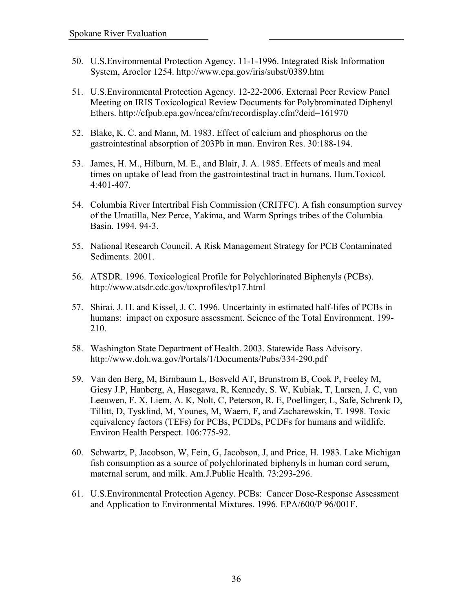- 50. U.S.Environmental Protection Agency. 11-1-1996. Integrated Risk Information System, Aroclor 1254. http://www.epa.gov/iris/subst/0389.htm
- 51. U.S.Environmental Protection Agency. 12-22-2006. External Peer Review Panel Meeting on IRIS Toxicological Review Documents for Polybrominated Diphenyl Ethers. http://cfpub.epa.gov/ncea/cfm/recordisplay.cfm?deid=161970
- 52. Blake, K. C. and Mann, M. 1983. Effect of calcium and phosphorus on the gastrointestinal absorption of 203Pb in man. Environ Res. 30:188-194.
- 53. James, H. M., Hilburn, M. E., and Blair, J. A. 1985. Effects of meals and meal times on uptake of lead from the gastrointestinal tract in humans. Hum.Toxicol. 4:401-407.
- 54. Columbia River Intertribal Fish Commission (CRITFC). A fish consumption survey of the Umatilla, Nez Perce, Yakima, and Warm Springs tribes of the Columbia Basin. 1994. 94-3.
- 55. National Research Council. A Risk Management Strategy for PCB Contaminated Sediments. 2001.
- 56. ATSDR. 1996. Toxicological Profile for Polychlorinated Biphenyls (PCBs). http://www.atsdr.cdc.gov/toxprofiles/tp17.html
- 57. Shirai, J. H. and Kissel, J. C. 1996. Uncertainty in estimated half-lifes of PCBs in humans: impact on exposure assessment. Science of the Total Environment. 199- 210.
- 58. Washington State Department of Health. 2003. Statewide Bass Advisory. <http://www.doh.wa.gov/Portals/1/Documents/Pubs/334-290.pdf>
- 59. Van den Berg, M, Birnbaum L, Bosveld AT, Brunstrom B, Cook P, Feeley M, Giesy J.P, Hanberg, A, Hasegawa, R, Kennedy, S. W, Kubiak, T, Larsen, J. C, van Leeuwen, F. X, Liem, A. K, Nolt, C, Peterson, R. E, Poellinger, L, Safe, Schrenk D, Tillitt, D, Tysklind, M, Younes, M, Waern, F, and Zacharewskin, T. 1998. Toxic equivalency factors (TEFs) for PCBs, PCDDs, PCDFs for humans and wildlife. Environ Health Perspect. 106:775-92.
- 60. Schwartz, P, Jacobson, W, Fein, G, Jacobson, J, and Price, H. 1983. Lake Michigan fish consumption as a source of polychlorinated biphenyls in human cord serum, maternal serum, and milk. Am.J.Public Health. 73:293-296.
- 61. U.S.Environmental Protection Agency. PCBs: Cancer Dose-Response Assessment and Application to Environmental Mixtures. 1996. EPA/600/P 96/001F.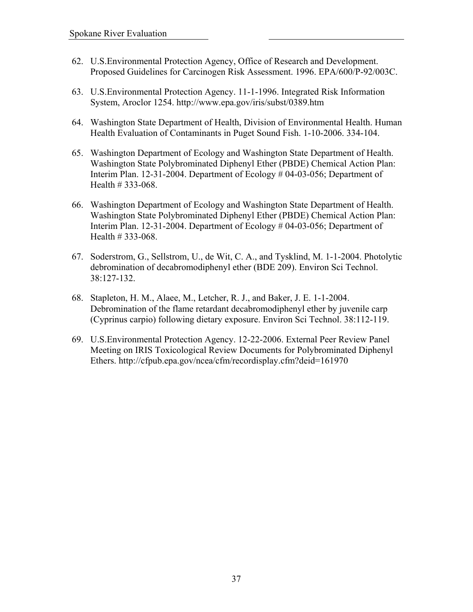- 62. U.S.Environmental Protection Agency, Office of Research and Development. Proposed Guidelines for Carcinogen Risk Assessment. 1996. EPA/600/P-92/003C.
- 63. U.S.Environmental Protection Agency. 11-1-1996. Integrated Risk Information System, Aroclor 1254. http://www.epa.gov/iris/subst/0389.htm
- 64. Washington State Department of Health, Division of Environmental Health. Human Health Evaluation of Contaminants in Puget Sound Fish. 1-10-2006. 334-104.
- 65. Washington Department of Ecology and Washington State Department of Health. Washington State Polybrominated Diphenyl Ether (PBDE) Chemical Action Plan: Interim Plan. 12-31-2004. Department of Ecology # 04-03-056; Department of Health # 333-068.
- 66. Washington Department of Ecology and Washington State Department of Health. Washington State Polybrominated Diphenyl Ether (PBDE) Chemical Action Plan: Interim Plan. 12-31-2004. Department of Ecology # 04-03-056; Department of Health # 333-068.
- 67. Soderstrom, G., Sellstrom, U., de Wit, C. A., and Tysklind, M. 1-1-2004. Photolytic debromination of decabromodiphenyl ether (BDE 209). Environ Sci Technol. 38:127-132.
- 68. Stapleton, H. M., Alaee, M., Letcher, R. J., and Baker, J. E. 1-1-2004. Debromination of the flame retardant decabromodiphenyl ether by juvenile carp (Cyprinus carpio) following dietary exposure. Environ Sci Technol. 38:112-119.
- 69. U.S.Environmental Protection Agency. 12-22-2006. External Peer Review Panel Meeting on IRIS Toxicological Review Documents for Polybrominated Diphenyl Ethers. http://cfpub.epa.gov/ncea/cfm/recordisplay.cfm?deid=161970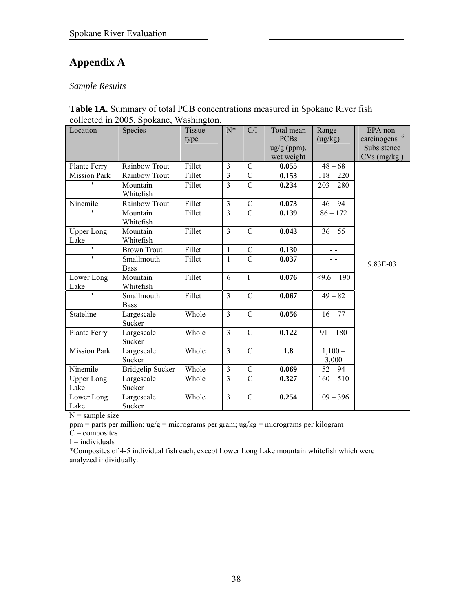# **Appendix A**

## *Sample Results*

| Location                  | Species                   | 7777<br><b>Tissue</b> | $N^*$                   | C/I            | Total mean             | Range             | EPA non-                 |
|---------------------------|---------------------------|-----------------------|-------------------------|----------------|------------------------|-------------------|--------------------------|
|                           |                           | type                  |                         |                | <b>PCBs</b>            | (ug/kg)           | carcinogens <sup>6</sup> |
|                           |                           |                       |                         |                | $\frac{u g}{g}$ (ppm), |                   | Subsistence              |
|                           |                           |                       |                         |                | wet weight             |                   | $CVs$ (mg/kg)            |
| Plante Ferry              | Rainbow Trout             | Fillet                | 3                       | $\mathcal{C}$  | 0.055                  | $48 - 68$         |                          |
| <b>Mission Park</b>       | Rainbow Trout             | Fillet                | $\overline{3}$          | $\overline{C}$ | 0.153                  | $118 - 220$       |                          |
| $\blacksquare$            | Mountain<br>Whitefish     | Fillet                | $\overline{\mathbf{3}}$ | $\overline{C}$ | 0.234                  | $203 - 280$       |                          |
| Ninemile                  | Rainbow Trout             | Fillet                | 3                       | $\overline{C}$ | 0.073                  | $46 - 94$         |                          |
| $^{\prime\prime}$         | Mountain<br>Whitefish     | Fillet                | $\overline{3}$          | $\overline{C}$ | 0.139                  | $86 - 172$        |                          |
| <b>Upper Long</b><br>Lake | Mountain<br>Whitefish     | Fillet                | $\overline{3}$          | $\mathcal{C}$  | 0.043                  | $36 - 55$         |                          |
| $\mathbf{H}$              | <b>Brown Trout</b>        | Fillet                | $\mathbf{1}$            | $\mathcal{C}$  | 0.130                  | $ -$              |                          |
| $^{\prime\prime}$         | Smallmouth<br><b>Bass</b> | Fillet                | $\mathbf{1}$            | $\overline{C}$ | 0.037                  | $ -$              | 9.83E-03                 |
| Lower Long<br>Lake        | Mountain<br>Whitefish     | Fillet                | 6                       | $\mathbf I$    | 0.076                  | $59.6 - 190$      |                          |
| $^{\prime\prime}$         | Smallmouth<br><b>Bass</b> | Fillet                | $\overline{3}$          | $\mathcal{C}$  | 0.067                  | $49 - 82$         |                          |
| Stateline                 | Largescale<br>Sucker      | Whole                 | $\overline{3}$          | $\mathcal{C}$  | 0.056                  | $16 - 77$         |                          |
| Plante Ferry              | Largescale<br>Sucker      | Whole                 | $\overline{3}$          | $\mathcal{C}$  | 0.122                  | $91 - 180$        |                          |
| <b>Mission Park</b>       | Largescale<br>Sucker      | Whole                 | 3                       | $\mathcal{C}$  | 1.8                    | $1,100-$<br>3,000 |                          |
| Ninemile                  | <b>Bridgelip Sucker</b>   | Whole                 | $\overline{3}$          | $\mathcal{C}$  | 0.069                  | $52 - 94$         |                          |
| <b>Upper Long</b><br>Lake | Largescale<br>Sucker      | Whole                 | $\overline{3}$          | $\mathcal{C}$  | 0.327                  | $160 - 510$       |                          |
| Lower Long<br>Lake        | Largescale<br>Sucker      | Whole                 | 3                       | $\mathcal{C}$  | 0.254                  | $109 - 396$       |                          |

| <b>Table 1A.</b> Summary of total PCB concentrations measured in Spokane River fish |
|-------------------------------------------------------------------------------------|
| collected in 2005, Spokane, Washington.                                             |

 $N =$ sample size

ppm = parts per million; ug/g = micrograms per gram; ug/kg = micrograms per kilogram

 $C =$  composites

 $I =$  individuals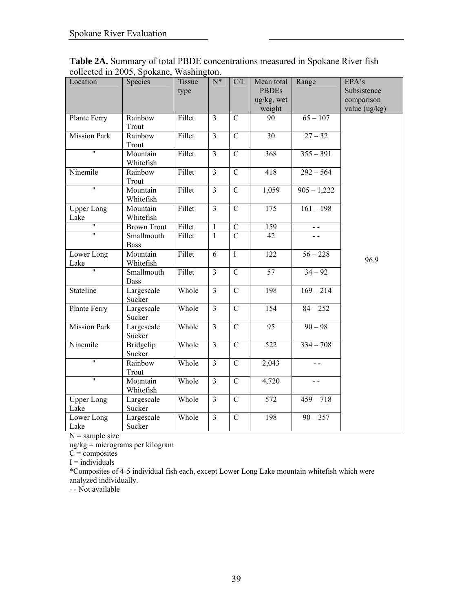| Location                  | Species                   | Tissue<br>type | $N^*$                   | C/I            | Mean total<br><b>PBDEs</b><br>$\frac{u g}{k g}$ , wet<br>weight | Range         | EPA's<br>Subsistence<br>comparison<br>value (ug/kg) |
|---------------------------|---------------------------|----------------|-------------------------|----------------|-----------------------------------------------------------------|---------------|-----------------------------------------------------|
| Plante Ferry              | Rainbow<br>Trout          | Fillet         | $\overline{3}$          | $\mathcal{C}$  | 90                                                              | $65 - 107$    |                                                     |
| <b>Mission Park</b>       | Rainbow<br>Trout          | Fillet         | $\overline{3}$          | $\mathbf C$    | 30                                                              | $27 - 32$     |                                                     |
| $\overline{\mathbf{u}}$   | Mountain<br>Whitefish     | Fillet         | $\overline{3}$          | $\mathcal{C}$  | 368                                                             | $355 - 391$   |                                                     |
| Ninemile                  | Rainbow<br>Trout          | Fillet         | $\overline{\mathbf{3}}$ | $\overline{C}$ | 418                                                             | $292 - 564$   |                                                     |
| $\overline{\mathbf{u}}$   | Mountain<br>Whitefish     | Fillet         | $\overline{3}$          | $\overline{C}$ | 1,059                                                           | $905 - 1,222$ |                                                     |
| Upper Long<br>Lake        | Mountain<br>Whitefish     | Fillet         | $\overline{3}$          | $\overline{C}$ | $\overline{175}$                                                | $161 - 198$   |                                                     |
| $\pmb{\mathsf{H}}$        | <b>Brown Trout</b>        | Fillet         | $\mathbf{1}$            | $\mathcal{C}$  | 159                                                             |               |                                                     |
| $\mathbf{H}$              | Smallmouth<br><b>Bass</b> | Fillet         | $\mathbf{1}$            | $\overline{C}$ | 42                                                              |               |                                                     |
| Lower Long<br>Lake        | Mountain<br>Whitefish     | Fillet         | 6                       | $\overline{I}$ | 122                                                             | $56 - 228$    | 96.9                                                |
| $\overline{\mathbf{u}}$   | Smallmouth<br><b>Bass</b> | Fillet         | $\overline{3}$          | $\mathcal{C}$  | $\overline{57}$                                                 | $34 - 92$     |                                                     |
| Stateline                 | Largescale<br>Sucker      | Whole          | $\overline{3}$          | $\mathcal{C}$  | 198                                                             | $169 - 214$   |                                                     |
| Plante Ferry              | Largescale<br>Sucker      | Whole          | $\overline{3}$          | $\mathcal{C}$  | 154                                                             | $84 - 252$    |                                                     |
| <b>Mission Park</b>       | Largescale<br>Sucker      | Whole          | $\overline{\mathbf{3}}$ | $\mathbf C$    | 95                                                              | $90 - 98$     |                                                     |
| Ninemile                  | Bridgelip<br>Sucker       | Whole          | $\overline{3}$          | $\mathbf C$    | $\overline{522}$                                                | $334 - 708$   |                                                     |
| $\overline{\mathbf{u}}$   | Rainbow<br>Trout          | Whole          | $\overline{3}$          | $\mathbf C$    | 2,043                                                           | $-$           |                                                     |
| $\pmb{\mathsf{H}}$        | Mountain<br>Whitefish     | Whole          | $\overline{3}$          | $\mathcal{C}$  | 4,720                                                           | $ -$          |                                                     |
| <b>Upper Long</b><br>Lake | Largescale<br>Sucker      | Whole          | $\overline{\mathbf{3}}$ | $\mathbf C$    | 572                                                             | $459 - 718$   |                                                     |
| Lower Long<br>Lake        | Largescale<br>Sucker      | Whole          | $\overline{\mathbf{3}}$ | $\mathbf C$    | 198                                                             | $90 - 357$    |                                                     |

**Table 2A.** Summary of total PBDE concentrations measured in Spokane River fish collected in 2005, Spokane, Washington.

ug/kg = micrograms per kilogram

 $C =$  composites

 $I =$  individuals

\*Composites of 4-5 individual fish each, except Lower Long Lake mountain whitefish which were analyzed individually.

- - Not available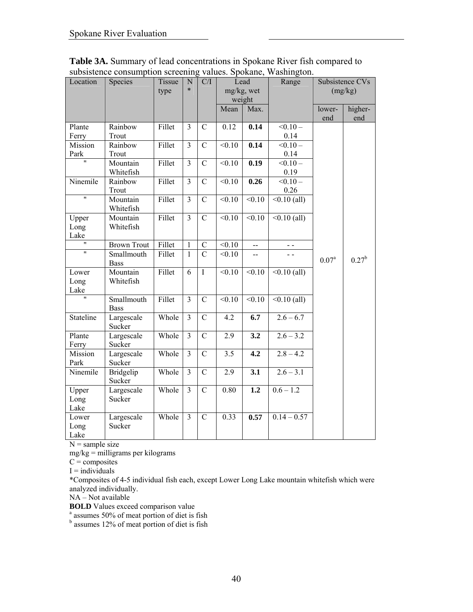| Location                | Species                   | Tissue<br>type | N<br>$\ast$    | C/I            | Lead<br>mg/kg, wet<br>weight |                  | Range                       |                   | Subsistence CVs<br>(mg/kg) |
|-------------------------|---------------------------|----------------|----------------|----------------|------------------------------|------------------|-----------------------------|-------------------|----------------------------|
|                         |                           |                |                |                | Mean                         | Max.             |                             | lower-<br>end     | higher-<br>end             |
| Plante<br>Ferry         | Rainbow<br>Trout          | Fillet         | 3              | $\mathcal{C}$  | 0.12                         | 0.14             | $< 0.10 -$<br>0.14          |                   |                            |
| Mission<br>Park         | Rainbow<br>Trout          | Fillet         | $\overline{3}$ | $\overline{C}$ | $\overline{0.10}$            | 0.14             | $< 0.10 -$<br>0.14          |                   |                            |
| $^{\prime\prime}$       | Mountain<br>Whitefish     | Fillet         | 3              | $\mathcal{C}$  | < 0.10                       | 0.19             | $< 0.10 -$<br>0.19          |                   |                            |
| Ninemile                | Rainbow<br>Trout          | Fillet         | 3              | $\overline{C}$ | < 0.10                       | 0.26             | $\overline{0.10}$ –<br>0.26 |                   |                            |
| 11                      | Mountain<br>Whitefish     | Fillet         | 3              | $\mathcal{C}$  | < 0.10                       | < 0.10           | $< 0.10$ (all)              |                   |                            |
| Upper<br>Long<br>Lake   | Mountain<br>Whitefish     | Fillet         | $\overline{3}$ | $\overline{C}$ | < 0.10                       | $\sqrt{0.10}$    | $\sqrt{0.10}$ (all)         |                   |                            |
| $\pmb{\mathsf{H}}$      | <b>Brown Trout</b>        | Fillet         | $\mathbf{1}$   | $\mathbf C$    | < 0.10                       | $\overline{a}$   | $ -$                        |                   |                            |
| $\overline{\mathbf{u}}$ | Smallmouth<br><b>Bass</b> | Fillet         | $\mathbf{1}$   | $\overline{C}$ | $\overline{0.10}$            | $\overline{a}$   | $ -$                        | 0.07 <sup>a</sup> | $0.27^{b}$                 |
| Lower<br>Long<br>Lake   | Mountain<br>Whitefish     | Fillet         | 6              | $\mathbf I$    | < 0.10                       | < 0.10           | $< 0.10$ (all)              |                   |                            |
| $\overline{\mathbf{u}}$ | Smallmouth<br><b>Bass</b> | Fillet         | $\overline{3}$ | $\mathcal{C}$  | < 0.10                       | < 0.10           | $\sqrt{0.10}$ (all)         |                   |                            |
| Stateline               | Largescale<br>Sucker      | Whole          | $\overline{3}$ | $\overline{C}$ | 4.2                          | 6.7              | $2.6 - 6.7$                 |                   |                            |
| Plante<br>Ferry         | Largescale<br>Sucker      | Whole          | 3              | $\overline{C}$ | 2.9                          | 3.2              | $2.6 - 3.2$                 |                   |                            |
| Mission<br>Park         | Largescale<br>Sucker      | Whole          | $\overline{3}$ | $\overline{C}$ | $\overline{3.5}$             | $\overline{4.2}$ | $2.8 - 4.2$                 |                   |                            |
| Ninemile                | Bridgelip<br>Sucker       | Whole          | $\overline{3}$ | $\mathcal{C}$  | 2.9                          | $\overline{3.1}$ | $2.6 - 3.1$                 |                   |                            |
| Upper<br>Long<br>Lake   | Largescale<br>Sucker      | Whole          | $\overline{3}$ | $\overline{C}$ | 0.80                         | 1.2              | $0.6 - 1.2$                 |                   |                            |
| Lower<br>Long<br>Lake   | Largescale<br>Sucker      | Whole          | $\overline{3}$ | $\mathcal{C}$  | 0.33                         | 0.57             | $0.14 - 0.57$               |                   |                            |

**Table 3A.** Summary of lead concentrations in Spokane River fish compared to subsistence consumption screening values. Spokane, Washington.

 $mg/kg =$  milligrams per kilograms

 $C =$  composites

 $I =$  individuals

\*Composites of 4-5 individual fish each, except Lower Long Lake mountain whitefish which were analyzed individually.

NA – Not available

**BOLD** Values exceed comparison value

<sup>a</sup> assumes 50% of meat portion of diet is fish<br><sup>b</sup> assumes 12% of meat portion of diet is fish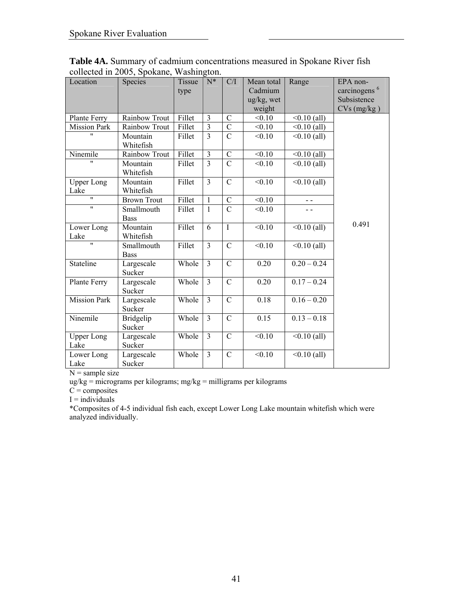| Location                        | Species                    | Tissue | $N^*$                   | C/I            | Mean total<br>Cadmium   | Range          | EPA non-<br>carcinogens <sup>6</sup> |
|---------------------------------|----------------------------|--------|-------------------------|----------------|-------------------------|----------------|--------------------------------------|
|                                 |                            | type   |                         |                | $\frac{u g}{k g}$ , wet |                | Subsistence                          |
|                                 |                            |        |                         |                | weight                  |                | $CVs$ (mg/kg)                        |
| Plante Ferry                    | Rainbow Trout              | Fillet | $\overline{\mathbf{3}}$ | $\mathcal{C}$  | < 0.10                  | $< 0.10$ (all) |                                      |
| <b>Mission Park</b>             | Rainbow Trout              | Fillet | $\overline{3}$          | $\mathcal{C}$  | < 0.10                  | $< 0.10$ (all) |                                      |
|                                 | Mountain<br>Whitefish      | Fillet | $\overline{3}$          | $\overline{C}$ | < 0.10                  | $< 0.10$ (all) |                                      |
| Ninemile                        | Rainbow Trout              | Fillet | $\overline{3}$          | $\mathcal{C}$  | < 0.10                  | $< 0.10$ (all) |                                      |
|                                 | Mountain<br>Whitefish      | Fillet | $\overline{3}$          | $\overline{C}$ | < 0.10                  | $< 0.10$ (all) |                                      |
| <b>Upper Long</b><br>Lake       | Mountain<br>Whitefish      | Fillet | $\overline{3}$          | $\mathcal{C}$  | < 0.10                  | $<0.10$ (all)  |                                      |
| $\overline{u}$                  | <b>Brown Trout</b>         | Fillet | $\mathbf{1}$            | $\overline{C}$ | $\overline{0.10}$       | $\overline{a}$ |                                      |
| $^{\prime\prime}$               | Smallmouth                 | Fillet | $\mathbf{1}$            | $\overline{C}$ | < 0.10                  | - -            |                                      |
|                                 | <b>Bass</b>                |        |                         |                |                         |                | 0.491                                |
| Lower Long                      | Mountain                   | Fillet | 6                       | $\mathbf I$    | < 0.10                  | $<0.10$ (all)  |                                      |
| Lake<br>$\overline{\mathbf{u}}$ | Whitefish                  |        |                         |                |                         |                |                                      |
|                                 | Smallmouth<br><b>Bass</b>  | Fillet | $\overline{3}$          | $\overline{C}$ | $\overline{0.10}$       | $<0.10$ (all)  |                                      |
| Stateline                       | Largescale<br>Sucker       | Whole  | $\overline{3}$          | $\mathcal{C}$  | 0.20                    | $0.20 - 0.24$  |                                      |
| Plante Ferry                    | Largescale<br>Sucker       | Whole  | $\overline{3}$          | $\overline{C}$ | 0.20                    | $0.17 - 0.24$  |                                      |
| <b>Mission Park</b>             | Largescale<br>Sucker       | Whole  | $\overline{3}$          | $\mathcal{C}$  | 0.18                    | $0.16 - 0.20$  |                                      |
| Ninemile                        | <b>Bridgelip</b><br>Sucker | Whole  | $\overline{3}$          | $\overline{C}$ | 0.15                    | $0.13 - 0.18$  |                                      |
| <b>Upper Long</b><br>Lake       | Largescale<br>Sucker       | Whole  | $\overline{3}$          | $\overline{C}$ | < 0.10                  | $<0.10$ (all)  |                                      |
| Lower Long<br>Lake              | Largescale<br>Sucker       | Whole  | $\overline{3}$          | $\mathcal{C}$  | < 0.10                  | $< 0.10$ (all) |                                      |

**Table 4A.** Summary of cadmium concentrations measured in Spokane River fish collected in 2005, Spokane, Washington.

ug/kg = micrograms per kilograms; mg/kg = milligrams per kilograms

 $C =$ composites

 $I =$ individuals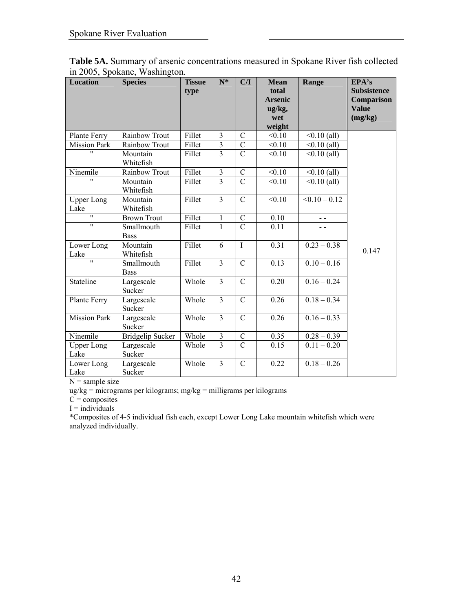| <b>Location</b>           | <b>Species</b>            | <b>Tissue</b><br>type | $N^*$                   | C/I            | <b>Mean</b><br>total<br><b>Arsenic</b><br>ug/kg,<br>wet<br>weight | Range           | EPA's<br><b>Subsistence</b><br>Comparison<br><b>Value</b><br>(mg/kg) |
|---------------------------|---------------------------|-----------------------|-------------------------|----------------|-------------------------------------------------------------------|-----------------|----------------------------------------------------------------------|
| Plante Ferry              | Rainbow Trout             | Fillet                | $\overline{3}$          | $\mathcal{C}$  | < 0.10                                                            | $<0.10$ (all)   |                                                                      |
| <b>Mission Park</b>       | Rainbow Trout             | Fillet                | $\overline{\mathbf{3}}$ | $\overline{C}$ | < 0.10                                                            | $<0.10$ (all)   |                                                                      |
| $^{\prime\prime}$         | Mountain<br>Whitefish     | Fillet                | $\overline{3}$          | $\overline{C}$ | < 0.10                                                            | $< 0.10$ (all)  |                                                                      |
| Ninemile                  | Rainbow Trout             | Fillet                | $\overline{\mathbf{3}}$ | $\overline{C}$ | < 0.10                                                            | $<0.10$ (all)   |                                                                      |
| $^{\prime \prime}$        | Mountain<br>Whitefish     | Fillet                | $\overline{3}$          | $\overline{C}$ | < 0.10                                                            | $<0.10$ (all)   |                                                                      |
| <b>Upper Long</b><br>Lake | Mountain<br>Whitefish     | Fillet                | $\overline{\mathbf{3}}$ | $\overline{C}$ | < 0.10                                                            | $< 0.10 - 0.12$ |                                                                      |
| 11                        | <b>Brown Trout</b>        | Fillet                | 1                       | $\mathcal{C}$  | 0.10                                                              | $ -$            |                                                                      |
| $\overline{11}$           | Smallmouth<br><b>Bass</b> | Fillet                | $\mathbf{1}$            | $\overline{C}$ | 0.11                                                              |                 |                                                                      |
| Lower Long<br>Lake        | Mountain<br>Whitefish     | Fillet                | 6                       | $\overline{I}$ | 0.31                                                              | $0.23 - 0.38$   | 0.147                                                                |
| $\overline{\mathbf{u}}$   | Smallmouth<br><b>Bass</b> | Fillet                | $\overline{3}$          | $\mathcal{C}$  | 0.13                                                              | $0.10 - 0.16$   |                                                                      |
| Stateline                 | Largescale<br>Sucker      | Whole                 | $\overline{3}$          | $\overline{C}$ | 0.20                                                              | $0.16 - 0.24$   |                                                                      |
| Plante Ferry              | Largescale<br>Sucker      | Whole                 | $\overline{3}$          | $\overline{C}$ | 0.26                                                              | $0.18 - 0.34$   |                                                                      |
| <b>Mission Park</b>       | Largescale<br>Sucker      | Whole                 | $\overline{3}$          | $\mathbf C$    | 0.26                                                              | $0.16 - 0.33$   |                                                                      |
| Ninemile                  | <b>Bridgelip Sucker</b>   | Whole                 | $\overline{\mathbf{3}}$ | $\mathbf C$    | 0.35                                                              | $0.28 - 0.39$   |                                                                      |
| <b>Upper Long</b><br>Lake | Largescale<br>Sucker      | Whole                 | $\overline{3}$          | $\overline{C}$ | 0.15                                                              | $0.11 - 0.20$   |                                                                      |
| Lower Long<br>Lake        | Largescale<br>Sucker      | Whole                 | $\overline{3}$          | $\mathcal{C}$  | 0.22                                                              | $0.18 - 0.26$   |                                                                      |

**Table 5A.** Summary of arsenic concentrations measured in Spokane River fish collected in 2005, Spokane, Washington.

ug/kg = micrograms per kilograms; mg/kg = milligrams per kilograms

 $C =$  composites

 $I =$ individuals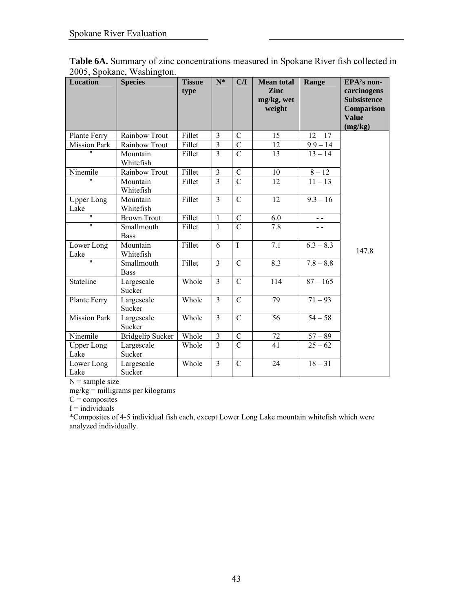| <b>Location</b>           | <b>Species</b>            | <b>Tissue</b><br>type | $N^*$          | C/I            | <b>Mean total</b><br><b>Zinc</b><br>mg/kg, wet<br>weight | Range                  | EPA's non-<br>carcinogens<br><b>Subsistence</b><br>Comparison<br><b>Value</b><br>(mg/kg) |
|---------------------------|---------------------------|-----------------------|----------------|----------------|----------------------------------------------------------|------------------------|------------------------------------------------------------------------------------------|
| Plante Ferry              | Rainbow Trout             | Fillet                | 3              | $\mathcal{C}$  | 15                                                       | $12 - 17$              |                                                                                          |
| <b>Mission Park</b>       | Rainbow Trout             | Fillet                | $\overline{3}$ | $\overline{C}$ | 12                                                       | $9.9 - 14$             |                                                                                          |
| $\mathbf{H}$              | Mountain<br>Whitefish     | Fillet                | $\overline{3}$ | $\mathcal{C}$  | 13                                                       | $13 - 14$              |                                                                                          |
| Ninemile                  | Rainbow Trout             | Fillet                | 3              | $\mathcal{C}$  | 10                                                       | $8 - 12$               |                                                                                          |
| Ħ.                        | Mountain<br>Whitefish     | Fillet                | $\overline{3}$ | $\overline{C}$ | 12                                                       | $11 - 13$              |                                                                                          |
| <b>Upper Long</b><br>Lake | Mountain<br>Whitefish     | Fillet                | 3              | $\overline{C}$ | 12                                                       | $9.3 - 16$             |                                                                                          |
| $\overline{\mathbf{u}}$   | <b>Brown Trout</b>        | Fillet                | $\mathbf{1}$   | $\overline{C}$ | 6.0                                                      | $ -$                   |                                                                                          |
| $\mathbf{H}$              | Smallmouth<br><b>Bass</b> | Fillet                | $\mathbf{1}$   | $\overline{C}$ | 7.8                                                      |                        |                                                                                          |
| Lower Long<br>Lake        | Mountain<br>Whitefish     | Fillet                | 6              | $\mathbf I$    | 7.1                                                      | $\overline{6.3} - 8.3$ | 147.8                                                                                    |
| W                         | Smallmouth<br><b>Bass</b> | Fillet                | 3              | $\mathcal{C}$  | 8.3                                                      | $7.8 - 8.8$            |                                                                                          |
| Stateline                 | Largescale<br>Sucker      | Whole                 | $\overline{3}$ | $\mathcal{C}$  | 114                                                      | $87 - 165$             |                                                                                          |
| Plante Ferry              | Largescale<br>Sucker      | Whole                 | 3              | $\mathcal{C}$  | 79                                                       | $71 - 93$              |                                                                                          |
| <b>Mission Park</b>       | Largescale<br>Sucker      | Whole                 | $\overline{3}$ | $\mathcal{C}$  | 56                                                       | $54 - 58$              |                                                                                          |
| Ninemile                  | <b>Bridgelip Sucker</b>   | Whole                 | $\mathfrak{Z}$ | $\mathcal{C}$  | 72                                                       | $57 - 89$              |                                                                                          |
| <b>Upper Long</b><br>Lake | Largescale<br>Sucker      | Whole                 | $\overline{3}$ | $\overline{C}$ | 41                                                       | $25 - 62$              |                                                                                          |
| Lower Long<br>Lake        | Largescale<br>Sucker      | Whole                 | $\overline{3}$ | $\mathcal{C}$  | 24                                                       | $18 - 31$              |                                                                                          |

**Table 6A.** Summary of zinc concentrations measured in Spokane River fish collected in 2005, Spokane, Washington.

mg/kg = milligrams per kilograms

 $C =$  composites

 $I =$ individuals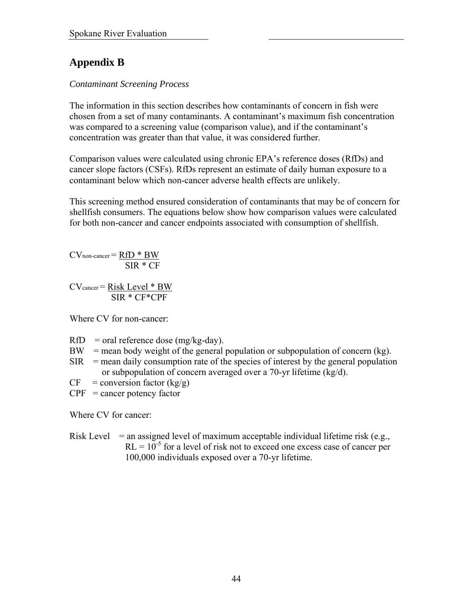# **Appendix B**

## *Contaminant Screening Process*

The information in this section describes how contaminants of concern in fish were chosen from a set of many contaminants. A contaminant's maximum fish concentration was compared to a screening value (comparison value), and if the contaminant's concentration was greater than that value, it was considered further.

Comparison values were calculated using chronic EPA's reference doses (RfDs) and cancer slope factors (CSFs). RfDs represent an estimate of daily human exposure to a contaminant below which non-cancer adverse health effects are unlikely.

This screening method ensured consideration of contaminants that may be of concern for shellfish consumers. The equations below show how comparison values were calculated for both non-cancer and cancer endpoints associated with consumption of shellfish.

 $CV$ non-cancer =  $RfD * BW$ SIR \* CF

CVcancer = Risk Level \* BW SIR \* CF\*CPF

Where CV for non-cancer:

- $RfD$  = oral reference dose (mg/kg-day).
- $BW$  = mean body weight of the general population or subpopulation of concern (kg).
- $SIR$  = mean daily consumption rate of the species of interest by the general population or subpopulation of concern averaged over a 70-yr lifetime (kg/d).
- $CF = conversion factor (kg/g)$
- $CPF$  = cancer potency factor

Where CV for cancer:

Risk Level  $=$  an assigned level of maximum acceptable individual lifetime risk (e.g.,  $RL = 10^{-5}$  for a level of risk not to exceed one excess case of cancer per 100,000 individuals exposed over a 70-yr lifetime.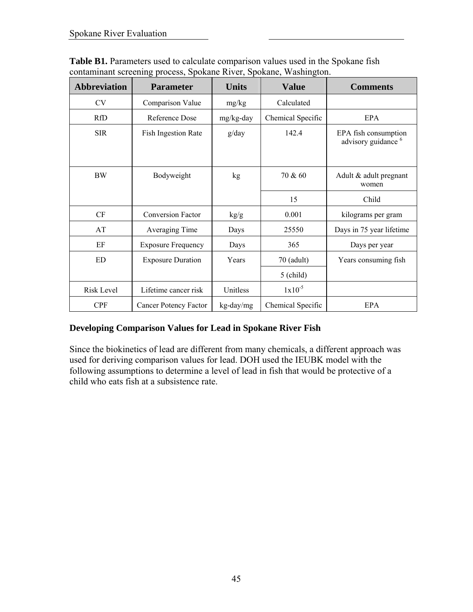| <b>Abbreviation</b> | <b>Parameter</b>             | <b>Units</b> | <b>Value</b>      | <b>Comments</b>                                        |
|---------------------|------------------------------|--------------|-------------------|--------------------------------------------------------|
| <b>CV</b>           | Comparison Value             | mg/kg        | Calculated        |                                                        |
| <b>RfD</b>          | Reference Dose               | mg/kg-day    | Chemical Specific | EPA                                                    |
| <b>SIR</b>          | <b>Fish Ingestion Rate</b>   | g/day        | 142.4             | EPA fish consumption<br>advisory guidance <sup>6</sup> |
| <b>BW</b>           | Bodyweight                   | kg           | 70 & 60           | Adult & adult pregnant<br>women                        |
|                     |                              |              | 15                | Child                                                  |
| CF                  | <b>Conversion Factor</b>     | kg/g         | 0.001             | kilograms per gram                                     |
| AT                  | Averaging Time               | Days         | 25550             | Days in 75 year lifetime                               |
| EF                  | <b>Exposure Frequency</b>    | Days         | 365               | Days per year                                          |
| ED                  | <b>Exposure Duration</b>     | Years        | $70$ (adult)      | Years consuming fish                                   |
|                     |                              |              | $5$ (child)       |                                                        |
| <b>Risk Level</b>   | Lifetime cancer risk         | Unitless     | $1x10^{-5}$       |                                                        |
| <b>CPF</b>          | <b>Cancer Potency Factor</b> | kg-day/mg    | Chemical Specific | EPA                                                    |

**Table B1.** Parameters used to calculate comparison values used in the Spokane fish contaminant screening process, Spokane River, Spokane, Washington.

## **Developing Comparison Values for Lead in Spokane River Fish**

Since the biokinetics of lead are different from many chemicals, a different approach was used for deriving comparison values for lead. DOH used the IEUBK model with the following assumptions to determine a level of lead in fish that would be protective of a child who eats fish at a subsistence rate.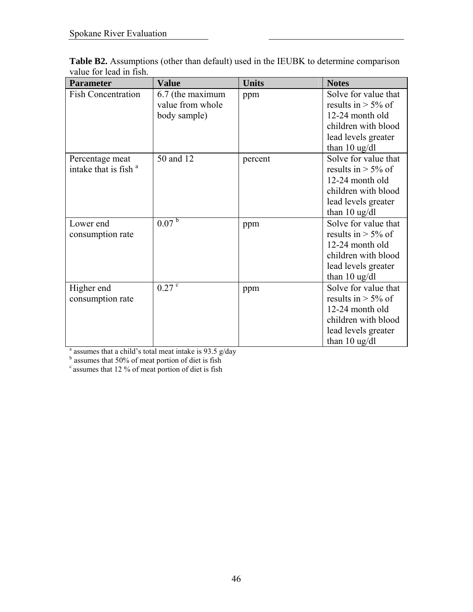| <b>Parameter</b>                                    | <b>Value</b>                                           | <b>Units</b> | <b>Notes</b>                                                                                                                              |
|-----------------------------------------------------|--------------------------------------------------------|--------------|-------------------------------------------------------------------------------------------------------------------------------------------|
| <b>Fish Concentration</b>                           | 6.7 (the maximum<br>value from whole<br>body sample)   | ppm          | Solve for value that<br>results in $> 5\%$ of<br>12-24 month old<br>children with blood<br>lead levels greater<br>than $10$ ug/dl         |
| Percentage meat<br>intake that is fish <sup>a</sup> | 50 and 12                                              | percent      | Solve for value that<br>results in $> 5\%$ of<br>12-24 month old<br>children with blood<br>lead levels greater<br>than $10 \text{ ug/dl}$ |
| Lower end<br>consumption rate                       | 0.07 <sup>b</sup>                                      | ppm          | Solve for value that<br>results in $> 5\%$ of<br>12-24 month old<br>children with blood<br>lead levels greater<br>than $10$ ug/dl         |
| Higher end<br>consumption rate                      | $0.27$ $\degree$                                       | ppm          | Solve for value that<br>results in $>$ 5% of<br>12-24 month old<br>children with blood<br>lead levels greater<br>than $10$ ug/dl          |
| assumes that 50% of meat portion of diet is fish    | assumes that a child's total meat intake is 93.5 g/day |              |                                                                                                                                           |

**Table B2.** Assumptions (other than default) used in the IEUBK to determine comparison value for lead in fish.

 $c$  assumes that 12 % of meat portion of diet is fish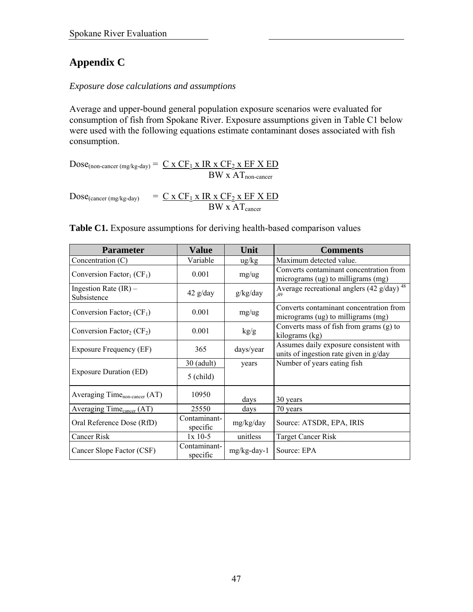# **Appendix C**

#### *Exposure dose calculations and assumptions*

Average and upper-bound general population exposure scenarios were evaluated for consumption of fish from Spokane River. Exposure assumptions given in Table C1 below were used with the following equations estimate contaminant doses associated with fish consumption.

 $Dose_{(non-cancer (mg/kg-day))} = C \times CF_1 \times IR \times CF_2 \times EF \times ED$  $BW \times AT_{non-cancer}$ 

 $Dose_{(cancer (mg/kg-day))}$  =  $C x CF_1 x IR x CF_2 x EF X ED$  $BW \times AT_{cancer}$ 

| Table C1. Exposure assumptions for deriving health-based comparison values |  |  |
|----------------------------------------------------------------------------|--|--|
|                                                                            |  |  |

| <b>Parameter</b>                                  | Value                    | Unit        | <b>Comments</b>                                                                  |
|---------------------------------------------------|--------------------------|-------------|----------------------------------------------------------------------------------|
| Concentration $(C)$                               | Variable                 | ug/kg       | Maximum detected value.                                                          |
| Conversion Factor <sub>1</sub> (CF <sub>1</sub> ) | 0.001                    | mg/ug       | Converts contaminant concentration from<br>micrograms (ug) to milligrams (mg)    |
| Ingestion Rate $(IR)$ –<br>Subsistence            | $42$ g/day               | g/kg/day    | Average recreational anglers (42 g/day) $48$<br>.49                              |
| Conversion Factor <sub>2</sub> (CF <sub>1</sub> ) | 0.001                    | mg/ug       | Converts contaminant concentration from<br>micrograms (ug) to milligrams (mg)    |
| Conversion Factor <sub>2</sub> ( $CF_2$ )         | 0.001                    | kg/g        | Converts mass of fish from grams (g) to<br>kilograms (kg)                        |
| <b>Exposure Frequency (EF)</b>                    | 365                      | days/year   | Assumes daily exposure consistent with<br>units of ingestion rate given in g/day |
|                                                   | 30 (adult)               | years       | Number of years eating fish                                                      |
| <b>Exposure Duration (ED)</b>                     | $5$ (child)              |             |                                                                                  |
| Averaging Time <sub>non-cancer</sub> (AT)         | 10950                    | days        | 30 years                                                                         |
| Averaging Time <sub>cancer</sub> (AT)             | 25550                    | days        | 70 years                                                                         |
| Oral Reference Dose (RfD)                         | Contaminant-<br>specific | mg/kg/day   | Source: ATSDR, EPA, IRIS                                                         |
| Cancer Risk                                       | $1x$ 10-5                | unitless    | <b>Target Cancer Risk</b>                                                        |
| Cancer Slope Factor (CSF)                         | Contaminant-<br>specific | mg/kg-day-1 | Source: EPA                                                                      |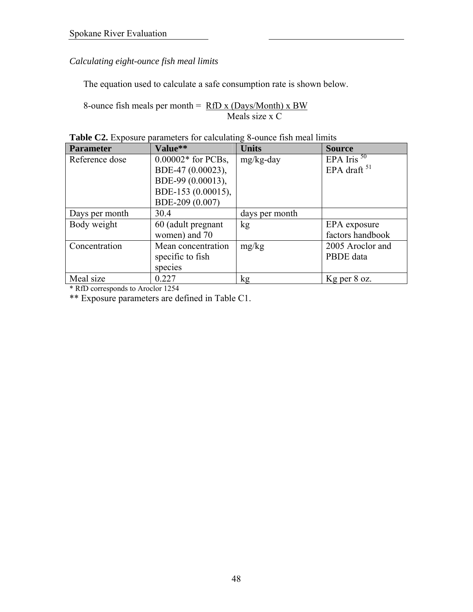*Calculating eight-ounce fish meal limits* 

The equation used to calculate a safe consumption rate is shown below.

8-ounce fish meals per month =  $RfD x (Days/Month) x BW$ Meals size x C

| <b>Parameter</b> | Value**              | <b>Units</b>   | <b>Source</b>    |
|------------------|----------------------|----------------|------------------|
| Reference dose   | $0.00002*$ for PCBs, | mg/kg-day      | EPA Iris $50$    |
|                  | BDE-47 (0.00023),    |                | EPA draft $51$   |
|                  | BDE-99 (0.00013),    |                |                  |
|                  | BDE-153 (0.00015),   |                |                  |
|                  | BDE-209 (0.007)      |                |                  |
| Days per month   | 30.4                 | days per month |                  |
| Body weight      | 60 (adult pregnant   | kg             | EPA exposure     |
|                  | women) and 70        |                | factors handbook |
| Concentration    | Mean concentration   | mg/kg          | 2005 Aroclor and |
|                  | specific to fish     |                | PBDE data        |
|                  | species              |                |                  |
| Meal size        | 0.227                | kg             | Kg per 8 oz.     |

**Table C2.** Exposure parameters for calculating 8-ounce fish meal limits

\* RfD corresponds to Aroclor 1254

\*\* Exposure parameters are defined in Table C1.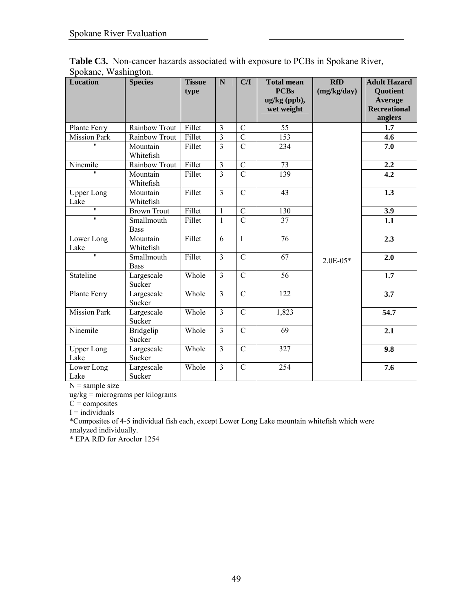| <b>Location</b>           | <b>Species</b>             | <b>Tissue</b><br>type | $\mathbf N$    | C/I            | <b>Total mean</b><br><b>PCBs</b><br>ug/kg (ppb),<br>wet weight | <b>RfD</b><br>(mg/kg/day) | <b>Adult Hazard</b><br><b>Quotient</b><br>Average<br><b>Recreational</b><br>anglers |
|---------------------------|----------------------------|-----------------------|----------------|----------------|----------------------------------------------------------------|---------------------------|-------------------------------------------------------------------------------------|
| Plante Ferry              | Rainbow Trout              | Fillet                | $\mathfrak{Z}$ | $\mathcal{C}$  | 55                                                             |                           | 1.7                                                                                 |
| <b>Mission Park</b>       | Rainbow Trout              | Fillet                | $\overline{3}$ | $\overline{C}$ | 153                                                            |                           | 4.6                                                                                 |
| $^{\prime\prime}$         | Mountain<br>Whitefish      | Fillet                | $\overline{3}$ | $\overline{C}$ | 234                                                            |                           | 7.0                                                                                 |
| Ninemile                  | Rainbow Trout              | Fillet                | $\overline{3}$ | $\mathcal{C}$  | 73                                                             |                           | 2.2                                                                                 |
| $\mathbf{u}$              | Mountain<br>Whitefish      | Fillet                | $\overline{3}$ | $\overline{C}$ | 139                                                            |                           | 4.2                                                                                 |
| <b>Upper Long</b><br>Lake | Mountain<br>Whitefish      | Fillet                | $\overline{3}$ | $\mathcal{C}$  | 43                                                             |                           | 1.3                                                                                 |
| $\overline{\mathbf{u}}$   | <b>Brown Trout</b>         | Fillet                | $\mathbf{1}$   | $\overline{C}$ | 130                                                            |                           | 3.9                                                                                 |
| $\mathbf{H}$              | Smallmouth<br><b>Bass</b>  | Fillet                | $\mathbf{1}$   | $\overline{C}$ | 37                                                             |                           | 1.1                                                                                 |
| Lower Long<br>Lake        | Mountain<br>Whitefish      | Fillet                | 6              | $\mathbf I$    | $\overline{76}$                                                |                           | 2.3                                                                                 |
| $\mathbf{H}$              | Smallmouth<br><b>Bass</b>  | Fillet                | $\overline{3}$ | $\mathbf C$    | 67                                                             | $2.0E-05*$                | 2.0                                                                                 |
| Stateline                 | Largescale<br>Sucker       | Whole                 | $\overline{3}$ | $\overline{C}$ | $\overline{56}$                                                |                           | $\overline{1.7}$                                                                    |
| Plante Ferry              | Largescale<br>Sucker       | Whole                 | $\overline{3}$ | $\mathbf C$    | 122                                                            |                           | 3.7                                                                                 |
| <b>Mission Park</b>       | Largescale<br>Sucker       | Whole                 | $\overline{3}$ | $\mathbf C$    | 1,823                                                          |                           | 54.7                                                                                |
| Ninemile                  | <b>Bridgelip</b><br>Sucker | Whole                 | 3              | $\mathcal{C}$  | 69                                                             |                           | 2.1                                                                                 |
| <b>Upper Long</b><br>Lake | Largescale<br>Sucker       | Whole                 | $\overline{3}$ | $\overline{C}$ | 327                                                            |                           | 9.8                                                                                 |
| Lower Long<br>Lake        | Largescale<br>Sucker       | Whole                 | $\overline{3}$ | $\overline{C}$ | 254                                                            |                           | 7.6                                                                                 |

**Table C3.** Non-cancer hazards associated with exposure to PCBs in Spokane River, Spokane, Washington.

ug/kg = micrograms per kilograms

 $C = \text{composites}$ 

 $I =$ individuals

\*Composites of 4-5 individual fish each, except Lower Long Lake mountain whitefish which were analyzed individually.

\* EPA RfD for Aroclor 1254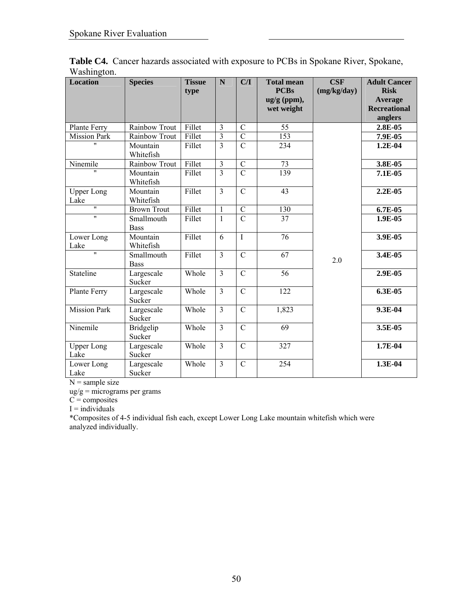| <b>Location</b>           | <b>Species</b>             | <b>Tissue</b><br>type | $\mathbf N$             | C/I            | <b>Total mean</b><br><b>PCBs</b> | CSF<br>(mg/kg/day) | <b>Adult Cancer</b><br><b>Risk</b> |
|---------------------------|----------------------------|-----------------------|-------------------------|----------------|----------------------------------|--------------------|------------------------------------|
|                           |                            |                       |                         |                | $ug/g$ (ppm),                    |                    | <b>Average</b>                     |
|                           |                            |                       |                         |                | wet weight                       |                    | <b>Recreational</b>                |
|                           |                            |                       |                         |                |                                  |                    | anglers                            |
| Plante Ferry              | Rainbow Trout              | Fillet                | 3                       | $\mathcal{C}$  | 55                               |                    | 2.8E-05                            |
| <b>Mission Park</b>       | Rainbow Trout              | Fillet                | $\overline{\mathbf{3}}$ | $\mathcal{C}$  | 153                              |                    | 7.9E-05                            |
| $\mathbf{u}$              | Mountain<br>Whitefish      | Fillet                | $\overline{3}$          | $\overline{C}$ | 234                              |                    | 1.2E-04                            |
| Ninemile                  | Rainbow Trout              | Fillet                | $\overline{\mathbf{3}}$ | $\overline{C}$ | 73                               |                    | 3.8E-05                            |
| $\mathbf{u}$              | Mountain<br>Whitefish      | Fillet                | $\overline{3}$          | $\overline{C}$ | 139                              |                    | 7.1E-05                            |
| <b>Upper Long</b><br>Lake | Mountain<br>Whitefish      | Fillet                | 3                       | $\mathcal{C}$  | 43                               |                    | 2.2E-05                            |
| $\overline{\mathbf{u}}$   | <b>Brown Trout</b>         | Fillet                | $\mathbf{1}$            | $\overline{C}$ | 130                              |                    | $6.7E-0.5$                         |
| $^{\prime\prime}$         | Smallmouth<br><b>Bass</b>  | Fillet                | 1                       | $\mathcal{C}$  | 37                               |                    | 1.9E-05                            |
| Lower Long<br>Lake        | Mountain<br>Whitefish      | Fillet                | $\overline{6}$          | $\overline{I}$ | $\overline{76}$                  |                    | 3.9E-05                            |
| $\overline{\mathbf{u}}$   | Smallmouth<br><b>Bass</b>  | Fillet                | $\overline{3}$          | $\mathcal{C}$  | 67                               | 2.0                | 3.4E-05                            |
| Stateline                 | Largescale<br>Sucker       | Whole                 | $\overline{3}$          | $\overline{C}$ | $\overline{56}$                  |                    | 2.9E-05                            |
| Plante Ferry              | Largescale<br>Sucker       | Whole                 | $\overline{3}$          | $\overline{C}$ | 122                              |                    | 6.3E-05                            |
| <b>Mission Park</b>       | Largescale<br>Sucker       | Whole                 | $\overline{3}$          | $\overline{C}$ | 1,823                            |                    | 9.3E-04                            |
| Ninemile                  | <b>Bridgelip</b><br>Sucker | Whole                 | $\overline{3}$          | $\mathcal{C}$  | 69                               |                    | 3.5E-05                            |
| <b>Upper Long</b><br>Lake | Largescale<br>Sucker       | Whole                 | $\overline{3}$          | $\mathcal{C}$  | 327                              |                    | 1.7E-04                            |
| Lower Long<br>Lake        | Largescale<br>Sucker       | Whole                 | $\overline{3}$          | $\mathbf C$    | 254                              |                    | 1.3E-04                            |

Table C4. Cancer hazards associated with exposure to PCBs in Spokane River, Spokane, Washington.

ug/g = micrograms per grams

 $C =$  composites

 $I =$ individuals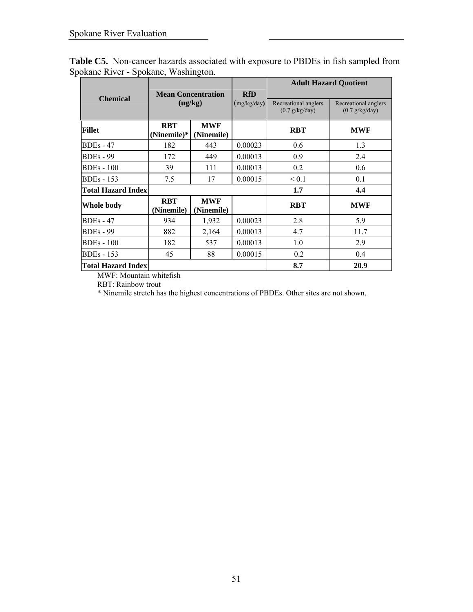|                           |                                      |                          |             | <b>Adult Hazard Ouotient</b>                     |                                                         |  |  |
|---------------------------|--------------------------------------|--------------------------|-------------|--------------------------------------------------|---------------------------------------------------------|--|--|
| <b>Chemical</b>           | <b>Mean Concentration</b><br>(ug/kg) |                          | <b>RfD</b>  |                                                  |                                                         |  |  |
|                           |                                      |                          | (mg/kg/day) | Recreational anglers<br>$(0.7 \frac{g}{kg}$ day) | Recreational anglers<br>$(0.7 \frac{g}{kg} \text{day})$ |  |  |
| <b>Fillet</b>             | <b>RBT</b><br>(Ninemile)*            | <b>MWF</b><br>(Ninemile) |             | <b>RBT</b>                                       | <b>MWF</b>                                              |  |  |
| $BDEs - 47$               | 182                                  | 443                      | 0.00023     | 0.6                                              | 1.3                                                     |  |  |
| <b>BDEs</b> - 99          | 172                                  | 449                      | 0.00013     | 0.9                                              | 2.4                                                     |  |  |
| <b>BDEs</b> - 100         | 39                                   | 111                      | 0.00013     | 0.2                                              | 0.6                                                     |  |  |
| <b>BDEs</b> - 153         | 7.5                                  | 17                       | 0.00015     | ${}_{0.1}$                                       | 0.1                                                     |  |  |
| <b>Total Hazard Index</b> |                                      |                          |             | 1.7                                              | 4.4                                                     |  |  |
| <b>Whole body</b>         | <b>RBT</b><br>(Ninemile)             | <b>MWF</b><br>(Ninemile) |             | <b>RBT</b>                                       | <b>MWF</b>                                              |  |  |
| $BDEs - 47$               | 934                                  | 1,932                    | 0.00023     | 2.8                                              | 5.9                                                     |  |  |
| <b>BDEs</b> - 99          | 882                                  | 2,164                    | 0.00013     | 4.7                                              | 11.7                                                    |  |  |
| <b>BDEs</b> - 100         | 182                                  | 537                      | 0.00013     | 1.0                                              | 2.9                                                     |  |  |
| <b>BDEs</b> - 153         | 45                                   | 88                       | 0.00015     | 0.2                                              | 0.4                                                     |  |  |
| <b>Total Hazard Index</b> |                                      |                          |             | 8.7                                              | 20.9                                                    |  |  |

**Table C5.** Non-cancer hazards associated with exposure to PBDEs in fish sampled from Spokane River - Spokane, Washington.

MWF: Mountain whitefish

RBT: Rainbow trout

\* Ninemile stretch has the highest concentrations of PBDEs. Other sites are not shown.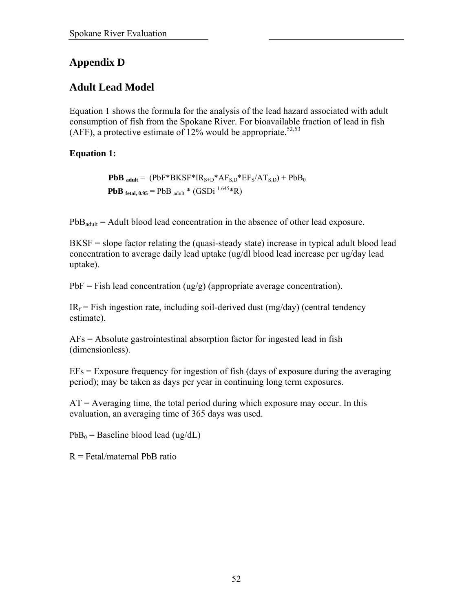## **Appendix D**

## **Adult Lead Model**

Equation 1 shows the formula for the analysis of the lead hazard associated with adult consumption of fish from the Spokane River. For bioavailable fraction of lead in fish (AFF), a protective estimate of 12% would be appropriate.<sup>52,53</sup>

## **Equation 1:**

**PbB** adult =  $(PbF*BKSF*IR<sub>S+D</sub>*AF<sub>S,D</sub>*EF<sub>S</sub>/AT<sub>S,D</sub>) + PbB<sub>0</sub>$ **PbB** fetal,  $0.95 = PbB$  adult \* (GSDi<sup>1.645</sup>\*R)

 $PbB<sub>adult</sub> = Adult blood lead concentration in the absence of other lead exposure.$ 

BKSF = slope factor relating the (quasi-steady state) increase in typical adult blood lead concentration to average daily lead uptake (ug/dl blood lead increase per ug/day lead uptake).

 $PbF = Fish$  lead concentration (ug/g) (appropriate average concentration).

 $IR<sub>f</sub>$  = Fish ingestion rate, including soil-derived dust (mg/day) (central tendency estimate).

AFs = Absolute gastrointestinal absorption factor for ingested lead in fish (dimensionless).

EFs = Exposure frequency for ingestion of fish (days of exposure during the averaging period); may be taken as days per year in continuing long term exposures.

 $AT =$  Averaging time, the total period during which exposure may occur. In this evaluation, an averaging time of 365 days was used.

 $PbB_0$  = Baseline blood lead (ug/dL)

 $R = \text{Fetal/materal PbB ratio}$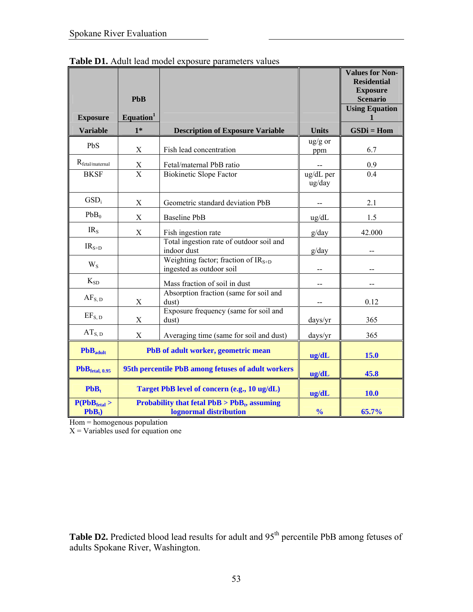|                                               |                       |                                                                             |                           | <b>Values for Non-</b><br><b>Residential</b> |
|-----------------------------------------------|-----------------------|-----------------------------------------------------------------------------|---------------------------|----------------------------------------------|
|                                               | <b>PbB</b>            |                                                                             |                           | <b>Exposure</b><br><b>Scenario</b>           |
| <b>Exposure</b>                               | Equation <sup>1</sup> |                                                                             |                           | <b>Using Equation</b>                        |
| <b>Variable</b>                               | $1*$                  | <b>Description of Exposure Variable</b>                                     | <b>Units</b>              | $GSDi = Hom$                                 |
| PbS                                           | X                     | Fish lead concentration                                                     | $\frac{u g}{g}$ or<br>ppm | 6.7                                          |
| $R_{\text{fetal/maternal}}$                   | $\frac{X}{X}$         | Fetal/maternal PbB ratio                                                    |                           | 0.9                                          |
| <b>BKSF</b>                                   |                       | <b>Biokinetic Slope Factor</b>                                              | ug/dL per<br>ug/day       | 0.4                                          |
| GSD <sub>i</sub>                              | X                     | Geometric standard deviation PbB                                            |                           | 2.1                                          |
| PbB <sub>0</sub>                              | $\mathbf X$           | Baseline PbB                                                                | $\text{ug/dL}$            | 1.5                                          |
| IR <sub>S</sub>                               | X                     | Fish ingestion rate                                                         | g/day                     | 42.000                                       |
| $IRS+D$                                       |                       | Total ingestion rate of outdoor soil and<br>indoor dust                     | g/day                     |                                              |
| $W_{S}$                                       |                       | Weighting factor; fraction of IR <sub>S+D</sub><br>ingested as outdoor soil |                           |                                              |
| $K_{SD}$                                      |                       | Mass fraction of soil in dust                                               | $\overline{a}$            | $-$                                          |
| $AF_{S, D}$                                   | X                     | Absorption fraction (same for soil and<br>dust)                             |                           | 0.12                                         |
| $EF_{S, D}$                                   | $\mathbf X$           | Exposure frequency (same for soil and<br>dust)                              | days/yr                   | 365                                          |
| $AT_{S, D}$                                   | X                     | Averaging time (same for soil and dust)                                     | days/yr                   | 365                                          |
| $PbBadult$                                    |                       | PbB of adult worker, geometric mean                                         | ug/dL                     | 15.0                                         |
| $PbBftal, 0.95$                               |                       | 95th percentile PbB among fetuses of adult workers                          | ug/dL                     | 45.8                                         |
| $PbB_t$                                       |                       | Target PbB level of concern (e.g., 10 ug/dL)                                | ug/dL                     | 10.0                                         |
| P(PbB <sub>ftetal</sub> )<br>PbB <sub>t</sub> |                       | Probability that fetal $PbB > PbB_t$ , assuming<br>lognormal distribution   | $\frac{0}{0}$             | 65.7%                                        |

Table D1. Adult lead model exposure parameters values

Hom = homogenous population

 $X = \text{Variables}$  used for equation one

Table D2. Predicted blood lead results for adult and 95<sup>th</sup> percentile PbB among fetuses of adults Spokane River, Washington.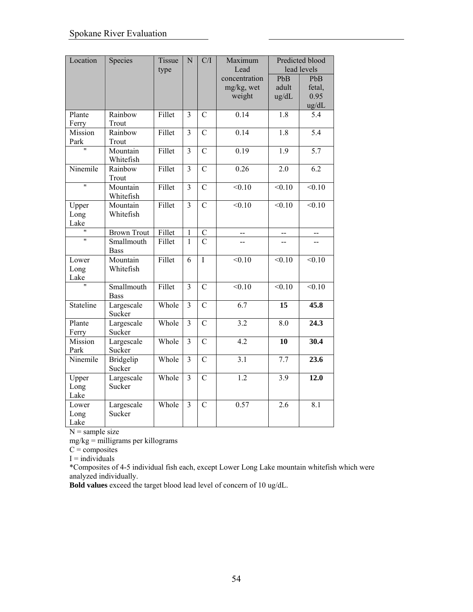| Location                | Species                    | Tissue<br>type | $\overline{N}$ | C/I            | Maximum<br>Lead                       |                       | Predicted blood<br>lead levels |
|-------------------------|----------------------------|----------------|----------------|----------------|---------------------------------------|-----------------------|--------------------------------|
|                         |                            |                |                |                | concentration<br>mg/kg, wet<br>weight | PbB<br>adult<br>ug/dL | PbB<br>fetal,<br>0.95<br>ug/dL |
| Plante<br>Ferry         | Rainbow<br>Trout           | Fillet         | $\overline{3}$ | $\overline{C}$ | 0.14                                  | $\overline{1.8}$      | $\overline{5.4}$               |
| Mission<br>Park         | Rainbow<br>Trout           | Fillet         | $\overline{3}$ | $\overline{C}$ | 0.14                                  | 1.8                   | $\overline{5.4}$               |
|                         | Mountain<br>Whitefish      | Fillet         | $\overline{3}$ | $\overline{C}$ | 0.19                                  | $\overline{1.9}$      | $\overline{5.7}$               |
| Ninemile                | Rainbow<br>Trout           | Fillet         | 3              | $\overline{C}$ | $\overline{0.26}$                     | 2.0                   | $\overline{6.2}$               |
| $\overline{\mathbf{u}}$ | Mountain<br>Whitefish      | Fillet         | $\overline{3}$ | $\overline{C}$ | $\overline{0.10}$                     | $\overline{0.10}$     | < 0.10                         |
| Upper<br>Long<br>Lake   | Mountain<br>Whitefish      | Fillet         | $\overline{3}$ | $\overline{C}$ | $\overline{0.10}$                     | $\overline{0.10}$     | $\overline{0.10}$              |
| 'n                      | <b>Brown Trout</b>         | Fillet         | $\overline{1}$ | $\mathcal{C}$  | --                                    | --                    | $\overline{a}$                 |
| $\overline{\mathbf{u}}$ | Smallmouth<br><b>Bass</b>  | Fillet         | $\mathbf{1}$   | $\mathcal{C}$  | $-$                                   | $\overline{a}$        | --                             |
| Lower<br>Long<br>Lake   | Mountain<br>Whitefish      | Fillet         | $\overline{6}$ | $\overline{I}$ | < 0.10                                | < 0.10                | < 0.10                         |
| Ħ                       | Smallmouth<br><b>Bass</b>  | Fillet         | 3              | $\overline{C}$ | $\overline{0.10}$                     | $\overline{0.10}$     | $\sqrt{0.10}$                  |
| Stateline               | Largescale<br>Sucker       | Whole          | $\overline{3}$ | $\overline{C}$ | $\overline{6.7}$                      | 15                    | 45.8                           |
| Plante<br>Ferry         | Largescale<br>Sucker       | Whole          | 3              | $\overline{C}$ | $\overline{3.2}$                      | 8.0                   | 24.3                           |
| Mission<br>Park         | Largescale<br>Sucker       | Whole          | $\overline{3}$ | $\overline{C}$ | 4.2                                   | 10                    | 30.4                           |
| Ninemile                | <b>Bridgelip</b><br>Sucker | Whole          | 3              | $\overline{C}$ | 3.1                                   | 7.7                   | 23.6                           |
| Upper<br>Long<br>Lake   | Largescale<br>Sucker       | Whole          | $\overline{3}$ | $\overline{C}$ | $\overline{1.2}$                      | 3.9                   | 12.0                           |
| Lower<br>Long<br>Lake   | Largescale<br>Sucker       | Whole          | $\overline{3}$ | $\overline{C}$ | 0.57                                  | 2.6                   | 8.1                            |

mg/kg = milligrams per killograms

 $C =$  composites

 $I =$  individuals

\*Composites of 4-5 individual fish each, except Lower Long Lake mountain whitefish which were analyzed individually.

**Bold values** exceed the target blood lead level of concern of 10 ug/dL.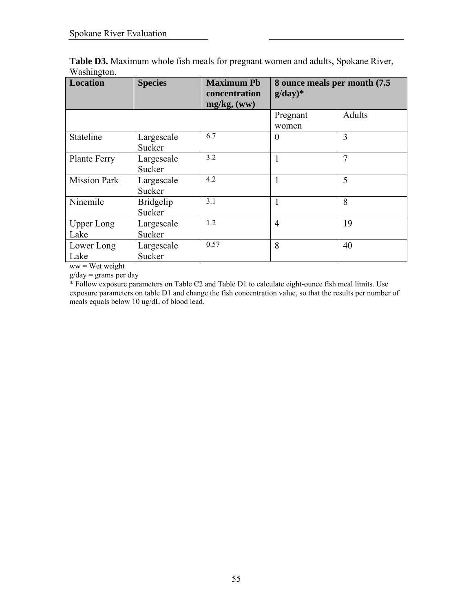| <b>Location</b>     | <b>Species</b>   | <b>Maximum Pb</b><br>concentration<br>mg/kg, (ww) | 8 ounce meals per month (7.5)<br>$g/day)*$ |        |  |
|---------------------|------------------|---------------------------------------------------|--------------------------------------------|--------|--|
|                     |                  |                                                   | Pregnant                                   | Adults |  |
|                     |                  |                                                   | women                                      |        |  |
| Stateline           | Largescale       | 6.7                                               | $\theta$                                   | 3      |  |
|                     | Sucker           |                                                   |                                            |        |  |
| Plante Ferry        | Largescale       | 3.2                                               | 1                                          | 7      |  |
|                     | Sucker           |                                                   |                                            |        |  |
| <b>Mission Park</b> | Largescale       | 4.2                                               | 1                                          | 5      |  |
|                     | Sucker           |                                                   |                                            |        |  |
| Ninemile            | <b>Bridgelip</b> | 3.1                                               | 1                                          | 8      |  |
|                     | Sucker           |                                                   |                                            |        |  |
| <b>Upper Long</b>   | Largescale       | 1.2                                               | $\overline{4}$                             | 19     |  |
| Lake                | Sucker           |                                                   |                                            |        |  |
| Lower Long          | Largescale       | 0.57                                              | 8                                          | 40     |  |
| Lake                | Sucker           |                                                   |                                            |        |  |

**Table D3.** Maximum whole fish meals for pregnant women and adults, Spokane River, Washington.

ww = Wet weight

 $g/day = grams per day$ 

\* Follow exposure parameters on Table C2 and Table D1 to calculate eight-ounce fish meal limits. Use exposure parameters on table D1 and change the fish concentration value, so that the results per number of meals equals below 10 ug/dL of blood lead.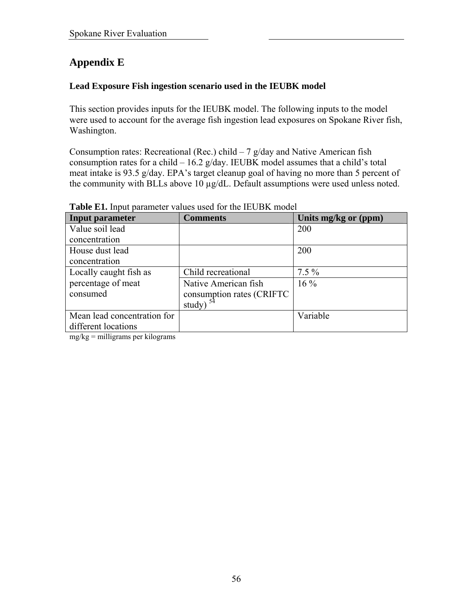# **Appendix E**

## **Lead Exposure Fish ingestion scenario used in the IEUBK model**

This section provides inputs for the IEUBK model. The following inputs to the model were used to account for the average fish ingestion lead exposures on Spokane River fish, Washington.

Consumption rates: Recreational (Rec.) child  $-7$  g/day and Native American fish consumption rates for a child  $-16.2$  g/day. IEUBK model assumes that a child's total meat intake is 93.5 g/day. EPA's target cleanup goal of having no more than 5 percent of the community with BLLs above 10 µg/dL. Default assumptions were used unless noted.

| <b>Input parameter</b>      | <b>Comments</b>           | Units mg/kg or (ppm) |
|-----------------------------|---------------------------|----------------------|
| Value soil lead             |                           | 200                  |
| concentration               |                           |                      |
| House dust lead             |                           | 200                  |
| concentration               |                           |                      |
| Locally caught fish as      | Child recreational        | $7.5\%$              |
| percentage of meat          | Native American fish      | $16\%$               |
| consumed                    | consumption rates (CRIFTC |                      |
|                             | study) $54$               |                      |
| Mean lead concentration for |                           | Variable             |
| different locations         |                           |                      |

**Table E1.** Input parameter values used for the IEUBK model

mg/kg = milligrams per kilograms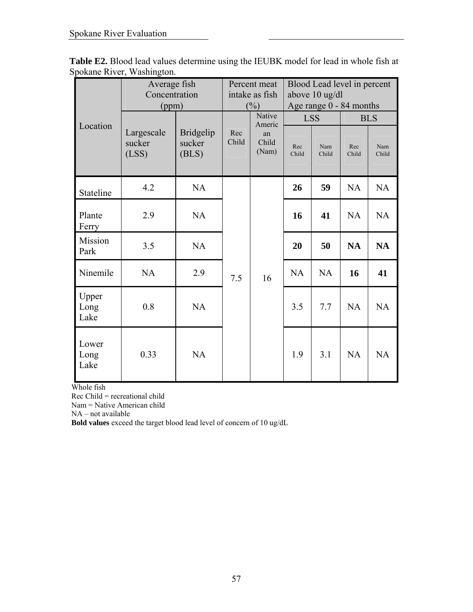| <b>Table E2.</b> Blood lead values determine using the IEUBK model for lead in whole fish at |  |  |  |
|----------------------------------------------------------------------------------------------|--|--|--|
| Spokane River, Washington.                                                                   |  |  |  |

| Location              | Average fish<br>Concentration<br>(ppm) |                                     | Percent meat<br>intake as fish<br>$(\%)$ |                                          | Blood Lead level in percent<br>above 10 ug/dl<br>Age range 0 - 84 months |                            |              |                            |  |  |  |  |  |  |  |  |  |  |  |    |    |           |           |
|-----------------------|----------------------------------------|-------------------------------------|------------------------------------------|------------------------------------------|--------------------------------------------------------------------------|----------------------------|--------------|----------------------------|--|--|--|--|--|--|--|--|--|--|--|----|----|-----------|-----------|
|                       | Largescale<br>sucker<br>(LSS)          | <b>Bridgelip</b><br>sucker<br>(BLS) | Rec<br>Child                             | Native<br>Americ<br>an<br>Child<br>(Nam) | Rec<br>Child                                                             | <b>LSS</b><br>Nam<br>Child | Rec<br>Child | <b>BLS</b><br>Nam<br>Child |  |  |  |  |  |  |  |  |  |  |  |    |    |           |           |
| Stateline             | 4.2                                    | <b>NA</b>                           |                                          |                                          | 26                                                                       | 59                         | <b>NA</b>    | <b>NA</b>                  |  |  |  |  |  |  |  |  |  |  |  |    |    |           |           |
| Plante<br>Ferry       | 2.9                                    | <b>NA</b>                           | 7.5                                      |                                          | 16                                                                       | 41                         | <b>NA</b>    | NA                         |  |  |  |  |  |  |  |  |  |  |  |    |    |           |           |
| Mission<br>Park       | 3.5                                    | <b>NA</b>                           |                                          |                                          |                                                                          |                            |              |                            |  |  |  |  |  |  |  |  |  |  |  | 20 | 50 | <b>NA</b> | <b>NA</b> |
| Ninemile              | <b>NA</b>                              | 2.9                                 |                                          | 16                                       | <b>NA</b>                                                                | <b>NA</b>                  | 16           | 41                         |  |  |  |  |  |  |  |  |  |  |  |    |    |           |           |
| Upper<br>Long<br>Lake | 0.8                                    | <b>NA</b>                           |                                          |                                          | 3.5                                                                      | 7.7                        | NA           | NA                         |  |  |  |  |  |  |  |  |  |  |  |    |    |           |           |
| Lower<br>Long<br>Lake | 0.33                                   | <b>NA</b>                           |                                          |                                          | 1.9                                                                      | 3.1                        | NA           | NA                         |  |  |  |  |  |  |  |  |  |  |  |    |    |           |           |

Whole fish

Rec Child = recreational child

Nam = Native American child

NA – not available

**Bold values** exceed the target blood lead level of concern of 10 ug/dL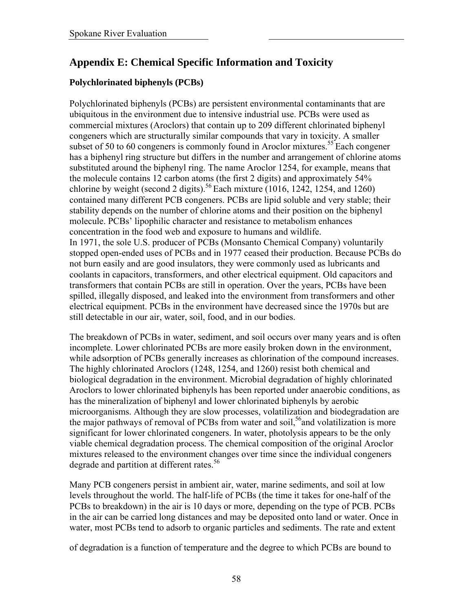# **Appendix E: Chemical Specific Information and Toxicity**

## **Polychlorinated biphenyls (PCBs)**

Polychlorinated biphenyls (PCBs) are persistent environmental contaminants that are ubiquitous in the environment due to intensive industrial use. PCBs were used as commercial mixtures (Aroclors) that contain up to 209 different chlorinated biphenyl congeners which are structurally similar compounds that vary in toxicity. A smaller subset of 50 to 60 congeners is commonly found in Aroclor mixtures.<sup>55</sup> Each congener has a biphenyl ring structure but differs in the number and arrangement of chlorine atoms substituted around the biphenyl ring. The name Aroclor 1254, for example, means that the molecule contains 12 carbon atoms (the first 2 digits) and approximately 54% chlorine by weight (second 2 digits).<sup>56</sup> Each mixture  $(1016, 1242, 1254, and 1260)$ contained many different PCB congeners. PCBs are lipid soluble and very stable; their stability depends on the number of chlorine atoms and their position on the biphenyl molecule. PCBs' lipophilic character and resistance to metabolism enhances concentration in the food web and exposure to humans and wildlife. In 1971, the sole U.S. producer of PCBs (Monsanto Chemical Company) voluntarily stopped open-ended uses of PCBs and in 1977 ceased their production. Because PCBs do not burn easily and are good insulators, they were commonly used as lubricants and coolants in capacitors, transformers, and other electrical equipment. Old capacitors and transformers that contain PCBs are still in operation. Over the years, PCBs have been spilled, illegally disposed, and leaked into the environment from transformers and other electrical equipment. PCBs in the environment have decreased since the 1970s but are still detectable in our air, water, soil, food, and in our bodies.

The breakdown of PCBs in water, sediment, and soil occurs over many years and is often incomplete. Lower chlorinated PCBs are more easily broken down in the environment, while adsorption of PCBs generally increases as chlorination of the compound increases. The highly chlorinated Aroclors (1248, 1254, and 1260) resist both chemical and biological degradation in the environment. Microbial degradation of highly chlorinated Aroclors to lower chlorinated biphenyls has been reported under anaerobic conditions, as has the mineralization of biphenyl and lower chlorinated biphenyls by aerobic microorganisms. Although they are slow processes, volatilization and biodegradation are the major pathways of removal of PCBs from water and soil,<sup>56</sup> and volatilization is more significant for lower chlorinated congeners. In water, photolysis appears to be the only viable chemical degradation process. The chemical composition of the original Aroclor mixtures released to the environment changes over time since the individual congeners degrade and partition at different rates.<sup>56</sup>

Many PCB congeners persist in ambient air, water, marine sediments, and soil at low levels throughout the world. The half-life of PCBs (the time it takes for one-half of the PCBs to breakdown) in the air is 10 days or more, depending on the type of PCB. PCBs in the air can be carried long distances and may be deposited onto land or water. Once in water, most PCBs tend to adsorb to organic particles and sediments. The rate and extent

of degradation is a function of temperature and the degree to which PCBs are bound to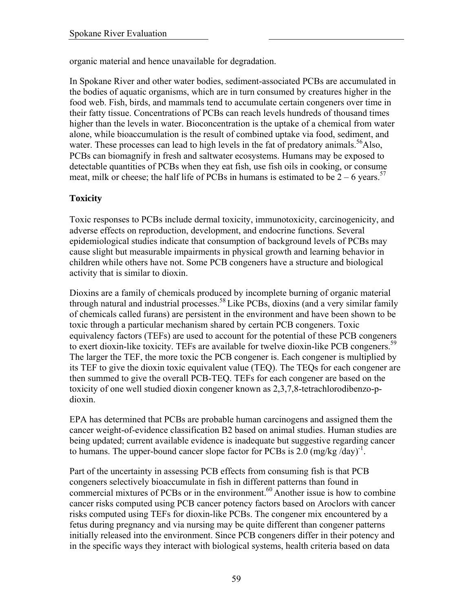organic material and hence unavailable for degradation.

In Spokane River and other water bodies, sediment-associated PCBs are accumulated in the bodies of aquatic organisms, which are in turn consumed by creatures higher in the food web. Fish, birds, and mammals tend to accumulate certain congeners over time in their fatty tissue. Concentrations of PCBs can reach levels hundreds of thousand times higher than the levels in water. Bioconcentration is the uptake of a chemical from water alone, while bioaccumulation is the result of combined uptake via food, sediment, and water. These processes can lead to high levels in the fat of predatory animals.<sup>56</sup>Also, PCBs can biomagnify in fresh and saltwater ecosystems. Humans may be exposed to detectable quantities of PCBs when they eat fish, use fish oils in cooking, or consume meat, milk or cheese; the half life of PCBs in humans is estimated to be  $2 - 6$  years.<sup>57</sup>

## **Toxicity**

Toxic responses to PCBs include dermal toxicity, immunotoxicity, carcinogenicity, and adverse effects on reproduction, development, and endocrine functions. Several epidemiological studies indicate that consumption of background levels of PCBs may cause slight but measurable impairments in physical growth and learning behavior in children while others have not. Some PCB congeners have a structure and biological activity that is similar to dioxin.

Dioxins are a family of chemicals produced by incomplete burning of organic material through natural and industrial processes.<sup>58</sup> Like PCBs, dioxins (and a very similar family of chemicals called furans) are persistent in the environment and have been shown to be toxic through a particular mechanism shared by certain PCB congeners. Toxic equivalency factors (TEFs) are used to account for the potential of these PCB congeners to exert dioxin-like toxicity. TEFs are available for twelve dioxin-like PCB congeners.<sup>59</sup> The larger the TEF, the more toxic the PCB congener is. Each congener is multiplied by its TEF to give the dioxin toxic equivalent value (TEQ). The TEQs for each congener are then summed to give the overall PCB-TEQ. TEFs for each congener are based on the toxicity of one well studied dioxin congener known as 2,3,7,8-tetrachlorodibenzo-pdioxin.

EPA has determined that PCBs are probable human carcinogens and assigned them the cancer weight-of-evidence classification B2 based on animal studies. Human studies are being updated; current available evidence is inadequate but suggestive regarding cancer to humans. The upper-bound cancer slope factor for PCBs is 2.0  $(mg/kg / day)^{-1}$ .

Part of the uncertainty in assessing PCB effects from consuming fish is that PCB congeners selectively bioaccumulate in fish in different patterns than found in commercial mixtures of PCBs or in the environment. $60$  Another issue is how to combine cancer risks computed using PCB cancer potency factors based on Aroclors with cancer risks computed using TEFs for dioxin-like PCBs. The congener mix encountered by a fetus during pregnancy and via nursing may be quite different than congener patterns initially released into the environment. Since PCB congeners differ in their potency and in the specific ways they interact with biological systems, health criteria based on data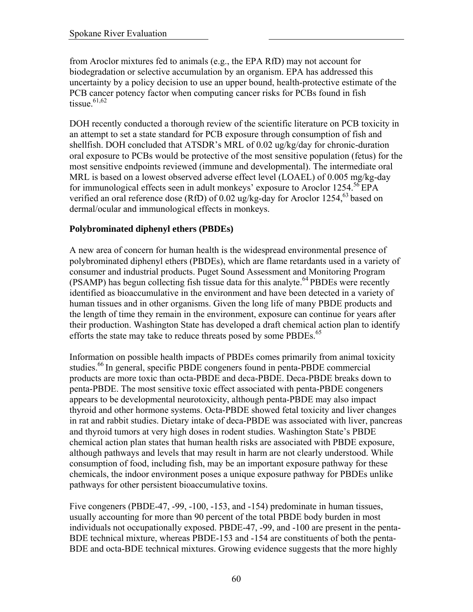from Aroclor mixtures fed to animals (e.g., the EPA RfD) may not account for biodegradation or selective accumulation by an organism. EPA has addressed this uncertainty by a policy decision to use an upper bound, health-protective estimate of the PCB cancer potency factor when computing cancer risks for PCBs found in fish tissue. $61,62$ 

DOH recently conducted a thorough review of the scientific literature on PCB toxicity in an attempt to set a state standard for PCB exposure through consumption of fish and shellfish. DOH concluded that ATSDR's MRL of 0.02 ug/kg/day for chronic-duration oral exposure to PCBs would be protective of the most sensitive population (fetus) for the most sensitive endpoints reviewed (immune and developmental). The intermediate oral MRL is based on a lowest observed adverse effect level (LOAEL) of 0.005 mg/kg-day for immunological effects seen in adult monkeys' exposure to Aroclor  $1254$ .<sup>56</sup> EPA verified an oral reference dose (RfD) of  $0.02$  ug/kg-day for Aroclor 1254,  $63$  based on dermal/ocular and immunological effects in monkeys.

## **Polybrominated diphenyl ethers (PBDEs)**

A new area of concern for human health is the widespread environmental presence of polybrominated diphenyl ethers (PBDEs), which are flame retardants used in a variety of consumer and industrial products. Puget Sound Assessment and Monitoring Program  $(PSAMP)$  has begun collecting fish tissue data for this analyte.<sup>64</sup> PBDEs were recently identified as bioaccumulative in the environment and have been detected in a variety of human tissues and in other organisms. Given the long life of many PBDE products and the length of time they remain in the environment, exposure can continue for years after their production. Washington State has developed a draft chemical action plan to identify efforts the state may take to reduce threats posed by some PBDEs.<sup>65</sup>

Information on possible health impacts of PBDEs comes primarily from animal toxicity studies.<sup>66</sup> In general, specific PBDE congeners found in penta-PBDE commercial products are more toxic than octa-PBDE and deca-PBDE. Deca-PBDE breaks down to penta-PBDE. The most sensitive toxic effect associated with penta-PBDE congeners appears to be developmental neurotoxicity, although penta-PBDE may also impact thyroid and other hormone systems. Octa-PBDE showed fetal toxicity and liver changes in rat and rabbit studies. Dietary intake of deca-PBDE was associated with liver, pancreas and thyroid tumors at very high doses in rodent studies. Washington State's PBDE chemical action plan states that human health risks are associated with PBDE exposure, although pathways and levels that may result in harm are not clearly understood. While consumption of food, including fish, may be an important exposure pathway for these chemicals, the indoor environment poses a unique exposure pathway for PBDEs unlike pathways for other persistent bioaccumulative toxins.

Five congeners (PBDE-47, -99, -100, -153, and -154) predominate in human tissues, usually accounting for more than 90 percent of the total PBDE body burden in most individuals not occupationally exposed. PBDE-47, -99, and -100 are present in the penta-BDE technical mixture, whereas PBDE-153 and -154 are constituents of both the penta-BDE and octa-BDE technical mixtures. Growing evidence suggests that the more highly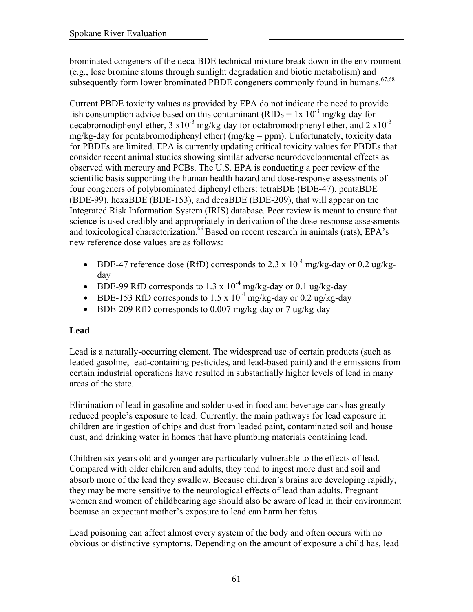brominated congeners of the deca-BDE technical mixture break down in the environment (e.g., lose bromine atoms through sunlight degradation and biotic metabolism) and subsequently form lower brominated PBDE congeners commonly found in humans.<sup>67,68</sup>

Current PBDE toxicity values as provided by EPA do not indicate the need to provide fish consumption advice based on this contaminant (RfDs =  $1x \frac{10^{-3} \text{ mg/kg-day}}{1}$  for decabromodiphenyl ether,  $3 \times 10^{-3}$  mg/kg-day for octabromodiphenyl ether, and  $2 \times 10^{-3}$ mg/kg-day for pentabromodiphenyl ether) (mg/kg = ppm). Unfortunately, toxicity data for PBDEs are limited. EPA is currently updating critical toxicity values for PBDEs that consider recent animal studies showing similar adverse neurodevelopmental effects as observed with mercury and PCBs. The U.S. EPA is conducting a peer review of the scientific basis supporting the human health hazard and dose-response assessments of four congeners of polybrominated diphenyl ethers: tetraBDE (BDE-47), pentaBDE (BDE-99), hexaBDE (BDE-153), and decaBDE (BDE-209), that will appear on the Integrated Risk Information System (IRIS) database. Peer review is meant to ensure that science is used credibly and appropriately in derivation of the dose-response assessments and toxicological characterization.<sup>69</sup> Based on recent research in animals (rats), EPA's new reference dose values are as follows:

- BDE-47 reference dose (RfD) corresponds to 2.3 x  $10^{-4}$  mg/kg-day or 0.2 ug/kgday
- BDE-99 RfD corresponds to 1.3 x  $10^{-4}$  mg/kg-day or 0.1 ug/kg-day
- BDE-153 RfD corresponds to 1.5 x  $10^{-4}$  mg/kg-day or 0.2 ug/kg-day
- BDE-209 RfD corresponds to 0.007 mg/kg-day or 7 ug/kg-day

## **Lead**

Lead is a naturally-occurring element. The widespread use of certain products (such as leaded gasoline, lead-containing pesticides, and lead-based paint) and the emissions from certain industrial operations have resulted in substantially higher levels of lead in many areas of the state.

Elimination of lead in gasoline and solder used in food and beverage cans has greatly reduced people's exposure to lead. Currently, the main pathways for lead exposure in children are ingestion of chips and dust from leaded paint, contaminated soil and house dust, and drinking water in homes that have plumbing materials containing lead.

Children six years old and younger are particularly vulnerable to the effects of lead. Compared with older children and adults, they tend to ingest more dust and soil and absorb more of the lead they swallow. Because children's brains are developing rapidly, they may be more sensitive to the neurological effects of lead than adults. Pregnant women and women of childbearing age should also be aware of lead in their environment because an expectant mother's exposure to lead can harm her fetus.

Lead poisoning can affect almost every system of the body and often occurs with no obvious or distinctive symptoms. Depending on the amount of exposure a child has, lead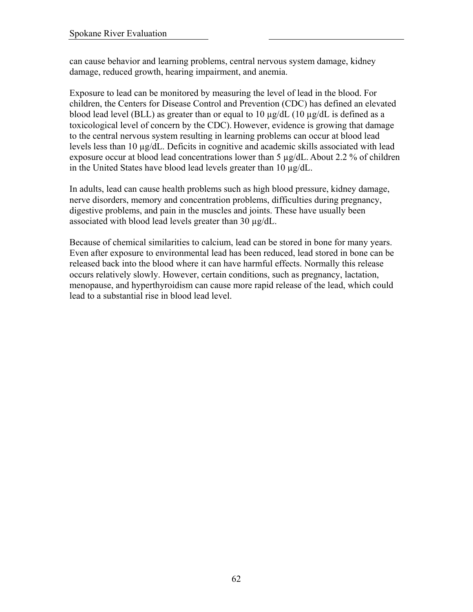can cause behavior and learning problems, central nervous system damage, kidney damage, reduced growth, hearing impairment, and anemia.

Exposure to lead can be monitored by measuring the level of lead in the blood. For children, the Centers for Disease Control and Prevention (CDC) has defined an elevated blood lead level (BLL) as greater than or equal to 10 µg/dL (10 µg/dL is defined as a toxicological level of concern by the CDC). However, evidence is growing that damage to the central nervous system resulting in learning problems can occur at blood lead levels less than 10 µg/dL. Deficits in cognitive and academic skills associated with lead exposure occur at blood lead concentrations lower than 5 µg/dL. About 2.2 % of children in the United States have blood lead levels greater than 10 µg/dL.

In adults, lead can cause health problems such as high blood pressure, kidney damage, nerve disorders, memory and concentration problems, difficulties during pregnancy, digestive problems, and pain in the muscles and joints. These have usually been associated with blood lead levels greater than 30 µg/dL.

Because of chemical similarities to calcium, lead can be stored in bone for many years. Even after exposure to environmental lead has been reduced, lead stored in bone can be released back into the blood where it can have harmful effects. Normally this release occurs relatively slowly. However, certain conditions, such as pregnancy, lactation, menopause, and hyperthyroidism can cause more rapid release of the lead, which could lead to a substantial rise in blood lead level.